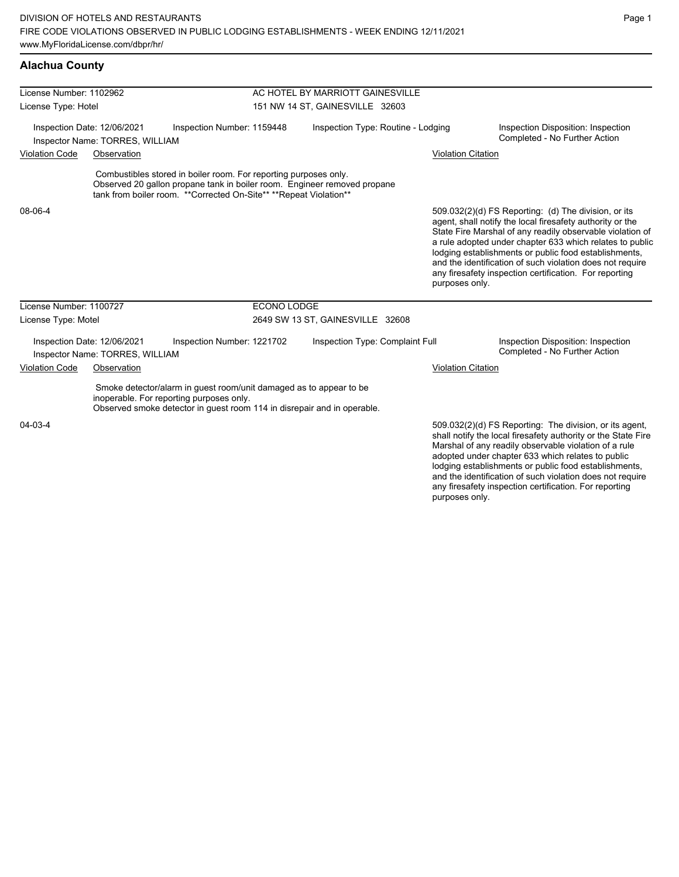### **Alachua County**

| License Number: 1102962 |                                                                |                                                                                                                                                                                                                     | AC HOTEL BY MARRIOTT GAINESVILLE |                                    |                           |                                                                                                                                                                                                                                                                                                                                                                                                                            |
|-------------------------|----------------------------------------------------------------|---------------------------------------------------------------------------------------------------------------------------------------------------------------------------------------------------------------------|----------------------------------|------------------------------------|---------------------------|----------------------------------------------------------------------------------------------------------------------------------------------------------------------------------------------------------------------------------------------------------------------------------------------------------------------------------------------------------------------------------------------------------------------------|
| License Type: Hotel     |                                                                |                                                                                                                                                                                                                     | 151 NW 14 ST, GAINESVILLE 32603  |                                    |                           |                                                                                                                                                                                                                                                                                                                                                                                                                            |
|                         | Inspection Date: 12/06/2021<br>Inspector Name: TORRES, WILLIAM | Inspection Number: 1159448                                                                                                                                                                                          |                                  | Inspection Type: Routine - Lodging |                           | Inspection Disposition: Inspection<br>Completed - No Further Action                                                                                                                                                                                                                                                                                                                                                        |
| <b>Violation Code</b>   | Observation                                                    |                                                                                                                                                                                                                     |                                  |                                    | <b>Violation Citation</b> |                                                                                                                                                                                                                                                                                                                                                                                                                            |
|                         |                                                                | Combustibles stored in boiler room. For reporting purposes only.<br>Observed 20 gallon propane tank in boiler room. Engineer removed propane<br>tank from boiler room. ** Corrected On-Site** ** Repeat Violation** |                                  |                                    |                           |                                                                                                                                                                                                                                                                                                                                                                                                                            |
| 08-06-4                 |                                                                |                                                                                                                                                                                                                     |                                  |                                    | purposes only.            | 509.032(2)(d) FS Reporting: (d) The division, or its<br>agent, shall notify the local firesafety authority or the<br>State Fire Marshal of any readily observable violation of<br>a rule adopted under chapter 633 which relates to public<br>lodging establishments or public food establishments,<br>and the identification of such violation does not require<br>any firesafety inspection certification. For reporting |
| License Number: 1100727 |                                                                |                                                                                                                                                                                                                     | <b>ECONO LODGE</b>               |                                    |                           |                                                                                                                                                                                                                                                                                                                                                                                                                            |
| License Type: Motel     |                                                                |                                                                                                                                                                                                                     | 2649 SW 13 ST, GAINESVILLE 32608 |                                    |                           |                                                                                                                                                                                                                                                                                                                                                                                                                            |
|                         | Inspection Date: 12/06/2021<br>Inspector Name: TORRES, WILLIAM | Inspection Number: 1221702                                                                                                                                                                                          |                                  | Inspection Type: Complaint Full    |                           | Inspection Disposition: Inspection<br>Completed - No Further Action                                                                                                                                                                                                                                                                                                                                                        |
| <b>Violation Code</b>   | Observation                                                    |                                                                                                                                                                                                                     |                                  |                                    | <b>Violation Citation</b> |                                                                                                                                                                                                                                                                                                                                                                                                                            |
|                         |                                                                | Smoke detector/alarm in guest room/unit damaged as to appear to be<br>inoperable. For reporting purposes only.<br>Observed smoke detector in guest room 114 in disrepair and in operable.                           |                                  |                                    |                           |                                                                                                                                                                                                                                                                                                                                                                                                                            |
| 04-03-4                 |                                                                |                                                                                                                                                                                                                     |                                  |                                    |                           | 509.032(2)(d) FS Reporting: The division, or its agent,<br>shall notify the local firesafety authority or the State Fire<br>Marshal of any readily observable violation of a rule<br>adopted under chapter 633 which relates to public<br>lodging establishments or public food establishments,<br>and the identification of such violation does not require                                                               |

any firesafety inspection certification. For reporting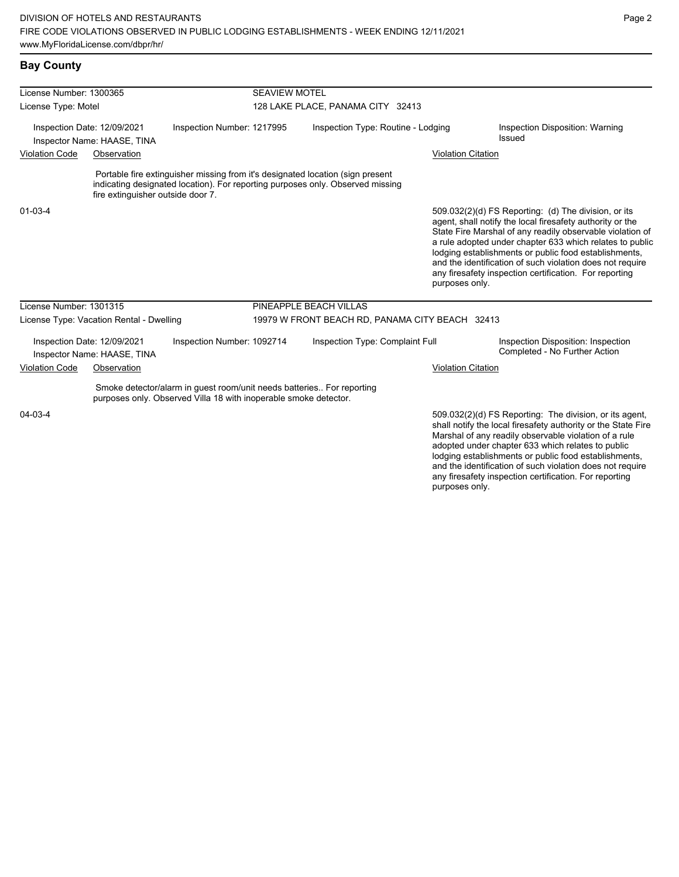| License Number: 1300365 |                                                            |                                                                                                                                           | <b>SEAVIEW MOTEL</b><br>128 LAKE PLACE, PANAMA CITY 32413 |                                                                                                                                                                  |                           |                                                                                                                                                                                                                                                                                                                                                                                                                            |  |  |
|-------------------------|------------------------------------------------------------|-------------------------------------------------------------------------------------------------------------------------------------------|-----------------------------------------------------------|------------------------------------------------------------------------------------------------------------------------------------------------------------------|---------------------------|----------------------------------------------------------------------------------------------------------------------------------------------------------------------------------------------------------------------------------------------------------------------------------------------------------------------------------------------------------------------------------------------------------------------------|--|--|
| License Type: Motel     |                                                            |                                                                                                                                           |                                                           |                                                                                                                                                                  |                           |                                                                                                                                                                                                                                                                                                                                                                                                                            |  |  |
|                         | Inspection Date: 12/09/2021<br>Inspector Name: HAASE, TINA | Inspection Number: 1217995                                                                                                                |                                                           | Inspection Type: Routine - Lodging                                                                                                                               |                           | Inspection Disposition: Warning<br>Issued                                                                                                                                                                                                                                                                                                                                                                                  |  |  |
| <b>Violation Code</b>   | Observation                                                |                                                                                                                                           |                                                           |                                                                                                                                                                  | <b>Violation Citation</b> |                                                                                                                                                                                                                                                                                                                                                                                                                            |  |  |
|                         | fire extinguisher outside door 7.                          |                                                                                                                                           |                                                           | Portable fire extinguisher missing from it's designated location (sign present<br>indicating designated location). For reporting purposes only. Observed missing |                           |                                                                                                                                                                                                                                                                                                                                                                                                                            |  |  |
| $01 - 03 - 4$           |                                                            |                                                                                                                                           |                                                           |                                                                                                                                                                  | purposes only.            | 509.032(2)(d) FS Reporting: (d) The division, or its<br>agent, shall notify the local firesafety authority or the<br>State Fire Marshal of any readily observable violation of<br>a rule adopted under chapter 633 which relates to public<br>lodging establishments or public food establishments,<br>and the identification of such violation does not require<br>any firesafety inspection certification. For reporting |  |  |
| License Number: 1301315 |                                                            |                                                                                                                                           |                                                           | PINEAPPLE BEACH VILLAS                                                                                                                                           |                           |                                                                                                                                                                                                                                                                                                                                                                                                                            |  |  |
|                         | License Type: Vacation Rental - Dwelling                   |                                                                                                                                           |                                                           | 19979 W FRONT BEACH RD, PANAMA CITY BEACH 32413                                                                                                                  |                           |                                                                                                                                                                                                                                                                                                                                                                                                                            |  |  |
|                         | Inspection Date: 12/09/2021<br>Inspector Name: HAASE, TINA | Inspection Number: 1092714                                                                                                                |                                                           | Inspection Type: Complaint Full                                                                                                                                  |                           | Inspection Disposition: Inspection<br>Completed - No Further Action                                                                                                                                                                                                                                                                                                                                                        |  |  |
| <b>Violation Code</b>   | Observation                                                |                                                                                                                                           |                                                           |                                                                                                                                                                  | <b>Violation Citation</b> |                                                                                                                                                                                                                                                                                                                                                                                                                            |  |  |
|                         |                                                            | Smoke detector/alarm in guest room/unit needs batteries For reporting<br>purposes only. Observed Villa 18 with inoperable smoke detector. |                                                           |                                                                                                                                                                  |                           |                                                                                                                                                                                                                                                                                                                                                                                                                            |  |  |
| 04-03-4                 |                                                            |                                                                                                                                           |                                                           |                                                                                                                                                                  |                           | 509.032(2)(d) FS Reporting: The division, or its agent,<br>shall notify the local firesafety authority or the State Fire<br>Marshal of any readily observable violation of a rule<br>adopted under chapter 633 which relates to public<br>lodging establishments or public food establishments,                                                                                                                            |  |  |

and the identification of such violation does not require any firesafety inspection certification. For reporting purposes only.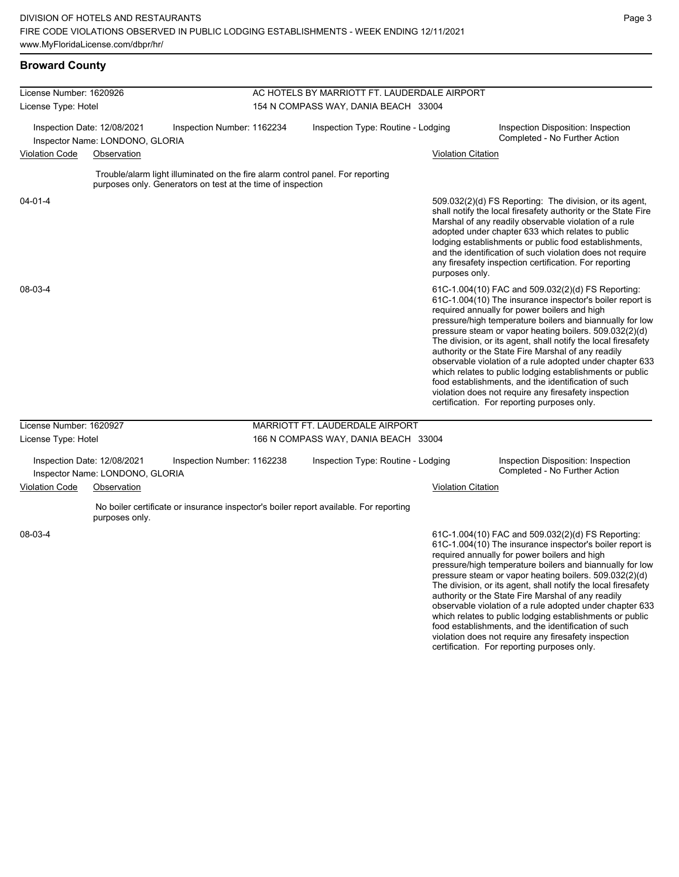### **Broward County**

| License Number: 1620926 |                                                                |                                                                                                                                               | AC HOTELS BY MARRIOTT FT. LAUDERDALE AIRPORT |                           |                                                                                                                                                                                                                                                                                                                                                                                                                                                                                                                                                                                                                                                                                                  |  |  |  |
|-------------------------|----------------------------------------------------------------|-----------------------------------------------------------------------------------------------------------------------------------------------|----------------------------------------------|---------------------------|--------------------------------------------------------------------------------------------------------------------------------------------------------------------------------------------------------------------------------------------------------------------------------------------------------------------------------------------------------------------------------------------------------------------------------------------------------------------------------------------------------------------------------------------------------------------------------------------------------------------------------------------------------------------------------------------------|--|--|--|
| License Type: Hotel     |                                                                |                                                                                                                                               | 154 N COMPASS WAY, DANIA BEACH 33004         |                           |                                                                                                                                                                                                                                                                                                                                                                                                                                                                                                                                                                                                                                                                                                  |  |  |  |
|                         | Inspection Date: 12/08/2021<br>Inspector Name: LONDONO, GLORIA | Inspection Number: 1162234                                                                                                                    | Inspection Type: Routine - Lodging           |                           | Inspection Disposition: Inspection<br>Completed - No Further Action                                                                                                                                                                                                                                                                                                                                                                                                                                                                                                                                                                                                                              |  |  |  |
| <b>Violation Code</b>   | Observation                                                    |                                                                                                                                               |                                              | <b>Violation Citation</b> |                                                                                                                                                                                                                                                                                                                                                                                                                                                                                                                                                                                                                                                                                                  |  |  |  |
|                         |                                                                | Trouble/alarm light illuminated on the fire alarm control panel. For reporting<br>purposes only. Generators on test at the time of inspection |                                              |                           |                                                                                                                                                                                                                                                                                                                                                                                                                                                                                                                                                                                                                                                                                                  |  |  |  |
| $04 - 01 - 4$           |                                                                |                                                                                                                                               |                                              | purposes only.            | 509.032(2)(d) FS Reporting: The division, or its agent,<br>shall notify the local firesafety authority or the State Fire<br>Marshal of any readily observable violation of a rule<br>adopted under chapter 633 which relates to public<br>lodging establishments or public food establishments,<br>and the identification of such violation does not require<br>any firesafety inspection certification. For reporting                                                                                                                                                                                                                                                                           |  |  |  |
| 08-03-4                 |                                                                |                                                                                                                                               |                                              |                           | 61C-1.004(10) FAC and 509.032(2)(d) FS Reporting:<br>61C-1.004(10) The insurance inspector's boiler report is<br>required annually for power boilers and high<br>pressure/high temperature boilers and biannually for low<br>pressure steam or vapor heating boilers. 509.032(2)(d)<br>The division, or its agent, shall notify the local firesafety<br>authority or the State Fire Marshal of any readily<br>observable violation of a rule adopted under chapter 633<br>which relates to public lodging establishments or public<br>food establishments, and the identification of such<br>violation does not require any firesafety inspection<br>certification. For reporting purposes only. |  |  |  |
| License Number: 1620927 |                                                                |                                                                                                                                               | MARRIOTT FT. LAUDERDALE AIRPORT              |                           |                                                                                                                                                                                                                                                                                                                                                                                                                                                                                                                                                                                                                                                                                                  |  |  |  |
| License Type: Hotel     |                                                                |                                                                                                                                               | 166 N COMPASS WAY, DANIA BEACH 33004         |                           |                                                                                                                                                                                                                                                                                                                                                                                                                                                                                                                                                                                                                                                                                                  |  |  |  |
|                         | Inspection Date: 12/08/2021<br>Inspector Name: LONDONO, GLORIA | Inspection Number: 1162238                                                                                                                    | Inspection Type: Routine - Lodging           |                           | Inspection Disposition: Inspection<br>Completed - No Further Action                                                                                                                                                                                                                                                                                                                                                                                                                                                                                                                                                                                                                              |  |  |  |
| <b>Violation Code</b>   | Observation                                                    |                                                                                                                                               |                                              | <b>Violation Citation</b> |                                                                                                                                                                                                                                                                                                                                                                                                                                                                                                                                                                                                                                                                                                  |  |  |  |
|                         | purposes only.                                                 | No boiler certificate or insurance inspector's boiler report available. For reporting                                                         |                                              |                           |                                                                                                                                                                                                                                                                                                                                                                                                                                                                                                                                                                                                                                                                                                  |  |  |  |
| 08-03-4                 |                                                                |                                                                                                                                               |                                              |                           | 61C-1.004(10) FAC and 509.032(2)(d) FS Reporting:<br>61C-1.004(10) The insurance inspector's boiler report is<br>required annually for power boilers and high<br>pressure/high temperature boilers and biannually for low<br>pressure steam or vapor heating boilers. 509.032(2)(d)<br>The division, or its agent, shall notify the local firesafety<br>authority or the State Fire Marshal of any readily                                                                                                                                                                                                                                                                                       |  |  |  |

observable violation of a rule adopted under chapter 633 which relates to public lodging establishments or public food establishments, and the identification of such violation does not require any firesafety inspection certification. For reporting purposes only.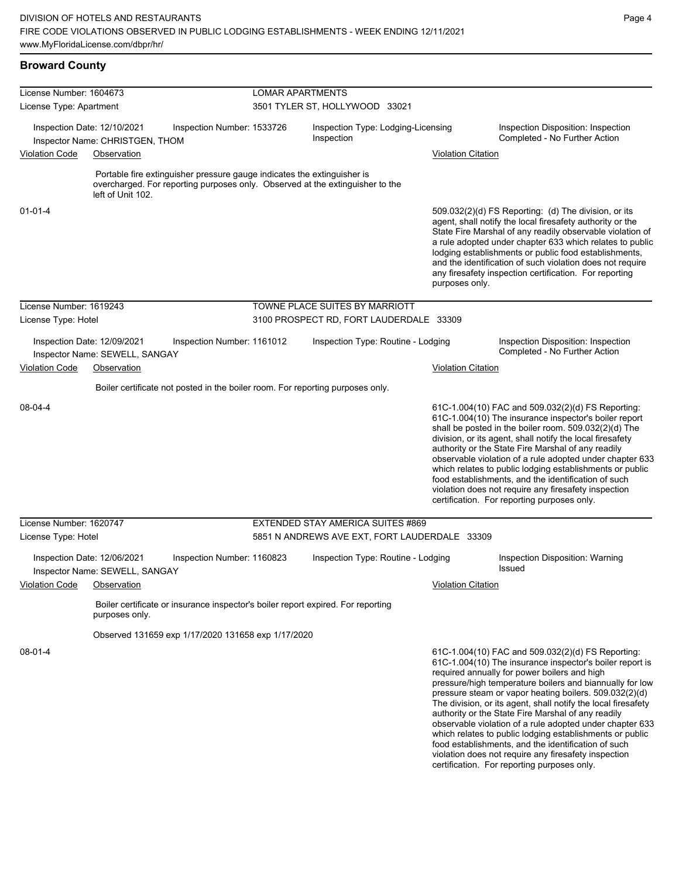food establishments, and the identification of such violation does not require any firesafety inspection certification. For reporting purposes only.

| <b>Broward County</b>   |                                                                                                                                                                               |                         |                                                  |                           |                                                                                                                                                                                                                                                                                                                                                                                                                                                                                                                                                                              |  |  |  |
|-------------------------|-------------------------------------------------------------------------------------------------------------------------------------------------------------------------------|-------------------------|--------------------------------------------------|---------------------------|------------------------------------------------------------------------------------------------------------------------------------------------------------------------------------------------------------------------------------------------------------------------------------------------------------------------------------------------------------------------------------------------------------------------------------------------------------------------------------------------------------------------------------------------------------------------------|--|--|--|
| License Number: 1604673 |                                                                                                                                                                               | <b>LOMAR APARTMENTS</b> |                                                  |                           |                                                                                                                                                                                                                                                                                                                                                                                                                                                                                                                                                                              |  |  |  |
| License Type: Apartment |                                                                                                                                                                               |                         | 3501 TYLER ST, HOLLYWOOD 33021                   |                           |                                                                                                                                                                                                                                                                                                                                                                                                                                                                                                                                                                              |  |  |  |
|                         | Inspection Date: 12/10/2021<br>Inspection Number: 1533726<br>Inspector Name: CHRISTGEN, THOM                                                                                  |                         | Inspection Type: Lodging-Licensing<br>Inspection |                           | Inspection Disposition: Inspection<br>Completed - No Further Action                                                                                                                                                                                                                                                                                                                                                                                                                                                                                                          |  |  |  |
| <b>Violation Code</b>   | Observation                                                                                                                                                                   |                         |                                                  | <b>Violation Citation</b> |                                                                                                                                                                                                                                                                                                                                                                                                                                                                                                                                                                              |  |  |  |
|                         | Portable fire extinguisher pressure gauge indicates the extinguisher is<br>overcharged. For reporting purposes only. Observed at the extinguisher to the<br>left of Unit 102. |                         |                                                  |                           |                                                                                                                                                                                                                                                                                                                                                                                                                                                                                                                                                                              |  |  |  |
| $01 - 01 - 4$           |                                                                                                                                                                               |                         |                                                  | purposes only.            | 509.032(2)(d) FS Reporting: (d) The division, or its<br>agent, shall notify the local firesafety authority or the<br>State Fire Marshal of any readily observable violation of<br>a rule adopted under chapter 633 which relates to public<br>lodging establishments or public food establishments,<br>and the identification of such violation does not require<br>any firesafety inspection certification. For reporting                                                                                                                                                   |  |  |  |
| License Number: 1619243 |                                                                                                                                                                               |                         | TOWNE PLACE SUITES BY MARRIOTT                   |                           |                                                                                                                                                                                                                                                                                                                                                                                                                                                                                                                                                                              |  |  |  |
| License Type: Hotel     |                                                                                                                                                                               |                         | 3100 PROSPECT RD, FORT LAUDERDALE 33309          |                           |                                                                                                                                                                                                                                                                                                                                                                                                                                                                                                                                                                              |  |  |  |
|                         | Inspection Date: 12/09/2021<br>Inspection Number: 1161012<br>Inspector Name: SEWELL, SANGAY                                                                                   |                         | Inspection Type: Routine - Lodging               |                           | Inspection Disposition: Inspection<br>Completed - No Further Action                                                                                                                                                                                                                                                                                                                                                                                                                                                                                                          |  |  |  |
| <b>Violation Code</b>   | Observation                                                                                                                                                                   |                         |                                                  | <b>Violation Citation</b> |                                                                                                                                                                                                                                                                                                                                                                                                                                                                                                                                                                              |  |  |  |
|                         | Boiler certificate not posted in the boiler room. For reporting purposes only.                                                                                                |                         |                                                  |                           |                                                                                                                                                                                                                                                                                                                                                                                                                                                                                                                                                                              |  |  |  |
| 08-04-4                 |                                                                                                                                                                               |                         |                                                  |                           | 61C-1.004(10) FAC and 509.032(2)(d) FS Reporting:<br>61C-1.004(10) The insurance inspector's boiler report<br>shall be posted in the boiler room. 509.032(2)(d) The<br>division, or its agent, shall notify the local firesafety<br>authority or the State Fire Marshal of any readily<br>observable violation of a rule adopted under chapter 633<br>which relates to public lodging establishments or public<br>food establishments, and the identification of such<br>violation does not require any firesafety inspection<br>certification. For reporting purposes only. |  |  |  |
| License Number: 1620747 |                                                                                                                                                                               |                         | EXTENDED STAY AMERICA SUITES #869                |                           |                                                                                                                                                                                                                                                                                                                                                                                                                                                                                                                                                                              |  |  |  |
| License Type: Hotel     |                                                                                                                                                                               |                         | 5851 N ANDREWS AVE EXT, FORT LAUDERDALE 33309    |                           |                                                                                                                                                                                                                                                                                                                                                                                                                                                                                                                                                                              |  |  |  |
|                         | Inspection Date: 12/06/2021<br>Inspection Number: 1160823<br>Inspector Name: SEWELL, SANGAY                                                                                   |                         | Inspection Type: Routine - Lodging               |                           | Inspection Disposition: Warning<br>Issued                                                                                                                                                                                                                                                                                                                                                                                                                                                                                                                                    |  |  |  |
| <b>Violation Code</b>   | Observation                                                                                                                                                                   |                         |                                                  | <b>Violation Citation</b> |                                                                                                                                                                                                                                                                                                                                                                                                                                                                                                                                                                              |  |  |  |
|                         | Boiler certificate or insurance inspector's boiler report expired. For reporting<br>purposes only.                                                                            |                         |                                                  |                           |                                                                                                                                                                                                                                                                                                                                                                                                                                                                                                                                                                              |  |  |  |
|                         | Observed 131659 exp 1/17/2020 131658 exp 1/17/2020                                                                                                                            |                         |                                                  |                           |                                                                                                                                                                                                                                                                                                                                                                                                                                                                                                                                                                              |  |  |  |
| 08-01-4                 |                                                                                                                                                                               |                         |                                                  |                           | 61C-1.004(10) FAC and 509.032(2)(d) FS Reporting:<br>61C-1.004(10) The insurance inspector's boiler report is<br>required annually for power boilers and high<br>pressure/high temperature boilers and biannually for low<br>pressure steam or vapor heating boilers. 509.032(2)(d)<br>The division, or its agent, shall notify the local firesafety<br>authority or the State Fire Marshal of any readily<br>observable violation of a rule adopted under chapter 633<br>which relates to public lodging establishments or public                                           |  |  |  |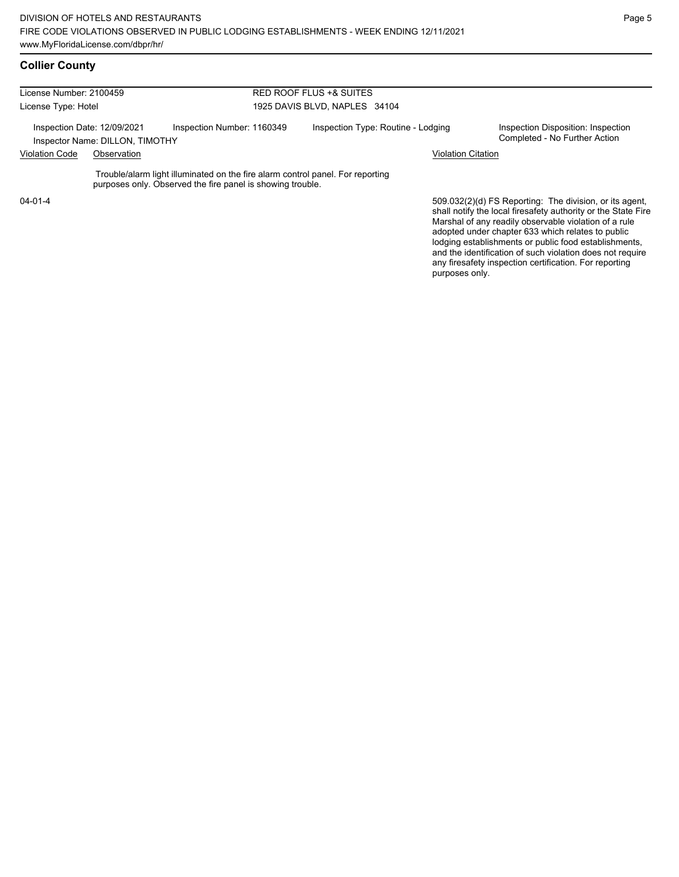| License Number: 2100459                                        |             |                                                                                                                                              | <b>RED ROOF FLUS +&amp; SUITES</b> |                                                                                                                                                                                   |  |  |  |
|----------------------------------------------------------------|-------------|----------------------------------------------------------------------------------------------------------------------------------------------|------------------------------------|-----------------------------------------------------------------------------------------------------------------------------------------------------------------------------------|--|--|--|
| License Type: Hotel                                            |             |                                                                                                                                              | 1925 DAVIS BLVD, NAPLES 34104      |                                                                                                                                                                                   |  |  |  |
| Inspection Date: 12/09/2021<br>Inspector Name: DILLON, TIMOTHY |             | Inspection Number: 1160349                                                                                                                   | Inspection Type: Routine - Lodging | Inspection Disposition: Inspection<br>Completed - No Further Action                                                                                                               |  |  |  |
| <b>Violation Code</b>                                          | Observation |                                                                                                                                              |                                    | <b>Violation Citation</b>                                                                                                                                                         |  |  |  |
|                                                                |             | Trouble/alarm light illuminated on the fire alarm control panel. For reporting<br>purposes only. Observed the fire panel is showing trouble. |                                    |                                                                                                                                                                                   |  |  |  |
| $04 - 01 - 4$                                                  |             |                                                                                                                                              |                                    | 509.032(2)(d) FS Reporting: The division, or its agent,<br>shall notify the local firesafety authority or the State Fire<br>Marshal of any readily observable violation of a rule |  |  |  |

Marshal of any readily observable violation of a rule adopted under chapter 633 which relates to public lodging establishments or public food establishments, and the identification of such violation does not require any firesafety inspection certification. For reporting purposes only.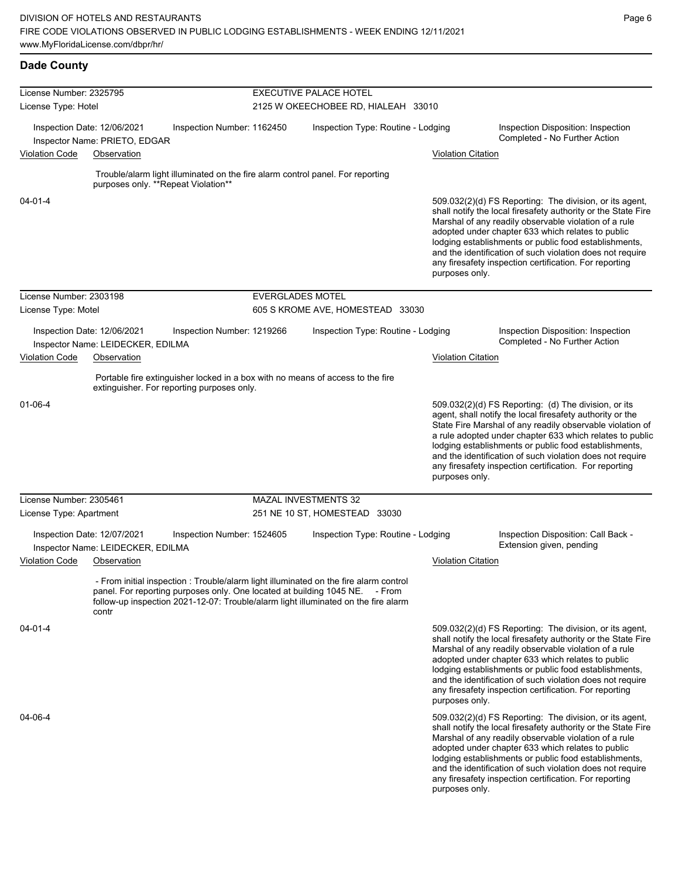**Dade County**

Page 6

| License Number: 2325795<br>License Type: Hotel |                                                                  |                                                                                                                                                                                                                                                            | <b>EXECUTIVE PALACE HOTEL</b><br>2125 W OKEECHOBEE RD, HIALEAH 33010 |                           |                                                                                                                                                                                                                                                                                                                                                                                                                            |  |  |  |
|------------------------------------------------|------------------------------------------------------------------|------------------------------------------------------------------------------------------------------------------------------------------------------------------------------------------------------------------------------------------------------------|----------------------------------------------------------------------|---------------------------|----------------------------------------------------------------------------------------------------------------------------------------------------------------------------------------------------------------------------------------------------------------------------------------------------------------------------------------------------------------------------------------------------------------------------|--|--|--|
|                                                |                                                                  |                                                                                                                                                                                                                                                            |                                                                      |                           |                                                                                                                                                                                                                                                                                                                                                                                                                            |  |  |  |
|                                                | Inspection Date: 12/06/2021                                      | Inspection Number: 1162450                                                                                                                                                                                                                                 | Inspection Type: Routine - Lodging                                   |                           | Inspection Disposition: Inspection<br>Completed - No Further Action                                                                                                                                                                                                                                                                                                                                                        |  |  |  |
| <b>Violation Code</b>                          | Inspector Name: PRIETO, EDGAR<br>Observation                     |                                                                                                                                                                                                                                                            |                                                                      | <b>Violation Citation</b> |                                                                                                                                                                                                                                                                                                                                                                                                                            |  |  |  |
|                                                |                                                                  |                                                                                                                                                                                                                                                            |                                                                      |                           |                                                                                                                                                                                                                                                                                                                                                                                                                            |  |  |  |
|                                                | purposes only. **Repeat Violation**                              | Trouble/alarm light illuminated on the fire alarm control panel. For reporting                                                                                                                                                                             |                                                                      |                           |                                                                                                                                                                                                                                                                                                                                                                                                                            |  |  |  |
| $04 - 01 - 4$                                  |                                                                  |                                                                                                                                                                                                                                                            |                                                                      | purposes only.            | 509.032(2)(d) FS Reporting: The division, or its agent,<br>shall notify the local firesafety authority or the State Fire<br>Marshal of any readily observable violation of a rule<br>adopted under chapter 633 which relates to public<br>lodging establishments or public food establishments,<br>and the identification of such violation does not require<br>any firesafety inspection certification. For reporting     |  |  |  |
| License Number: 2303198                        |                                                                  | <b>EVERGLADES MOTEL</b>                                                                                                                                                                                                                                    |                                                                      |                           |                                                                                                                                                                                                                                                                                                                                                                                                                            |  |  |  |
| License Type: Motel                            |                                                                  |                                                                                                                                                                                                                                                            | 605 S KROME AVE, HOMESTEAD 33030                                     |                           |                                                                                                                                                                                                                                                                                                                                                                                                                            |  |  |  |
|                                                | Inspection Date: 12/06/2021<br>Inspector Name: LEIDECKER, EDILMA | Inspection Number: 1219266                                                                                                                                                                                                                                 | Inspection Type: Routine - Lodging                                   |                           | Inspection Disposition: Inspection<br>Completed - No Further Action                                                                                                                                                                                                                                                                                                                                                        |  |  |  |
| <b>Violation Code</b>                          | Observation                                                      |                                                                                                                                                                                                                                                            |                                                                      | <b>Violation Citation</b> |                                                                                                                                                                                                                                                                                                                                                                                                                            |  |  |  |
|                                                | extinguisher. For reporting purposes only.                       | Portable fire extinguisher locked in a box with no means of access to the fire                                                                                                                                                                             |                                                                      |                           |                                                                                                                                                                                                                                                                                                                                                                                                                            |  |  |  |
| $01 - 06 - 4$                                  |                                                                  |                                                                                                                                                                                                                                                            |                                                                      | purposes only.            | 509.032(2)(d) FS Reporting: (d) The division, or its<br>agent, shall notify the local firesafety authority or the<br>State Fire Marshal of any readily observable violation of<br>a rule adopted under chapter 633 which relates to public<br>lodging establishments or public food establishments,<br>and the identification of such violation does not require<br>any firesafety inspection certification. For reporting |  |  |  |
| License Number: 2305461                        |                                                                  |                                                                                                                                                                                                                                                            | <b>MAZAL INVESTMENTS 32</b>                                          |                           |                                                                                                                                                                                                                                                                                                                                                                                                                            |  |  |  |
| License Type: Apartment                        |                                                                  |                                                                                                                                                                                                                                                            | 251 NE 10 ST, HOMESTEAD 33030                                        |                           |                                                                                                                                                                                                                                                                                                                                                                                                                            |  |  |  |
| Inspection Date: 12/07/2021                    | Inspector Name: LEIDECKER, EDILMA                                | Inspection Number: 1524605                                                                                                                                                                                                                                 | Inspection Type: Routine - Lodging                                   |                           | Inspection Disposition: Call Back -<br>Extension given, pending                                                                                                                                                                                                                                                                                                                                                            |  |  |  |
| <b>Violation Code</b>                          | Observation                                                      |                                                                                                                                                                                                                                                            |                                                                      | <b>Violation Citation</b> |                                                                                                                                                                                                                                                                                                                                                                                                                            |  |  |  |
|                                                | contr                                                            | - From initial inspection : Trouble/alarm light illuminated on the fire alarm control<br>panel. For reporting purposes only. One located at building 1045 NE. - From<br>follow-up inspection 2021-12-07: Trouble/alarm light illuminated on the fire alarm |                                                                      |                           |                                                                                                                                                                                                                                                                                                                                                                                                                            |  |  |  |
| $04 - 01 - 4$                                  |                                                                  |                                                                                                                                                                                                                                                            |                                                                      | purposes only.            | 509.032(2)(d) FS Reporting: The division, or its agent,<br>shall notify the local firesafety authority or the State Fire<br>Marshal of any readily observable violation of a rule<br>adopted under chapter 633 which relates to public<br>lodging establishments or public food establishments,<br>and the identification of such violation does not require<br>any firesafety inspection certification. For reporting     |  |  |  |
| 04-06-4                                        |                                                                  |                                                                                                                                                                                                                                                            |                                                                      | purposes only.            | 509.032(2)(d) FS Reporting: The division, or its agent,<br>shall notify the local firesafety authority or the State Fire<br>Marshal of any readily observable violation of a rule<br>adopted under chapter 633 which relates to public<br>lodging establishments or public food establishments,<br>and the identification of such violation does not require<br>any firesafety inspection certification. For reporting     |  |  |  |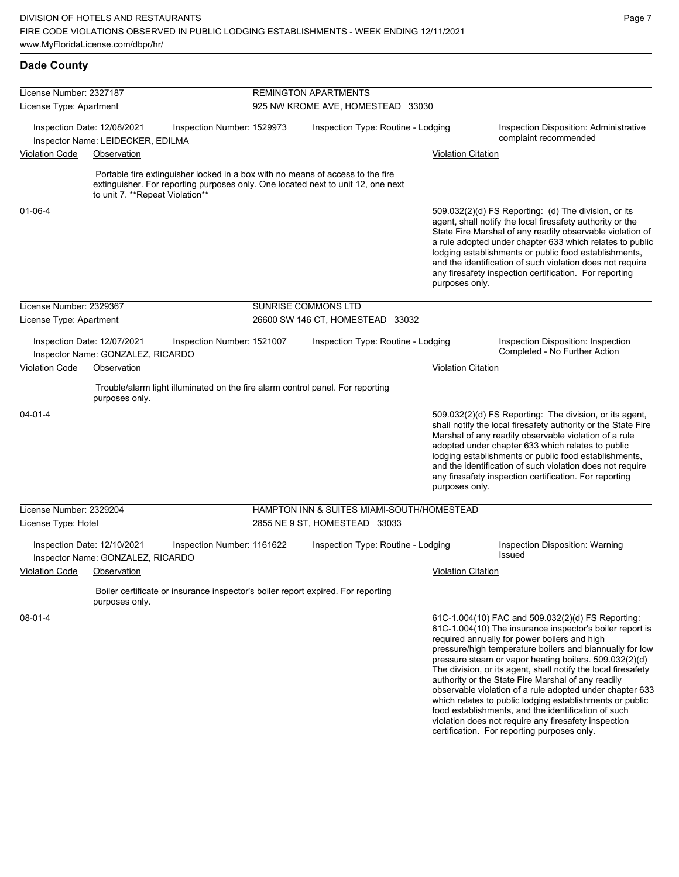| License Number: 2327187 |                                                                  |                                                                                  | <b>REMINGTON APARTMENTS</b>       |                                                                                  |                           |                                                                                                                                                                                                                                                                                                                                                                                                                                                                                                                                                                                           |  |  |
|-------------------------|------------------------------------------------------------------|----------------------------------------------------------------------------------|-----------------------------------|----------------------------------------------------------------------------------|---------------------------|-------------------------------------------------------------------------------------------------------------------------------------------------------------------------------------------------------------------------------------------------------------------------------------------------------------------------------------------------------------------------------------------------------------------------------------------------------------------------------------------------------------------------------------------------------------------------------------------|--|--|
| License Type: Apartment |                                                                  |                                                                                  | 925 NW KROME AVE, HOMESTEAD 33030 |                                                                                  |                           |                                                                                                                                                                                                                                                                                                                                                                                                                                                                                                                                                                                           |  |  |
|                         | Inspection Date: 12/08/2021<br>Inspector Name: LEIDECKER, EDILMA | Inspection Number: 1529973                                                       |                                   | Inspection Type: Routine - Lodging                                               |                           | Inspection Disposition: Administrative<br>complaint recommended                                                                                                                                                                                                                                                                                                                                                                                                                                                                                                                           |  |  |
| <b>Violation Code</b>   | Observation                                                      |                                                                                  |                                   |                                                                                  | <b>Violation Citation</b> |                                                                                                                                                                                                                                                                                                                                                                                                                                                                                                                                                                                           |  |  |
|                         |                                                                  |                                                                                  |                                   |                                                                                  |                           |                                                                                                                                                                                                                                                                                                                                                                                                                                                                                                                                                                                           |  |  |
|                         | to unit 7. ** Repeat Violation**                                 | Portable fire extinguisher locked in a box with no means of access to the fire   |                                   | extinguisher. For reporting purposes only. One located next to unit 12, one next |                           |                                                                                                                                                                                                                                                                                                                                                                                                                                                                                                                                                                                           |  |  |
| 01-06-4                 |                                                                  |                                                                                  |                                   |                                                                                  | purposes only.            | 509.032(2)(d) FS Reporting: (d) The division, or its<br>agent, shall notify the local firesafety authority or the<br>State Fire Marshal of any readily observable violation of<br>a rule adopted under chapter 633 which relates to public<br>lodging establishments or public food establishments,<br>and the identification of such violation does not require<br>any firesafety inspection certification. For reporting                                                                                                                                                                |  |  |
| License Number: 2329367 |                                                                  |                                                                                  |                                   | SUNRISE COMMONS LTD                                                              |                           |                                                                                                                                                                                                                                                                                                                                                                                                                                                                                                                                                                                           |  |  |
| License Type: Apartment |                                                                  |                                                                                  |                                   | 26600 SW 146 CT, HOMESTEAD 33032                                                 |                           |                                                                                                                                                                                                                                                                                                                                                                                                                                                                                                                                                                                           |  |  |
|                         | Inspection Date: 12/07/2021<br>Inspector Name: GONZALEZ, RICARDO | Inspection Number: 1521007                                                       |                                   | Inspection Type: Routine - Lodging                                               |                           | Inspection Disposition: Inspection<br>Completed - No Further Action                                                                                                                                                                                                                                                                                                                                                                                                                                                                                                                       |  |  |
| <b>Violation Code</b>   | Observation                                                      |                                                                                  |                                   |                                                                                  | <b>Violation Citation</b> |                                                                                                                                                                                                                                                                                                                                                                                                                                                                                                                                                                                           |  |  |
|                         | purposes only.                                                   | Trouble/alarm light illuminated on the fire alarm control panel. For reporting   |                                   |                                                                                  |                           |                                                                                                                                                                                                                                                                                                                                                                                                                                                                                                                                                                                           |  |  |
| $04 - 01 - 4$           |                                                                  |                                                                                  |                                   |                                                                                  | purposes only.            | 509.032(2)(d) FS Reporting: The division, or its agent,<br>shall notify the local firesafety authority or the State Fire<br>Marshal of any readily observable violation of a rule<br>adopted under chapter 633 which relates to public<br>lodging establishments or public food establishments,<br>and the identification of such violation does not require<br>any firesafety inspection certification. For reporting                                                                                                                                                                    |  |  |
| License Number: 2329204 |                                                                  |                                                                                  |                                   | HAMPTON INN & SUITES MIAMI-SOUTH/HOMESTEAD                                       |                           |                                                                                                                                                                                                                                                                                                                                                                                                                                                                                                                                                                                           |  |  |
| License Type: Hotel     |                                                                  |                                                                                  |                                   | 2855 NE 9 ST, HOMESTEAD 33033                                                    |                           |                                                                                                                                                                                                                                                                                                                                                                                                                                                                                                                                                                                           |  |  |
|                         | Inspection Date: 12/10/2021<br>Inspector Name: GONZALEZ, RICARDO | Inspection Number: 1161622                                                       |                                   | Inspection Type: Routine - Lodging                                               |                           | Inspection Disposition: Warning<br>Issued                                                                                                                                                                                                                                                                                                                                                                                                                                                                                                                                                 |  |  |
| <b>Violation Code</b>   | Observation                                                      |                                                                                  |                                   |                                                                                  | <b>Violation Citation</b> |                                                                                                                                                                                                                                                                                                                                                                                                                                                                                                                                                                                           |  |  |
|                         | purposes only.                                                   | Boiler certificate or insurance inspector's boiler report expired. For reporting |                                   |                                                                                  |                           |                                                                                                                                                                                                                                                                                                                                                                                                                                                                                                                                                                                           |  |  |
| 08-01-4                 |                                                                  |                                                                                  |                                   |                                                                                  |                           | 61C-1.004(10) FAC and 509.032(2)(d) FS Reporting:<br>61C-1.004(10) The insurance inspector's boiler report is<br>required annually for power boilers and high<br>pressure/high temperature boilers and biannually for low<br>pressure steam or vapor heating boilers. 509.032(2)(d)<br>The division, or its agent, shall notify the local firesafety<br>authority or the State Fire Marshal of any readily<br>observable violation of a rule adopted under chapter 633<br>which relates to public lodging establishments or public<br>food establishments, and the identification of such |  |  |

Page 7

violation does not require any firesafety inspection certification. For reporting purposes only.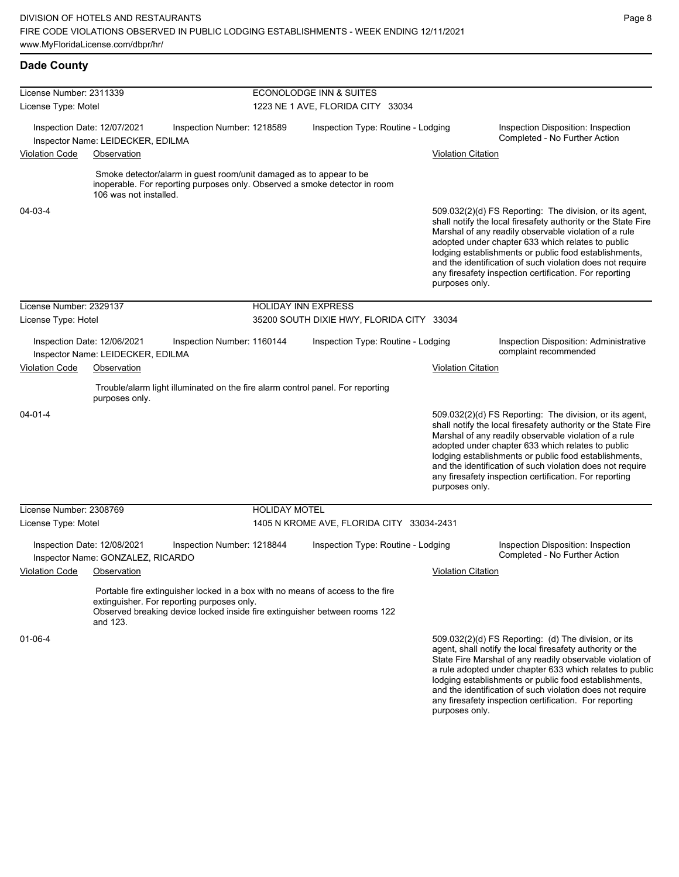**Dade County**

lodging establishments or public food establishments, and the identification of such violation does not require any firesafety inspection certification. For reporting

| License Number: 2311339     |                                                                  |                                                                                                                                                                                                            |                                           | <b>ECONOLODGE INN &amp; SUITES</b>        |                           |                                                                                                                                                                                                                                                                                                                                                                                                                        |  |  |
|-----------------------------|------------------------------------------------------------------|------------------------------------------------------------------------------------------------------------------------------------------------------------------------------------------------------------|-------------------------------------------|-------------------------------------------|---------------------------|------------------------------------------------------------------------------------------------------------------------------------------------------------------------------------------------------------------------------------------------------------------------------------------------------------------------------------------------------------------------------------------------------------------------|--|--|
| License Type: Motel         |                                                                  |                                                                                                                                                                                                            | 1223 NE 1 AVE, FLORIDA CITY 33034         |                                           |                           |                                                                                                                                                                                                                                                                                                                                                                                                                        |  |  |
|                             | Inspection Date: 12/07/2021<br>Inspector Name: LEIDECKER, EDILMA | Inspection Number: 1218589                                                                                                                                                                                 | Inspection Type: Routine - Lodging        |                                           |                           | Inspection Disposition: Inspection<br>Completed - No Further Action                                                                                                                                                                                                                                                                                                                                                    |  |  |
| <b>Violation Code</b>       | Observation                                                      |                                                                                                                                                                                                            |                                           |                                           | <b>Violation Citation</b> |                                                                                                                                                                                                                                                                                                                                                                                                                        |  |  |
|                             | 106 was not installed.                                           | Smoke detector/alarm in guest room/unit damaged as to appear to be<br>inoperable. For reporting purposes only. Observed a smoke detector in room                                                           |                                           |                                           |                           |                                                                                                                                                                                                                                                                                                                                                                                                                        |  |  |
| 04-03-4                     |                                                                  |                                                                                                                                                                                                            |                                           |                                           | purposes only.            | 509.032(2)(d) FS Reporting: The division, or its agent,<br>shall notify the local firesafety authority or the State Fire<br>Marshal of any readily observable violation of a rule<br>adopted under chapter 633 which relates to public<br>lodging establishments or public food establishments,<br>and the identification of such violation does not require<br>any firesafety inspection certification. For reporting |  |  |
| License Number: 2329137     |                                                                  |                                                                                                                                                                                                            | <b>HOLIDAY INN EXPRESS</b>                |                                           |                           |                                                                                                                                                                                                                                                                                                                                                                                                                        |  |  |
| License Type: Hotel         |                                                                  |                                                                                                                                                                                                            | 35200 SOUTH DIXIE HWY, FLORIDA CITY 33034 |                                           |                           |                                                                                                                                                                                                                                                                                                                                                                                                                        |  |  |
|                             | Inspection Date: 12/06/2021<br>Inspector Name: LEIDECKER, EDILMA | Inspection Number: 1160144                                                                                                                                                                                 |                                           | Inspection Type: Routine - Lodging        |                           | Inspection Disposition: Administrative<br>complaint recommended                                                                                                                                                                                                                                                                                                                                                        |  |  |
| <b>Violation Code</b>       | Observation                                                      |                                                                                                                                                                                                            |                                           |                                           | <b>Violation Citation</b> |                                                                                                                                                                                                                                                                                                                                                                                                                        |  |  |
|                             | purposes only.                                                   | Trouble/alarm light illuminated on the fire alarm control panel. For reporting                                                                                                                             |                                           |                                           |                           |                                                                                                                                                                                                                                                                                                                                                                                                                        |  |  |
| 04-01-4                     |                                                                  |                                                                                                                                                                                                            |                                           |                                           | purposes only.            | 509.032(2)(d) FS Reporting: The division, or its agent,<br>shall notify the local firesafety authority or the State Fire<br>Marshal of any readily observable violation of a rule<br>adopted under chapter 633 which relates to public<br>lodging establishments or public food establishments,<br>and the identification of such violation does not require<br>any firesafety inspection certification. For reporting |  |  |
| License Number: 2308769     |                                                                  |                                                                                                                                                                                                            | <b>HOLIDAY MOTEL</b>                      |                                           |                           |                                                                                                                                                                                                                                                                                                                                                                                                                        |  |  |
| License Type: Motel         |                                                                  |                                                                                                                                                                                                            |                                           | 1405 N KROME AVE, FLORIDA CITY 33034-2431 |                           |                                                                                                                                                                                                                                                                                                                                                                                                                        |  |  |
|                             | Inspection Date: 12/08/2021<br>Inspector Name: GONZALEZ, RICARDO | Inspection Number: 1218844                                                                                                                                                                                 |                                           | Inspection Type: Routine - Lodging        |                           | Inspection Disposition: Inspection<br>Completed - No Further Action                                                                                                                                                                                                                                                                                                                                                    |  |  |
| Violation Code  Observation |                                                                  |                                                                                                                                                                                                            |                                           |                                           | <b>Violation Citation</b> |                                                                                                                                                                                                                                                                                                                                                                                                                        |  |  |
|                             | and 123.                                                         | Portable fire extinguisher locked in a box with no means of access to the fire<br>extinguisher. For reporting purposes only.<br>Observed breaking device locked inside fire extinguisher between rooms 122 |                                           |                                           |                           |                                                                                                                                                                                                                                                                                                                                                                                                                        |  |  |
| 01-06-4                     |                                                                  |                                                                                                                                                                                                            |                                           |                                           |                           | 509.032(2)(d) FS Reporting: (d) The division, or its<br>agent, shall notify the local firesafety authority or the<br>State Fire Marshal of any readily observable violation of<br>a rule adopted under chapter 633 which relates to public                                                                                                                                                                             |  |  |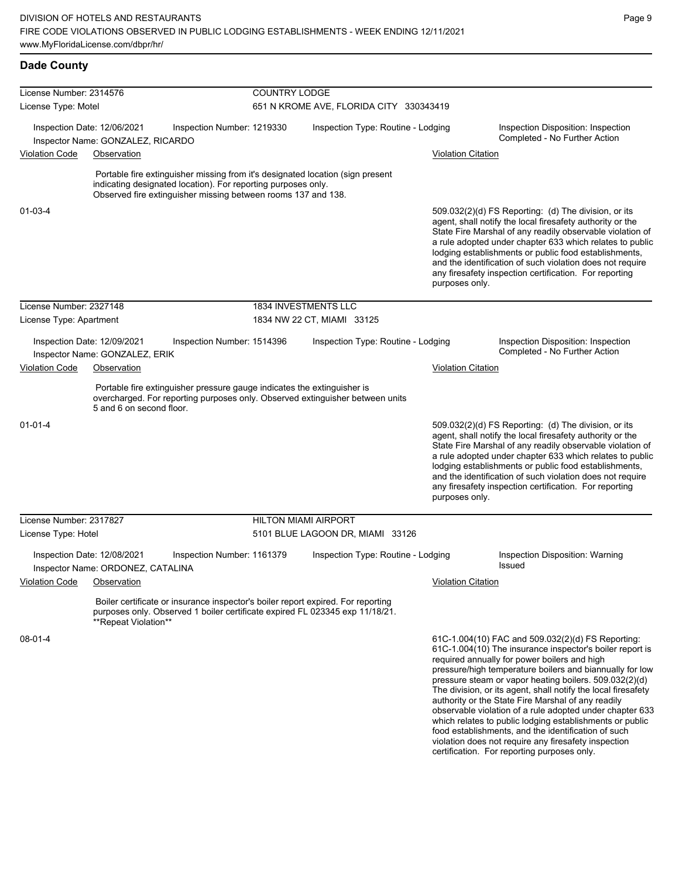violation does not require any firesafety inspection certification. For reporting purposes only.

| <b>Dade County</b>                   |                                                                  |                                                                                                                                                                                                                  |                                         |                                    |                    |                                                                     |                                                                                                                                                                                                                                                                                                                                                                                                                                                                                                                                                                                           |  |
|--------------------------------------|------------------------------------------------------------------|------------------------------------------------------------------------------------------------------------------------------------------------------------------------------------------------------------------|-----------------------------------------|------------------------------------|--------------------|---------------------------------------------------------------------|-------------------------------------------------------------------------------------------------------------------------------------------------------------------------------------------------------------------------------------------------------------------------------------------------------------------------------------------------------------------------------------------------------------------------------------------------------------------------------------------------------------------------------------------------------------------------------------------|--|
| License Number: 2314576              |                                                                  |                                                                                                                                                                                                                  | <b>COUNTRY LODGE</b>                    |                                    |                    |                                                                     |                                                                                                                                                                                                                                                                                                                                                                                                                                                                                                                                                                                           |  |
| License Type: Motel                  |                                                                  |                                                                                                                                                                                                                  | 651 N KROME AVE, FLORIDA CITY 330343419 |                                    |                    |                                                                     |                                                                                                                                                                                                                                                                                                                                                                                                                                                                                                                                                                                           |  |
|                                      | Inspection Date: 12/06/2021<br>Inspector Name: GONZALEZ, RICARDO | Inspection Number: 1219330                                                                                                                                                                                       |                                         | Inspection Type: Routine - Lodging |                    | Inspection Disposition: Inspection<br>Completed - No Further Action |                                                                                                                                                                                                                                                                                                                                                                                                                                                                                                                                                                                           |  |
| <b>Violation Code</b><br>Observation |                                                                  |                                                                                                                                                                                                                  |                                         |                                    |                    | <b>Violation Citation</b>                                           |                                                                                                                                                                                                                                                                                                                                                                                                                                                                                                                                                                                           |  |
|                                      |                                                                  | Portable fire extinguisher missing from it's designated location (sign present<br>indicating designated location). For reporting purposes only.<br>Observed fire extinguisher missing between rooms 137 and 138. |                                         |                                    |                    |                                                                     |                                                                                                                                                                                                                                                                                                                                                                                                                                                                                                                                                                                           |  |
| 01-03-4                              |                                                                  |                                                                                                                                                                                                                  |                                         |                                    |                    | purposes only.                                                      | 509.032(2)(d) FS Reporting: (d) The division, or its<br>agent, shall notify the local firesafety authority or the<br>State Fire Marshal of any readily observable violation of<br>a rule adopted under chapter 633 which relates to public<br>lodging establishments or public food establishments,<br>and the identification of such violation does not require<br>any firesafety inspection certification. For reporting                                                                                                                                                                |  |
| License Number: 2327148              |                                                                  |                                                                                                                                                                                                                  |                                         | 1834 INVESTMENTS LLC               |                    |                                                                     |                                                                                                                                                                                                                                                                                                                                                                                                                                                                                                                                                                                           |  |
| License Type: Apartment              |                                                                  |                                                                                                                                                                                                                  |                                         | 1834 NW 22 CT, MIAMI 33125         |                    |                                                                     |                                                                                                                                                                                                                                                                                                                                                                                                                                                                                                                                                                                           |  |
|                                      | Inspection Date: 12/09/2021<br>Inspector Name: GONZALEZ, ERIK    | Inspection Number: 1514396                                                                                                                                                                                       |                                         | Inspection Type: Routine - Lodging |                    |                                                                     | Inspection Disposition: Inspection<br>Completed - No Further Action                                                                                                                                                                                                                                                                                                                                                                                                                                                                                                                       |  |
| <b>Violation Code</b><br>Observation |                                                                  |                                                                                                                                                                                                                  |                                         |                                    | Violation Citation |                                                                     |                                                                                                                                                                                                                                                                                                                                                                                                                                                                                                                                                                                           |  |
|                                      | 5 and 6 on second floor.                                         | Portable fire extinguisher pressure gauge indicates the extinguisher is<br>overcharged. For reporting purposes only. Observed extinguisher between units                                                         |                                         |                                    |                    |                                                                     |                                                                                                                                                                                                                                                                                                                                                                                                                                                                                                                                                                                           |  |
| $01 - 01 - 4$                        |                                                                  |                                                                                                                                                                                                                  |                                         |                                    |                    | purposes only.                                                      | 509.032(2)(d) FS Reporting: (d) The division, or its<br>agent, shall notify the local firesafety authority or the<br>State Fire Marshal of any readily observable violation of<br>a rule adopted under chapter 633 which relates to public<br>lodging establishments or public food establishments,<br>and the identification of such violation does not require<br>any firesafety inspection certification. For reporting                                                                                                                                                                |  |
| License Number: 2317827              |                                                                  |                                                                                                                                                                                                                  | <b>HILTON MIAMI AIRPORT</b>             |                                    |                    |                                                                     |                                                                                                                                                                                                                                                                                                                                                                                                                                                                                                                                                                                           |  |
| License Type: Hotel                  |                                                                  |                                                                                                                                                                                                                  |                                         | 5101 BLUE LAGOON DR, MIAMI 33126   |                    |                                                                     |                                                                                                                                                                                                                                                                                                                                                                                                                                                                                                                                                                                           |  |
|                                      | Inspection Date: 12/08/2021<br>Inspector Name: ORDONEZ, CATALINA | Inspection Number: 1161379                                                                                                                                                                                       |                                         | Inspection Type: Routine - Lodging |                    |                                                                     | Inspection Disposition: Warning<br><b>Issued</b>                                                                                                                                                                                                                                                                                                                                                                                                                                                                                                                                          |  |
| <b>Violation Code</b>                | Observation                                                      |                                                                                                                                                                                                                  |                                         |                                    |                    | Violation Citation                                                  |                                                                                                                                                                                                                                                                                                                                                                                                                                                                                                                                                                                           |  |
|                                      | **Repeat Violation**                                             | Boiler certificate or insurance inspector's boiler report expired. For reporting<br>purposes only. Observed 1 boiler certificate expired FL 023345 exp 11/18/21.                                                 |                                         |                                    |                    |                                                                     |                                                                                                                                                                                                                                                                                                                                                                                                                                                                                                                                                                                           |  |
| 08-01-4                              |                                                                  |                                                                                                                                                                                                                  |                                         |                                    |                    |                                                                     | 61C-1.004(10) FAC and 509.032(2)(d) FS Reporting:<br>61C-1.004(10) The insurance inspector's boiler report is<br>required annually for power boilers and high<br>pressure/high temperature boilers and biannually for low<br>pressure steam or vapor heating boilers. 509.032(2)(d)<br>The division, or its agent, shall notify the local firesafety<br>authority or the State Fire Marshal of any readily<br>observable violation of a rule adopted under chapter 633<br>which relates to public lodging establishments or public<br>food establishments, and the identification of such |  |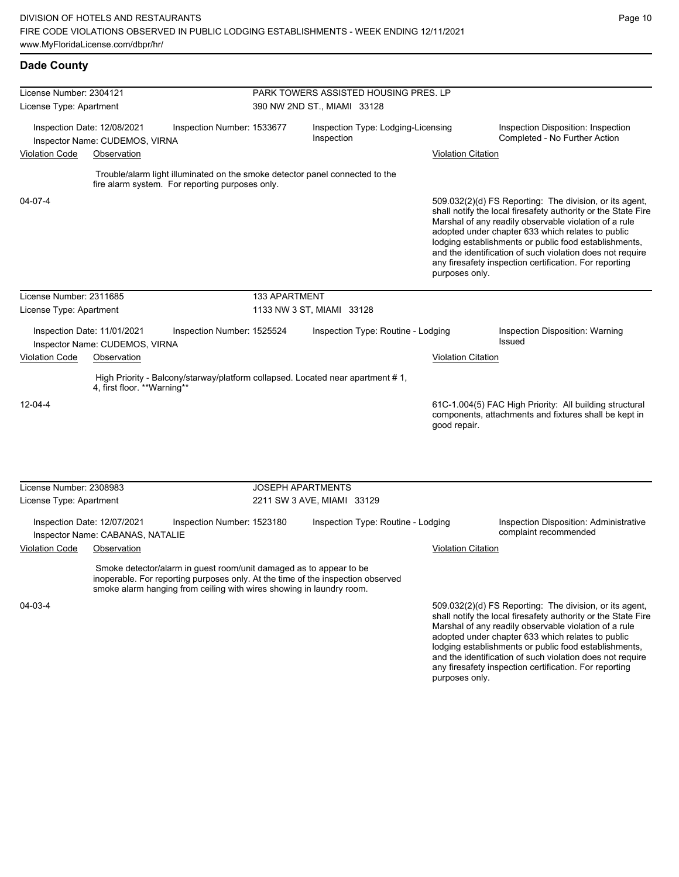adopted under chapter 633 which relates to public lodging establishments or public food establishments, and the identification of such violation does not require any firesafety inspection certification. For reporting

| <b>Dade County</b>      |                                                                 |                                                                                                                                            |                                       |                                                                                 |                           |                                                                                                                                                                                                                                                                                                                                                                                                                        |  |  |  |
|-------------------------|-----------------------------------------------------------------|--------------------------------------------------------------------------------------------------------------------------------------------|---------------------------------------|---------------------------------------------------------------------------------|---------------------------|------------------------------------------------------------------------------------------------------------------------------------------------------------------------------------------------------------------------------------------------------------------------------------------------------------------------------------------------------------------------------------------------------------------------|--|--|--|
| License Number: 2304121 |                                                                 |                                                                                                                                            | PARK TOWERS ASSISTED HOUSING PRES. LP |                                                                                 |                           |                                                                                                                                                                                                                                                                                                                                                                                                                        |  |  |  |
| License Type: Apartment |                                                                 |                                                                                                                                            | 390 NW 2ND ST., MIAMI 33128           |                                                                                 |                           |                                                                                                                                                                                                                                                                                                                                                                                                                        |  |  |  |
|                         | Inspection Date: 12/08/2021<br>Inspector Name: CUDEMOS, VIRNA   | Inspection Number: 1533677                                                                                                                 |                                       | Inspection Type: Lodging-Licensing<br>Inspection                                |                           | Inspection Disposition: Inspection<br>Completed - No Further Action                                                                                                                                                                                                                                                                                                                                                    |  |  |  |
| <b>Violation Code</b>   | Observation                                                     |                                                                                                                                            |                                       |                                                                                 | <b>Violation Citation</b> |                                                                                                                                                                                                                                                                                                                                                                                                                        |  |  |  |
|                         |                                                                 | fire alarm system. For reporting purposes only.                                                                                            |                                       | Trouble/alarm light illuminated on the smoke detector panel connected to the    |                           |                                                                                                                                                                                                                                                                                                                                                                                                                        |  |  |  |
| 04-07-4                 |                                                                 |                                                                                                                                            |                                       |                                                                                 | purposes only.            | 509.032(2)(d) FS Reporting: The division, or its agent,<br>shall notify the local firesafety authority or the State Fire<br>Marshal of any readily observable violation of a rule<br>adopted under chapter 633 which relates to public<br>lodging establishments or public food establishments,<br>and the identification of such violation does not require<br>any firesafety inspection certification. For reporting |  |  |  |
| License Number: 2311685 |                                                                 |                                                                                                                                            | 133 APARTMENT                         |                                                                                 |                           |                                                                                                                                                                                                                                                                                                                                                                                                                        |  |  |  |
| License Type: Apartment |                                                                 |                                                                                                                                            |                                       | 1133 NW 3 ST, MIAMI 33128                                                       |                           |                                                                                                                                                                                                                                                                                                                                                                                                                        |  |  |  |
|                         | Inspection Date: 11/01/2021<br>Inspector Name: CUDEMOS, VIRNA   | Inspection Number: 1525524                                                                                                                 |                                       | Inspection Type: Routine - Lodging                                              |                           | Inspection Disposition: Warning<br>Issued                                                                                                                                                                                                                                                                                                                                                                              |  |  |  |
| <b>Violation Code</b>   | Observation                                                     |                                                                                                                                            |                                       |                                                                                 | <b>Violation Citation</b> |                                                                                                                                                                                                                                                                                                                                                                                                                        |  |  |  |
|                         | 4, first floor. **Warning**                                     |                                                                                                                                            |                                       | High Priority - Balcony/starway/platform collapsed. Located near apartment #1,  |                           |                                                                                                                                                                                                                                                                                                                                                                                                                        |  |  |  |
| $12 - 04 - 4$           |                                                                 |                                                                                                                                            |                                       |                                                                                 | good repair.              | 61C-1.004(5) FAC High Priority: All building structural<br>components, attachments and fixtures shall be kept in                                                                                                                                                                                                                                                                                                       |  |  |  |
|                         |                                                                 |                                                                                                                                            |                                       |                                                                                 |                           |                                                                                                                                                                                                                                                                                                                                                                                                                        |  |  |  |
| License Number: 2308983 |                                                                 |                                                                                                                                            |                                       | <b>JOSEPH APARTMENTS</b>                                                        |                           |                                                                                                                                                                                                                                                                                                                                                                                                                        |  |  |  |
| License Type: Apartment |                                                                 |                                                                                                                                            |                                       | 2211 SW 3 AVE, MIAMI 33129                                                      |                           |                                                                                                                                                                                                                                                                                                                                                                                                                        |  |  |  |
|                         | Inspection Date: 12/07/2021<br>Inspector Name: CABANAS, NATALIE | Inspection Number: 1523180                                                                                                                 |                                       | Inspection Type: Routine - Lodging                                              |                           | Inspection Disposition: Administrative<br>complaint recommended                                                                                                                                                                                                                                                                                                                                                        |  |  |  |
| <b>Violation Code</b>   | Observation                                                     |                                                                                                                                            |                                       |                                                                                 | <b>Violation Citation</b> |                                                                                                                                                                                                                                                                                                                                                                                                                        |  |  |  |
|                         |                                                                 | Smoke detector/alarm in guest room/unit damaged as to appear to be<br>smoke alarm hanging from ceiling with wires showing in laundry room. |                                       | inoperable. For reporting purposes only. At the time of the inspection observed |                           |                                                                                                                                                                                                                                                                                                                                                                                                                        |  |  |  |
| 04-03-4                 |                                                                 |                                                                                                                                            |                                       |                                                                                 |                           | 509.032(2)(d) FS Reporting: The division, or its agent,<br>shall notify the local firesafety authority or the State Fire<br>Marshal of any readily observable violation of a rule                                                                                                                                                                                                                                      |  |  |  |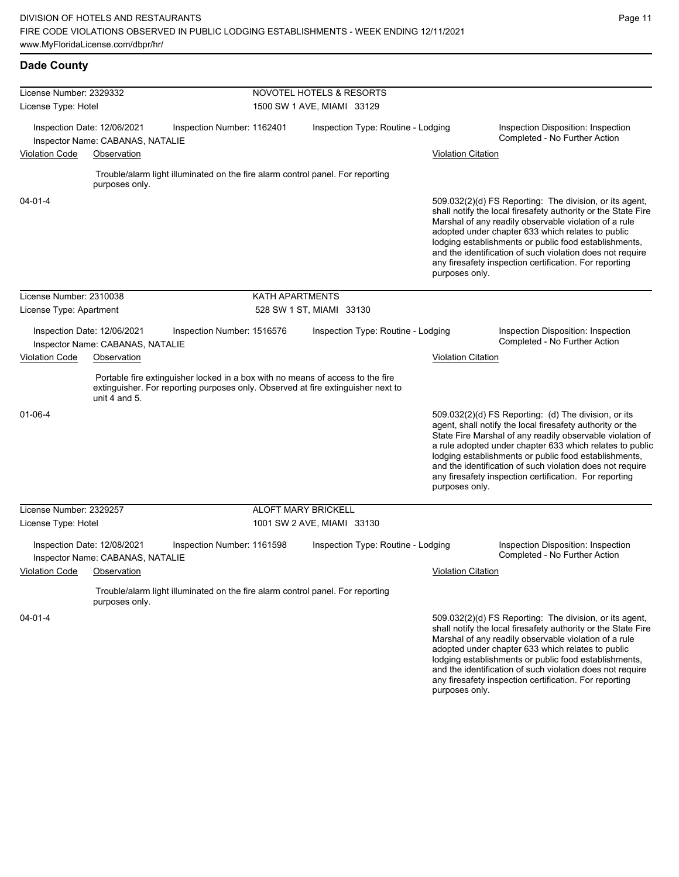and the identification of such violation does not require any firesafety inspection certification. For reporting

| <b>Dade County</b>                                                                            |                                                                 |                                                                                |                                    |                                                                                                                                                                    |                                                                                                                                                                                                                                                                                                                                                                                                                                          |                                                                                                                                                                                                                                                                                                                                                                                                                            |  |
|-----------------------------------------------------------------------------------------------|-----------------------------------------------------------------|--------------------------------------------------------------------------------|------------------------------------|--------------------------------------------------------------------------------------------------------------------------------------------------------------------|------------------------------------------------------------------------------------------------------------------------------------------------------------------------------------------------------------------------------------------------------------------------------------------------------------------------------------------------------------------------------------------------------------------------------------------|----------------------------------------------------------------------------------------------------------------------------------------------------------------------------------------------------------------------------------------------------------------------------------------------------------------------------------------------------------------------------------------------------------------------------|--|
| License Number: 2329332                                                                       |                                                                 |                                                                                |                                    | <b>NOVOTEL HOTELS &amp; RESORTS</b>                                                                                                                                |                                                                                                                                                                                                                                                                                                                                                                                                                                          |                                                                                                                                                                                                                                                                                                                                                                                                                            |  |
| License Type: Hotel                                                                           |                                                                 |                                                                                | 1500 SW 1 AVE, MIAMI 33129         |                                                                                                                                                                    |                                                                                                                                                                                                                                                                                                                                                                                                                                          |                                                                                                                                                                                                                                                                                                                                                                                                                            |  |
|                                                                                               | Inspection Date: 12/06/2021<br>Inspector Name: CABANAS, NATALIE | Inspection Number: 1162401                                                     |                                    | Inspection Type: Routine - Lodging                                                                                                                                 |                                                                                                                                                                                                                                                                                                                                                                                                                                          | Inspection Disposition: Inspection<br>Completed - No Further Action                                                                                                                                                                                                                                                                                                                                                        |  |
| <b>Violation Code</b>                                                                         | Observation                                                     |                                                                                |                                    |                                                                                                                                                                    | <b>Violation Citation</b>                                                                                                                                                                                                                                                                                                                                                                                                                |                                                                                                                                                                                                                                                                                                                                                                                                                            |  |
|                                                                                               | purposes only.                                                  | Trouble/alarm light illuminated on the fire alarm control panel. For reporting |                                    |                                                                                                                                                                    |                                                                                                                                                                                                                                                                                                                                                                                                                                          |                                                                                                                                                                                                                                                                                                                                                                                                                            |  |
| 04-01-4                                                                                       |                                                                 |                                                                                |                                    |                                                                                                                                                                    | 509.032(2)(d) FS Reporting: The division, or its agent,<br>shall notify the local firesafety authority or the State Fire<br>Marshal of any readily observable violation of a rule<br>adopted under chapter 633 which relates to public<br>lodging establishments or public food establishments,<br>and the identification of such violation does not require<br>any firesafety inspection certification. For reporting<br>purposes only. |                                                                                                                                                                                                                                                                                                                                                                                                                            |  |
| License Number: 2310038                                                                       |                                                                 |                                                                                | KATH APARTMENTS                    |                                                                                                                                                                    |                                                                                                                                                                                                                                                                                                                                                                                                                                          |                                                                                                                                                                                                                                                                                                                                                                                                                            |  |
| License Type: Apartment                                                                       |                                                                 |                                                                                | 528 SW 1 ST, MIAMI 33130           |                                                                                                                                                                    |                                                                                                                                                                                                                                                                                                                                                                                                                                          |                                                                                                                                                                                                                                                                                                                                                                                                                            |  |
| Inspection Date: 12/06/2021<br>Inspection Number: 1516576<br>Inspector Name: CABANAS, NATALIE |                                                                 |                                                                                | Inspection Type: Routine - Lodging |                                                                                                                                                                    | Inspection Disposition: Inspection<br>Completed - No Further Action                                                                                                                                                                                                                                                                                                                                                                      |                                                                                                                                                                                                                                                                                                                                                                                                                            |  |
| <b>Violation Code</b><br>Observation                                                          |                                                                 |                                                                                |                                    | <b>Violation Citation</b>                                                                                                                                          |                                                                                                                                                                                                                                                                                                                                                                                                                                          |                                                                                                                                                                                                                                                                                                                                                                                                                            |  |
|                                                                                               | unit 4 and $5.$                                                 |                                                                                |                                    | Portable fire extinguisher locked in a box with no means of access to the fire<br>extinguisher. For reporting purposes only. Observed at fire extinguisher next to |                                                                                                                                                                                                                                                                                                                                                                                                                                          |                                                                                                                                                                                                                                                                                                                                                                                                                            |  |
| 01-06-4                                                                                       |                                                                 |                                                                                |                                    |                                                                                                                                                                    | purposes only.                                                                                                                                                                                                                                                                                                                                                                                                                           | 509.032(2)(d) FS Reporting: (d) The division, or its<br>agent, shall notify the local firesafety authority or the<br>State Fire Marshal of any readily observable violation of<br>a rule adopted under chapter 633 which relates to public<br>lodging establishments or public food establishments,<br>and the identification of such violation does not require<br>any firesafety inspection certification. For reporting |  |
| License Number: 2329257                                                                       |                                                                 |                                                                                |                                    | <b>ALOFT MARY BRICKELL</b>                                                                                                                                         |                                                                                                                                                                                                                                                                                                                                                                                                                                          |                                                                                                                                                                                                                                                                                                                                                                                                                            |  |
| License Type: Hotel                                                                           |                                                                 |                                                                                |                                    | 1001 SW 2 AVE, MIAMI 33130                                                                                                                                         |                                                                                                                                                                                                                                                                                                                                                                                                                                          |                                                                                                                                                                                                                                                                                                                                                                                                                            |  |
|                                                                                               | Inspection Date: 12/08/2021<br>Inspector Name: CABANAS, NATALIE | Inspection Number: 1161598                                                     |                                    | Inspection Type: Routine - Lodging                                                                                                                                 |                                                                                                                                                                                                                                                                                                                                                                                                                                          | Inspection Disposition: Inspection<br>Completed - No Further Action                                                                                                                                                                                                                                                                                                                                                        |  |
| <b>Violation Code</b>                                                                         | Observation                                                     |                                                                                |                                    |                                                                                                                                                                    | <b>Violation Citation</b>                                                                                                                                                                                                                                                                                                                                                                                                                |                                                                                                                                                                                                                                                                                                                                                                                                                            |  |
|                                                                                               | purposes only.                                                  | Trouble/alarm light illuminated on the fire alarm control panel. For reporting |                                    |                                                                                                                                                                    |                                                                                                                                                                                                                                                                                                                                                                                                                                          |                                                                                                                                                                                                                                                                                                                                                                                                                            |  |
| 04-01-4                                                                                       |                                                                 |                                                                                |                                    |                                                                                                                                                                    |                                                                                                                                                                                                                                                                                                                                                                                                                                          | 509.032(2)(d) FS Reporting: The division, or its agent,<br>shall notify the local firesafety authority or the State Fire<br>Marshal of any readily observable violation of a rule<br>adopted under chapter 633 which relates to public<br>lodging establishments or public food establishments,                                                                                                                            |  |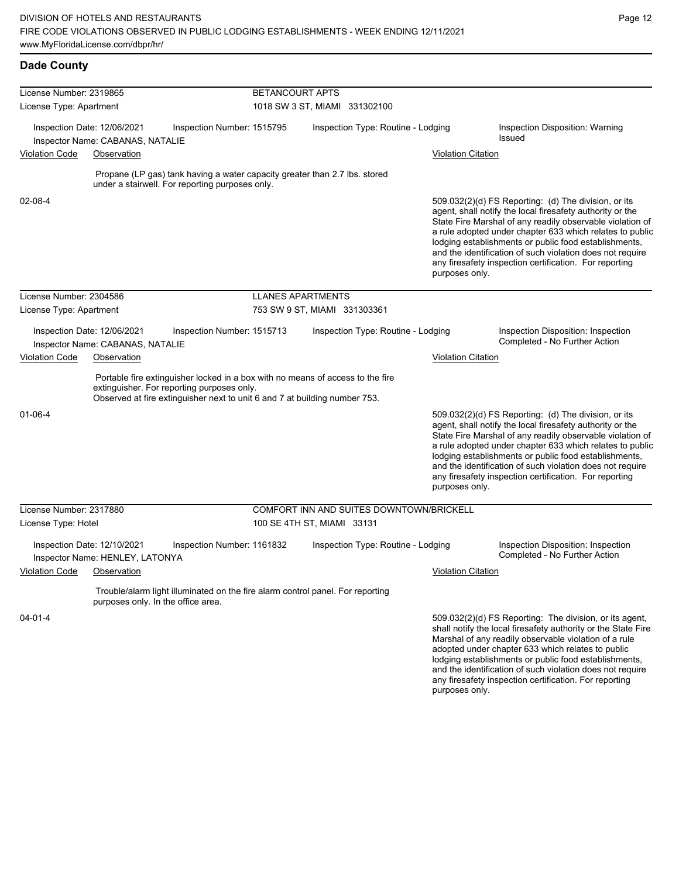lodging establishments or public food establishments, and the identification of such violation does not require any firesafety inspection certification. For reporting

| <b>Dade County</b>      |                                                                 |                                                                                                                                                                                                            |                               |                                          |  |                           |                                                                                                                                                                                                                                                                                                                                                                                                                            |
|-------------------------|-----------------------------------------------------------------|------------------------------------------------------------------------------------------------------------------------------------------------------------------------------------------------------------|-------------------------------|------------------------------------------|--|---------------------------|----------------------------------------------------------------------------------------------------------------------------------------------------------------------------------------------------------------------------------------------------------------------------------------------------------------------------------------------------------------------------------------------------------------------------|
| License Number: 2319865 |                                                                 |                                                                                                                                                                                                            | <b>BETANCOURT APTS</b>        |                                          |  |                           |                                                                                                                                                                                                                                                                                                                                                                                                                            |
| License Type: Apartment |                                                                 |                                                                                                                                                                                                            | 1018 SW 3 ST, MIAMI 331302100 |                                          |  |                           |                                                                                                                                                                                                                                                                                                                                                                                                                            |
|                         | Inspection Date: 12/06/2021<br>Inspector Name: CABANAS, NATALIE | Inspection Number: 1515795                                                                                                                                                                                 |                               | Inspection Type: Routine - Lodging       |  |                           | Inspection Disposition: Warning<br>Issued                                                                                                                                                                                                                                                                                                                                                                                  |
| <b>Violation Code</b>   | Observation                                                     |                                                                                                                                                                                                            |                               |                                          |  | <b>Violation Citation</b> |                                                                                                                                                                                                                                                                                                                                                                                                                            |
|                         |                                                                 | Propane (LP gas) tank having a water capacity greater than 2.7 lbs. stored<br>under a stairwell. For reporting purposes only.                                                                              |                               |                                          |  |                           |                                                                                                                                                                                                                                                                                                                                                                                                                            |
| 02-08-4                 |                                                                 |                                                                                                                                                                                                            |                               |                                          |  | purposes only.            | 509.032(2)(d) FS Reporting: (d) The division, or its<br>agent, shall notify the local firesafety authority or the<br>State Fire Marshal of any readily observable violation of<br>a rule adopted under chapter 633 which relates to public<br>lodging establishments or public food establishments,<br>and the identification of such violation does not require<br>any firesafety inspection certification. For reporting |
| License Number: 2304586 |                                                                 |                                                                                                                                                                                                            | <b>LLANES APARTMENTS</b>      |                                          |  |                           |                                                                                                                                                                                                                                                                                                                                                                                                                            |
| License Type: Apartment |                                                                 |                                                                                                                                                                                                            |                               | 753 SW 9 ST, MIAMI 331303361             |  |                           |                                                                                                                                                                                                                                                                                                                                                                                                                            |
|                         | Inspection Date: 12/06/2021<br>Inspector Name: CABANAS, NATALIE | Inspection Number: 1515713                                                                                                                                                                                 |                               | Inspection Type: Routine - Lodging       |  |                           | Inspection Disposition: Inspection<br>Completed - No Further Action                                                                                                                                                                                                                                                                                                                                                        |
| <b>Violation Code</b>   | Observation                                                     |                                                                                                                                                                                                            |                               |                                          |  | <b>Violation Citation</b> |                                                                                                                                                                                                                                                                                                                                                                                                                            |
|                         |                                                                 | Portable fire extinguisher locked in a box with no means of access to the fire<br>extinguisher. For reporting purposes only.<br>Observed at fire extinguisher next to unit 6 and 7 at building number 753. |                               |                                          |  |                           |                                                                                                                                                                                                                                                                                                                                                                                                                            |
| $01 - 06 - 4$           |                                                                 |                                                                                                                                                                                                            |                               |                                          |  | purposes only.            | 509.032(2)(d) FS Reporting: (d) The division, or its<br>agent, shall notify the local firesafety authority or the<br>State Fire Marshal of any readily observable violation of<br>a rule adopted under chapter 633 which relates to public<br>lodging establishments or public food establishments,<br>and the identification of such violation does not require<br>any firesafety inspection certification. For reporting |
| License Number: 2317880 |                                                                 |                                                                                                                                                                                                            |                               | COMFORT INN AND SUITES DOWNTOWN/BRICKELL |  |                           |                                                                                                                                                                                                                                                                                                                                                                                                                            |
| License Type: Hotel     |                                                                 |                                                                                                                                                                                                            |                               | 100 SE 4TH ST, MIAMI 33131               |  |                           |                                                                                                                                                                                                                                                                                                                                                                                                                            |
|                         | Inspection Date: 12/10/2021<br>Inspector Name: HENLEY, LATONYA  | Inspection Number: 1161832                                                                                                                                                                                 |                               | Inspection Type: Routine - Lodging       |  |                           | Inspection Disposition: Inspection<br>Completed - No Further Action                                                                                                                                                                                                                                                                                                                                                        |
| Violation Code          | Observation                                                     |                                                                                                                                                                                                            |                               |                                          |  | <b>Violation Citation</b> |                                                                                                                                                                                                                                                                                                                                                                                                                            |
|                         | purposes only. In the office area.                              | Trouble/alarm light illuminated on the fire alarm control panel. For reporting                                                                                                                             |                               |                                          |  |                           |                                                                                                                                                                                                                                                                                                                                                                                                                            |
| 04-01-4                 |                                                                 |                                                                                                                                                                                                            |                               |                                          |  |                           | 509.032(2)(d) FS Reporting: The division, or its agent,<br>shall notify the local firesafety authority or the State Fire<br>Marshal of any readily observable violation of a rule<br>adopted under chapter 633 which relates to public                                                                                                                                                                                     |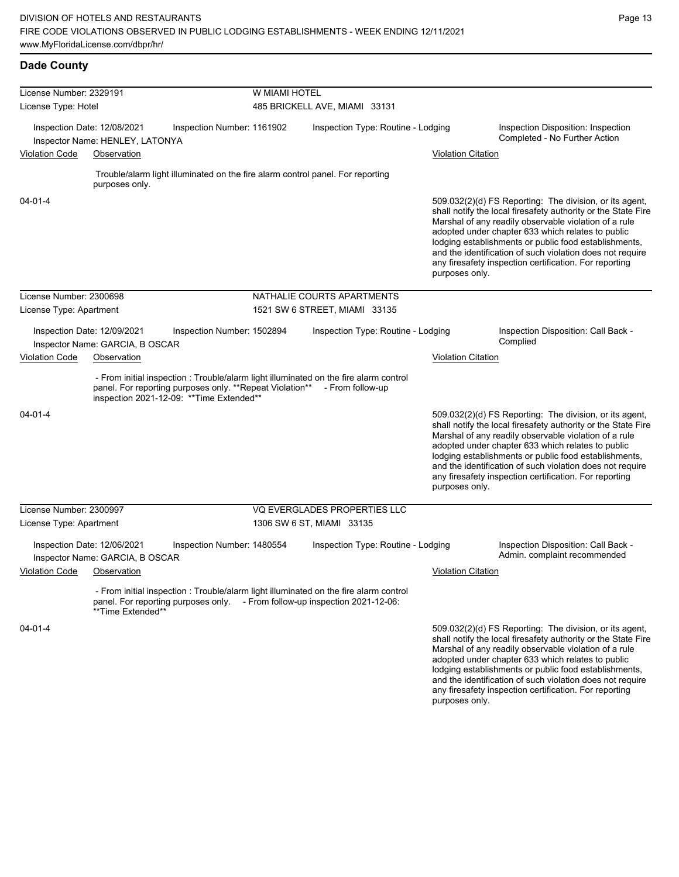lodging establishments or public food establishments, and the identification of such violation does not require any firesafety inspection certification. For reporting

| <b>Dade County</b>                                                      |                                                                |                                                                                                        |               |                                                                                                                                                                      |                           |                                                                                                                                                                                                                                                                                                                                                                                                                        |
|-------------------------------------------------------------------------|----------------------------------------------------------------|--------------------------------------------------------------------------------------------------------|---------------|----------------------------------------------------------------------------------------------------------------------------------------------------------------------|---------------------------|------------------------------------------------------------------------------------------------------------------------------------------------------------------------------------------------------------------------------------------------------------------------------------------------------------------------------------------------------------------------------------------------------------------------|
| License Number: 2329191                                                 |                                                                |                                                                                                        | W MIAMI HOTEL |                                                                                                                                                                      |                           |                                                                                                                                                                                                                                                                                                                                                                                                                        |
| License Type: Hotel                                                     |                                                                |                                                                                                        |               | 485 BRICKELL AVE, MIAMI 33131                                                                                                                                        |                           |                                                                                                                                                                                                                                                                                                                                                                                                                        |
|                                                                         | Inspection Date: 12/08/2021<br>Inspector Name: HENLEY, LATONYA | Inspection Number: 1161902                                                                             |               | Inspection Type: Routine - Lodging                                                                                                                                   |                           | Inspection Disposition: Inspection<br>Completed - No Further Action                                                                                                                                                                                                                                                                                                                                                    |
| <b>Violation Code</b>                                                   | Observation                                                    |                                                                                                        |               |                                                                                                                                                                      | <b>Violation Citation</b> |                                                                                                                                                                                                                                                                                                                                                                                                                        |
|                                                                         | purposes only.                                                 | Trouble/alarm light illuminated on the fire alarm control panel. For reporting                         |               |                                                                                                                                                                      |                           |                                                                                                                                                                                                                                                                                                                                                                                                                        |
| 04-01-4                                                                 |                                                                |                                                                                                        |               |                                                                                                                                                                      | purposes only.            | 509.032(2)(d) FS Reporting: The division, or its agent,<br>shall notify the local firesafety authority or the State Fire<br>Marshal of any readily observable violation of a rule<br>adopted under chapter 633 which relates to public<br>lodging establishments or public food establishments,<br>and the identification of such violation does not require<br>any firesafety inspection certification. For reporting |
| License Number: 2300698                                                 |                                                                |                                                                                                        |               | NATHALIE COURTS APARTMENTS                                                                                                                                           |                           |                                                                                                                                                                                                                                                                                                                                                                                                                        |
| License Type: Apartment                                                 |                                                                |                                                                                                        |               | 1521 SW 6 STREET, MIAMI 33135                                                                                                                                        |                           |                                                                                                                                                                                                                                                                                                                                                                                                                        |
|                                                                         | Inspection Date: 12/09/2021                                    | Inspection Number: 1502894                                                                             |               | Inspection Type: Routine - Lodging                                                                                                                                   |                           | Inspection Disposition: Call Back -<br>Complied                                                                                                                                                                                                                                                                                                                                                                        |
| Inspector Name: GARCIA, B OSCAR<br><b>Violation Code</b><br>Observation |                                                                |                                                                                                        |               |                                                                                                                                                                      | <b>Violation Citation</b> |                                                                                                                                                                                                                                                                                                                                                                                                                        |
|                                                                         |                                                                | panel. For reporting purposes only. ** Repeat Violation**<br>inspection 2021-12-09: ** Time Extended** |               | - From initial inspection : Trouble/alarm light illuminated on the fire alarm control<br>- From follow-up                                                            |                           |                                                                                                                                                                                                                                                                                                                                                                                                                        |
| $04 - 01 - 4$                                                           |                                                                |                                                                                                        |               |                                                                                                                                                                      | purposes only.            | 509.032(2)(d) FS Reporting: The division, or its agent,<br>shall notify the local firesafety authority or the State Fire<br>Marshal of any readily observable violation of a rule<br>adopted under chapter 633 which relates to public<br>lodging establishments or public food establishments,<br>and the identification of such violation does not require<br>any firesafety inspection certification. For reporting |
| License Number: 2300997                                                 |                                                                |                                                                                                        |               | VQ EVERGLADES PROPERTIES LLC                                                                                                                                         |                           |                                                                                                                                                                                                                                                                                                                                                                                                                        |
| License Type: Apartment                                                 |                                                                |                                                                                                        |               | 1306 SW 6 ST, MIAMI 33135                                                                                                                                            |                           |                                                                                                                                                                                                                                                                                                                                                                                                                        |
|                                                                         | Inspection Date: 12/06/2021<br>Inspector Name: GARCIA, B OSCAR | Inspection Number: 1480554                                                                             |               | Inspection Type: Routine - Lodging                                                                                                                                   |                           | Inspection Disposition: Call Back -<br>Admin. complaint recommended                                                                                                                                                                                                                                                                                                                                                    |
| Violation Code                                                          | Observation                                                    |                                                                                                        |               |                                                                                                                                                                      | <b>Violation Citation</b> |                                                                                                                                                                                                                                                                                                                                                                                                                        |
|                                                                         | **Time Extended**                                              |                                                                                                        |               | - From initial inspection : Trouble/alarm light illuminated on the fire alarm control<br>panel. For reporting purposes only. - From follow-up inspection 2021-12-06: |                           |                                                                                                                                                                                                                                                                                                                                                                                                                        |
| 04-01-4                                                                 |                                                                |                                                                                                        |               |                                                                                                                                                                      |                           | 509.032(2)(d) FS Reporting: The division, or its agent,<br>shall notify the local firesafety authority or the State Fire<br>Marshal of any readily observable violation of a rule<br>adopted under chapter 633 which relates to public                                                                                                                                                                                 |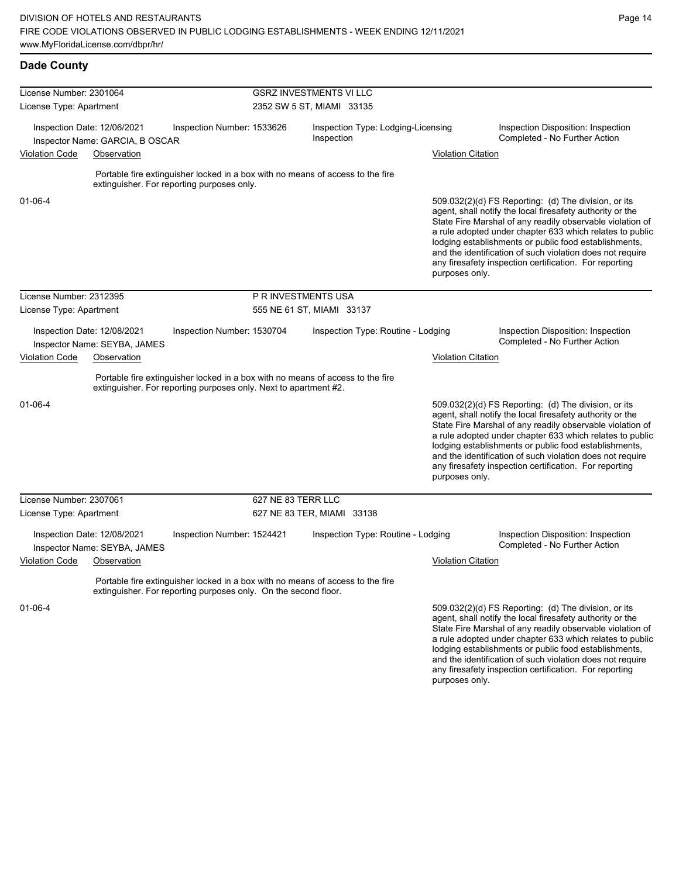and the identification of such violation does not require any firesafety inspection certification. For reporting

| <b>Dade County</b>      |                                                                |                                                                                                                                                    |                           |                                |                                    |                           |                                                                                                                                                                                                                                                                                                                                                                                                                            |  |  |  |
|-------------------------|----------------------------------------------------------------|----------------------------------------------------------------------------------------------------------------------------------------------------|---------------------------|--------------------------------|------------------------------------|---------------------------|----------------------------------------------------------------------------------------------------------------------------------------------------------------------------------------------------------------------------------------------------------------------------------------------------------------------------------------------------------------------------------------------------------------------------|--|--|--|
| License Number: 2301064 |                                                                |                                                                                                                                                    |                           | <b>GSRZ INVESTMENTS VI LLC</b> |                                    |                           |                                                                                                                                                                                                                                                                                                                                                                                                                            |  |  |  |
| License Type: Apartment |                                                                |                                                                                                                                                    | 2352 SW 5 ST, MIAMI 33135 |                                |                                    |                           |                                                                                                                                                                                                                                                                                                                                                                                                                            |  |  |  |
|                         | Inspection Date: 12/06/2021<br>Inspector Name: GARCIA, B OSCAR | Inspection Number: 1533626                                                                                                                         |                           | Inspection                     | Inspection Type: Lodging-Licensing |                           | Inspection Disposition: Inspection<br>Completed - No Further Action                                                                                                                                                                                                                                                                                                                                                        |  |  |  |
| <b>Violation Code</b>   | Observation                                                    |                                                                                                                                                    |                           |                                | <b>Violation Citation</b>          |                           |                                                                                                                                                                                                                                                                                                                                                                                                                            |  |  |  |
|                         |                                                                | Portable fire extinguisher locked in a box with no means of access to the fire<br>extinguisher. For reporting purposes only.                       |                           |                                |                                    |                           |                                                                                                                                                                                                                                                                                                                                                                                                                            |  |  |  |
| $01 - 06 - 4$           |                                                                |                                                                                                                                                    |                           |                                |                                    | purposes only.            | 509.032(2)(d) FS Reporting: (d) The division, or its<br>agent, shall notify the local firesafety authority or the<br>State Fire Marshal of any readily observable violation of<br>a rule adopted under chapter 633 which relates to public<br>lodging establishments or public food establishments,<br>and the identification of such violation does not require<br>any firesafety inspection certification. For reporting |  |  |  |
| License Number: 2312395 |                                                                |                                                                                                                                                    | P R INVESTMENTS USA       |                                |                                    |                           |                                                                                                                                                                                                                                                                                                                                                                                                                            |  |  |  |
| License Type: Apartment |                                                                |                                                                                                                                                    |                           | 555 NE 61 ST, MIAMI 33137      |                                    |                           |                                                                                                                                                                                                                                                                                                                                                                                                                            |  |  |  |
|                         | Inspection Date: 12/08/2021<br>Inspector Name: SEYBA, JAMES    | Inspection Number: 1530704                                                                                                                         |                           |                                | Inspection Type: Routine - Lodging |                           | Inspection Disposition: Inspection<br>Completed - No Further Action                                                                                                                                                                                                                                                                                                                                                        |  |  |  |
| <b>Violation Code</b>   | Observation                                                    |                                                                                                                                                    |                           |                                |                                    | <b>Violation Citation</b> |                                                                                                                                                                                                                                                                                                                                                                                                                            |  |  |  |
|                         |                                                                | Portable fire extinguisher locked in a box with no means of access to the fire<br>extinguisher. For reporting purposes only. Next to apartment #2. |                           |                                |                                    |                           |                                                                                                                                                                                                                                                                                                                                                                                                                            |  |  |  |
| 01-06-4                 |                                                                |                                                                                                                                                    |                           |                                |                                    | purposes only.            | 509.032(2)(d) FS Reporting: (d) The division, or its<br>agent, shall notify the local firesafety authority or the<br>State Fire Marshal of any readily observable violation of<br>a rule adopted under chapter 633 which relates to public<br>lodging establishments or public food establishments,<br>and the identification of such violation does not require<br>any firesafety inspection certification. For reporting |  |  |  |
| License Number: 2307061 |                                                                |                                                                                                                                                    | 627 NE 83 TERR LLC        |                                |                                    |                           |                                                                                                                                                                                                                                                                                                                                                                                                                            |  |  |  |
| License Type: Apartment |                                                                |                                                                                                                                                    |                           | 627 NE 83 TER, MIAMI 33138     |                                    |                           |                                                                                                                                                                                                                                                                                                                                                                                                                            |  |  |  |
|                         | Inspection Date: 12/08/2021<br>Inspector Name: SEYBA, JAMES    | Inspection Number: 1524421                                                                                                                         |                           |                                | Inspection Type: Routine - Lodging |                           | Inspection Disposition: Inspection<br>Completed - No Further Action                                                                                                                                                                                                                                                                                                                                                        |  |  |  |
| <b>Violation Code</b>   | Observation                                                    |                                                                                                                                                    |                           |                                |                                    | <b>Violation Citation</b> |                                                                                                                                                                                                                                                                                                                                                                                                                            |  |  |  |
|                         |                                                                | Portable fire extinguisher locked in a box with no means of access to the fire<br>extinguisher. For reporting purposes only. On the second floor.  |                           |                                |                                    |                           |                                                                                                                                                                                                                                                                                                                                                                                                                            |  |  |  |
| 01-06-4                 |                                                                |                                                                                                                                                    |                           |                                |                                    |                           | 509.032(2)(d) FS Reporting: (d) The division, or its<br>agent, shall notify the local firesafety authority or the<br>State Fire Marshal of any readily observable violation of<br>a rule adopted under chapter 633 which relates to public<br>lodging establishments or public food establishments,                                                                                                                        |  |  |  |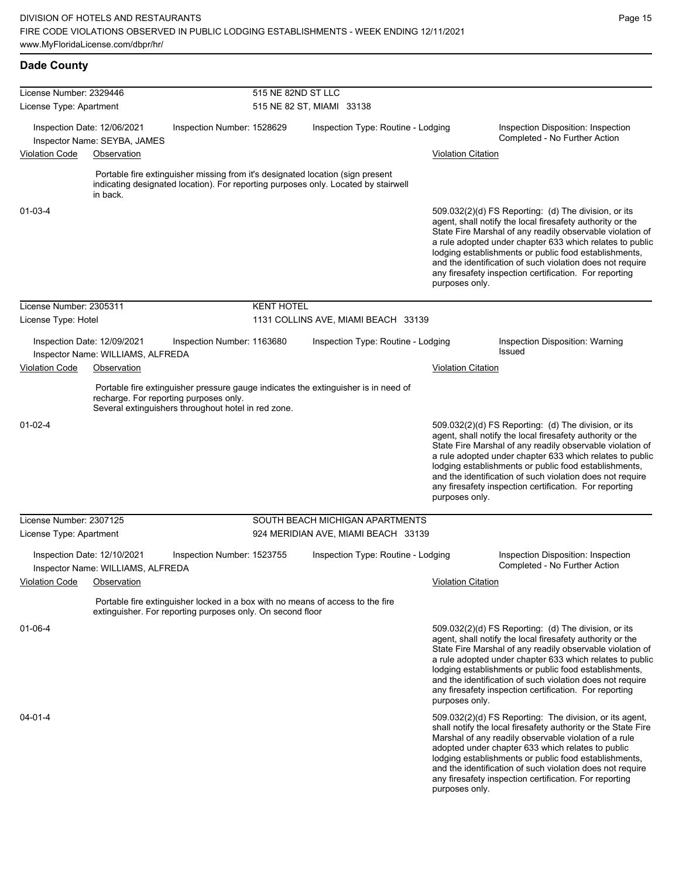| <b>Dade County</b>                                                                                  |                                                                  |                                                                                               |                    |                                                                                                                                                                      |                           |                                                                                                                                                                                                                                                                                                                                                                                                                            |  |
|-----------------------------------------------------------------------------------------------------|------------------------------------------------------------------|-----------------------------------------------------------------------------------------------|--------------------|----------------------------------------------------------------------------------------------------------------------------------------------------------------------|---------------------------|----------------------------------------------------------------------------------------------------------------------------------------------------------------------------------------------------------------------------------------------------------------------------------------------------------------------------------------------------------------------------------------------------------------------------|--|
| License Number: 2329446<br>License Type: Apartment                                                  |                                                                  |                                                                                               | 515 NE 82ND ST LLC | 515 NE 82 ST, MIAMI 33138                                                                                                                                            |                           |                                                                                                                                                                                                                                                                                                                                                                                                                            |  |
| Inspection Date: 12/06/2021<br>Inspector Name: SEYBA, JAMES<br><b>Violation Code</b><br>Observation |                                                                  | Inspection Number: 1528629                                                                    |                    | Inspection Type: Routine - Lodging                                                                                                                                   | <b>Violation Citation</b> | Inspection Disposition: Inspection<br>Completed - No Further Action                                                                                                                                                                                                                                                                                                                                                        |  |
|                                                                                                     | in back.                                                         |                                                                                               |                    | Portable fire extinguisher missing from it's designated location (sign present<br>indicating designated location). For reporting purposes only. Located by stairwell |                           |                                                                                                                                                                                                                                                                                                                                                                                                                            |  |
| $01 - 03 - 4$                                                                                       |                                                                  |                                                                                               |                    |                                                                                                                                                                      | purposes only.            | 509.032(2)(d) FS Reporting: (d) The division, or its<br>agent, shall notify the local firesafety authority or the<br>State Fire Marshal of any readily observable violation of<br>a rule adopted under chapter 633 which relates to public<br>lodging establishments or public food establishments,<br>and the identification of such violation does not require<br>any firesafety inspection certification. For reporting |  |
| License Number: 2305311                                                                             |                                                                  |                                                                                               | <b>KENT HOTEL</b>  |                                                                                                                                                                      |                           |                                                                                                                                                                                                                                                                                                                                                                                                                            |  |
| License Type: Hotel                                                                                 |                                                                  |                                                                                               |                    | 1131 COLLINS AVE, MIAMI BEACH 33139                                                                                                                                  |                           |                                                                                                                                                                                                                                                                                                                                                                                                                            |  |
|                                                                                                     | Inspection Date: 12/09/2021<br>Inspector Name: WILLIAMS, ALFREDA | Inspection Number: 1163680                                                                    |                    | Inspection Type: Routine - Lodging                                                                                                                                   |                           | Inspection Disposition: Warning<br>Issued                                                                                                                                                                                                                                                                                                                                                                                  |  |
| <b>Violation Code</b><br>Observation                                                                |                                                                  |                                                                                               |                    | <b>Violation Citation</b>                                                                                                                                            |                           |                                                                                                                                                                                                                                                                                                                                                                                                                            |  |
|                                                                                                     |                                                                  | recharge. For reporting purposes only.<br>Several extinguishers throughout hotel in red zone. |                    | Portable fire extinguisher pressure gauge indicates the extinguisher is in need of                                                                                   |                           |                                                                                                                                                                                                                                                                                                                                                                                                                            |  |
| $01 - 02 - 4$                                                                                       |                                                                  |                                                                                               |                    |                                                                                                                                                                      | purposes only.            | 509.032(2)(d) FS Reporting: (d) The division, or its<br>agent, shall notify the local firesafety authority or the<br>State Fire Marshal of any readily observable violation of<br>a rule adopted under chapter 633 which relates to public<br>lodging establishments or public food establishments,<br>and the identification of such violation does not require<br>any firesafety inspection certification. For reporting |  |
| License Number: 2307125                                                                             |                                                                  |                                                                                               |                    | SOUTH BEACH MICHIGAN APARTMENTS                                                                                                                                      |                           |                                                                                                                                                                                                                                                                                                                                                                                                                            |  |
| License Type: Apartment                                                                             |                                                                  |                                                                                               |                    | 924 MERIDIAN AVE, MIAMI BEACH 33139                                                                                                                                  |                           |                                                                                                                                                                                                                                                                                                                                                                                                                            |  |
|                                                                                                     | Inspection Date: 12/10/2021<br>Inspector Name: WILLIAMS, ALFREDA | Inspection Number: 1523755                                                                    |                    | Inspection Type: Routine - Lodging                                                                                                                                   |                           | Inspection Disposition: Inspection<br>Completed - No Further Action                                                                                                                                                                                                                                                                                                                                                        |  |
| <b>Violation Code</b>                                                                               | Observation                                                      |                                                                                               |                    |                                                                                                                                                                      | <b>Violation Citation</b> |                                                                                                                                                                                                                                                                                                                                                                                                                            |  |
|                                                                                                     |                                                                  | extinguisher. For reporting purposes only. On second floor                                    |                    | Portable fire extinguisher locked in a box with no means of access to the fire                                                                                       |                           |                                                                                                                                                                                                                                                                                                                                                                                                                            |  |
| 01-06-4                                                                                             |                                                                  |                                                                                               |                    |                                                                                                                                                                      | purposes only.            | 509.032(2)(d) FS Reporting: (d) The division, or its<br>agent, shall notify the local firesafety authority or the<br>State Fire Marshal of any readily observable violation of<br>a rule adopted under chapter 633 which relates to public<br>lodging establishments or public food establishments,<br>and the identification of such violation does not require<br>any firesafety inspection certification. For reporting |  |
| 04-01-4                                                                                             |                                                                  |                                                                                               |                    |                                                                                                                                                                      | purposes only.            | 509.032(2)(d) FS Reporting: The division, or its agent,<br>shall notify the local firesafety authority or the State Fire<br>Marshal of any readily observable violation of a rule<br>adopted under chapter 633 which relates to public<br>lodging establishments or public food establishments,<br>and the identification of such violation does not require<br>any firesafety inspection certification. For reporting     |  |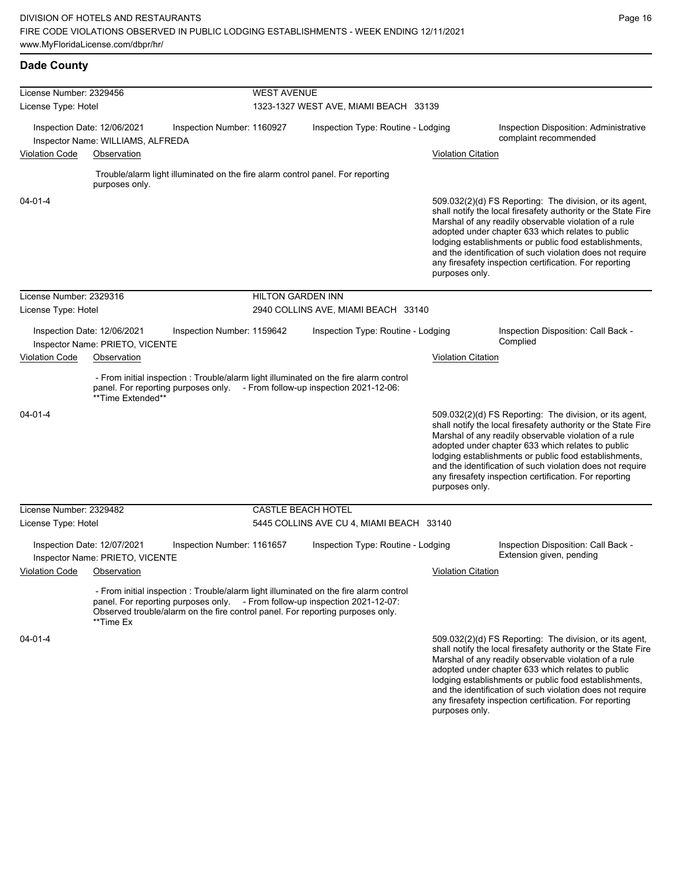lodging establishments or public food establishments, and the identification of such violation does not require any firesafety inspection certification. For reporting

| <b>Dade County</b>      |                                                                  |                                                                                |                                     |                                                                                                                                                                                                                                                        |                           |                                                                                                                                                                                                                                                                                                                                                                                                                        |
|-------------------------|------------------------------------------------------------------|--------------------------------------------------------------------------------|-------------------------------------|--------------------------------------------------------------------------------------------------------------------------------------------------------------------------------------------------------------------------------------------------------|---------------------------|------------------------------------------------------------------------------------------------------------------------------------------------------------------------------------------------------------------------------------------------------------------------------------------------------------------------------------------------------------------------------------------------------------------------|
| License Number: 2329456 |                                                                  |                                                                                | <b>WEST AVENUE</b>                  |                                                                                                                                                                                                                                                        |                           |                                                                                                                                                                                                                                                                                                                                                                                                                        |
| License Type: Hotel     |                                                                  |                                                                                |                                     | 1323-1327 WEST AVE, MIAMI BEACH 33139                                                                                                                                                                                                                  |                           |                                                                                                                                                                                                                                                                                                                                                                                                                        |
|                         | Inspection Date: 12/06/2021<br>Inspector Name: WILLIAMS, ALFREDA | Inspection Number: 1160927                                                     |                                     | Inspection Type: Routine - Lodging                                                                                                                                                                                                                     |                           | Inspection Disposition: Administrative<br>complaint recommended                                                                                                                                                                                                                                                                                                                                                        |
| <b>Violation Code</b>   | Observation                                                      |                                                                                |                                     |                                                                                                                                                                                                                                                        | <b>Violation Citation</b> |                                                                                                                                                                                                                                                                                                                                                                                                                        |
|                         |                                                                  |                                                                                |                                     |                                                                                                                                                                                                                                                        |                           |                                                                                                                                                                                                                                                                                                                                                                                                                        |
|                         | purposes only.                                                   | Trouble/alarm light illuminated on the fire alarm control panel. For reporting |                                     |                                                                                                                                                                                                                                                        |                           |                                                                                                                                                                                                                                                                                                                                                                                                                        |
| 04-01-4                 |                                                                  |                                                                                |                                     |                                                                                                                                                                                                                                                        | purposes only.            | 509.032(2)(d) FS Reporting: The division, or its agent,<br>shall notify the local firesafety authority or the State Fire<br>Marshal of any readily observable violation of a rule<br>adopted under chapter 633 which relates to public<br>lodging establishments or public food establishments,<br>and the identification of such violation does not require<br>any firesafety inspection certification. For reporting |
| License Number: 2329316 |                                                                  |                                                                                | <b>HILTON GARDEN INN</b>            |                                                                                                                                                                                                                                                        |                           |                                                                                                                                                                                                                                                                                                                                                                                                                        |
| License Type: Hotel     |                                                                  |                                                                                | 2940 COLLINS AVE, MIAMI BEACH 33140 |                                                                                                                                                                                                                                                        |                           |                                                                                                                                                                                                                                                                                                                                                                                                                        |
|                         | Inspection Date: 12/06/2021<br>Inspector Name: PRIETO, VICENTE   | Inspection Number: 1159642                                                     |                                     | Inspection Type: Routine - Lodging                                                                                                                                                                                                                     |                           | Inspection Disposition: Call Back -<br>Complied                                                                                                                                                                                                                                                                                                                                                                        |
| <b>Violation Code</b>   | Observation                                                      |                                                                                |                                     |                                                                                                                                                                                                                                                        | <b>Violation Citation</b> |                                                                                                                                                                                                                                                                                                                                                                                                                        |
|                         | **Time Extended**                                                |                                                                                |                                     | - From initial inspection : Trouble/alarm light illuminated on the fire alarm control<br>panel. For reporting purposes only. - From follow-up inspection 2021-12-06:                                                                                   |                           |                                                                                                                                                                                                                                                                                                                                                                                                                        |
| $04 - 01 - 4$           |                                                                  |                                                                                |                                     |                                                                                                                                                                                                                                                        | purposes only.            | 509.032(2)(d) FS Reporting: The division, or its agent,<br>shall notify the local firesafety authority or the State Fire<br>Marshal of any readily observable violation of a rule<br>adopted under chapter 633 which relates to public<br>lodging establishments or public food establishments,<br>and the identification of such violation does not require<br>any firesafety inspection certification. For reporting |
| License Number: 2329482 |                                                                  |                                                                                |                                     | <b>CASTLE BEACH HOTEL</b>                                                                                                                                                                                                                              |                           |                                                                                                                                                                                                                                                                                                                                                                                                                        |
| License Type: Hotel     |                                                                  |                                                                                |                                     | 5445 COLLINS AVE CU 4, MIAMI BEACH 33140                                                                                                                                                                                                               |                           |                                                                                                                                                                                                                                                                                                                                                                                                                        |
|                         | Inspection Date: 12/07/2021<br>Inspector Name: PRIETO, VICENTE   | Inspection Number: 1161657                                                     |                                     | Inspection Type: Routine - Lodging                                                                                                                                                                                                                     |                           | Inspection Disposition: Call Back -<br>Extension given, pending                                                                                                                                                                                                                                                                                                                                                        |
| <b>Violation Code</b>   | Observation                                                      |                                                                                |                                     |                                                                                                                                                                                                                                                        | <b>Violation Citation</b> |                                                                                                                                                                                                                                                                                                                                                                                                                        |
|                         | **Time Ex                                                        |                                                                                |                                     | - From initial inspection : Trouble/alarm light illuminated on the fire alarm control<br>panel. For reporting purposes only. - From follow-up inspection 2021-12-07:<br>Observed trouble/alarm on the fire control panel. For reporting purposes only. |                           |                                                                                                                                                                                                                                                                                                                                                                                                                        |
| $04 - 01 - 4$           |                                                                  |                                                                                |                                     |                                                                                                                                                                                                                                                        |                           | 509.032(2)(d) FS Reporting: The division, or its agent,<br>shall notify the local firesafety authority or the State Fire<br>Marshal of any readily observable violation of a rule<br>adopted under chapter 633 which relates to public                                                                                                                                                                                 |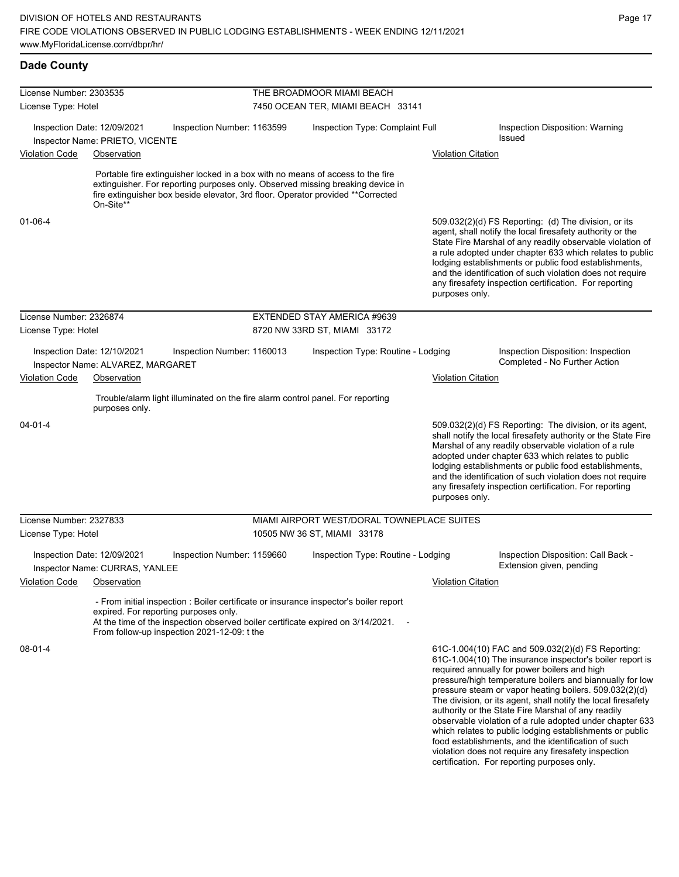which relates to public lodging establishments or public food establishments, and the identification of such violation does not require any firesafety inspection certification. For reporting purposes only.

| <b>Dade County</b>            |                                                                                                                                                                                                                                                                    |                                            |                           |                                                                                                                                                                                                                                                                                                                                                                                                                                                                        |
|-------------------------------|--------------------------------------------------------------------------------------------------------------------------------------------------------------------------------------------------------------------------------------------------------------------|--------------------------------------------|---------------------------|------------------------------------------------------------------------------------------------------------------------------------------------------------------------------------------------------------------------------------------------------------------------------------------------------------------------------------------------------------------------------------------------------------------------------------------------------------------------|
| License Number: 2303535       |                                                                                                                                                                                                                                                                    | THE BROADMOOR MIAMI BEACH                  |                           |                                                                                                                                                                                                                                                                                                                                                                                                                                                                        |
| License Type: Hotel           |                                                                                                                                                                                                                                                                    | 7450 OCEAN TER, MIAMI BEACH 33141          |                           |                                                                                                                                                                                                                                                                                                                                                                                                                                                                        |
|                               | Inspection Date: 12/09/2021<br>Inspection Number: 1163599                                                                                                                                                                                                          | Inspection Type: Complaint Full            |                           | Inspection Disposition: Warning                                                                                                                                                                                                                                                                                                                                                                                                                                        |
|                               | Inspector Name: PRIETO, VICENTE                                                                                                                                                                                                                                    |                                            |                           | <b>Issued</b>                                                                                                                                                                                                                                                                                                                                                                                                                                                          |
| <b>Violation Code</b>         | Observation                                                                                                                                                                                                                                                        |                                            | <b>Violation Citation</b> |                                                                                                                                                                                                                                                                                                                                                                                                                                                                        |
|                               | Portable fire extinguisher locked in a box with no means of access to the fire<br>extinguisher. For reporting purposes only. Observed missing breaking device in<br>fire extinguisher box beside elevator, 3rd floor. Operator provided **Corrected<br>On-Site**   |                                            |                           |                                                                                                                                                                                                                                                                                                                                                                                                                                                                        |
| 01-06-4                       |                                                                                                                                                                                                                                                                    |                                            | purposes only.            | 509.032(2)(d) FS Reporting: (d) The division, or its<br>agent, shall notify the local firesafety authority or the<br>State Fire Marshal of any readily observable violation of<br>a rule adopted under chapter 633 which relates to public<br>lodging establishments or public food establishments,<br>and the identification of such violation does not require<br>any firesafety inspection certification. For reporting                                             |
| License Number: 2326874       |                                                                                                                                                                                                                                                                    | EXTENDED STAY AMERICA #9639                |                           |                                                                                                                                                                                                                                                                                                                                                                                                                                                                        |
| License Type: Hotel           |                                                                                                                                                                                                                                                                    | 8720 NW 33RD ST, MIAMI 33172               |                           |                                                                                                                                                                                                                                                                                                                                                                                                                                                                        |
|                               | Inspection Date: 12/10/2021<br>Inspection Number: 1160013<br>Inspector Name: ALVAREZ, MARGARET                                                                                                                                                                     | Inspection Type: Routine - Lodging         |                           | Inspection Disposition: Inspection<br>Completed - No Further Action                                                                                                                                                                                                                                                                                                                                                                                                    |
| Violation Code<br>Observation |                                                                                                                                                                                                                                                                    |                                            | <b>Violation Citation</b> |                                                                                                                                                                                                                                                                                                                                                                                                                                                                        |
|                               | Trouble/alarm light illuminated on the fire alarm control panel. For reporting<br>purposes only.                                                                                                                                                                   |                                            |                           |                                                                                                                                                                                                                                                                                                                                                                                                                                                                        |
| 04-01-4                       |                                                                                                                                                                                                                                                                    |                                            | purposes only.            | 509.032(2)(d) FS Reporting: The division, or its agent,<br>shall notify the local firesafety authority or the State Fire<br>Marshal of any readily observable violation of a rule<br>adopted under chapter 633 which relates to public<br>lodging establishments or public food establishments,<br>and the identification of such violation does not require<br>any firesafety inspection certification. For reporting                                                 |
| License Number: 2327833       |                                                                                                                                                                                                                                                                    | MIAMI AIRPORT WEST/DORAL TOWNEPLACE SUITES |                           |                                                                                                                                                                                                                                                                                                                                                                                                                                                                        |
| License Type: Hotel           |                                                                                                                                                                                                                                                                    | 10505 NW 36 ST, MIAMI 33178                |                           |                                                                                                                                                                                                                                                                                                                                                                                                                                                                        |
|                               | Inspection Date: 12/09/2021<br>Inspection Number: 1159660<br>Inspector Name: CURRAS, YANLEE                                                                                                                                                                        | Inspection Type: Routine - Lodging         |                           | Inspection Disposition: Call Back -<br>Extension given, pending                                                                                                                                                                                                                                                                                                                                                                                                        |
| <b>Violation Code</b>         | Observation                                                                                                                                                                                                                                                        |                                            | <b>Violation Citation</b> |                                                                                                                                                                                                                                                                                                                                                                                                                                                                        |
|                               | - From initial inspection : Boiler certificate or insurance inspector's boiler report<br>expired. For reporting purposes only.<br>At the time of the inspection observed boiler certificate expired on 3/14/2021. -<br>From follow-up inspection 2021-12-09: t the |                                            |                           |                                                                                                                                                                                                                                                                                                                                                                                                                                                                        |
| 08-01-4                       |                                                                                                                                                                                                                                                                    |                                            |                           | 61C-1.004(10) FAC and 509.032(2)(d) FS Reporting:<br>61C-1.004(10) The insurance inspector's boiler report is<br>required annually for power boilers and high<br>pressure/high temperature boilers and biannually for low<br>pressure steam or vapor heating boilers. 509.032(2)(d)<br>The division, or its agent, shall notify the local firesafety<br>authority or the State Fire Marshal of any readily<br>observable violation of a rule adopted under chapter 633 |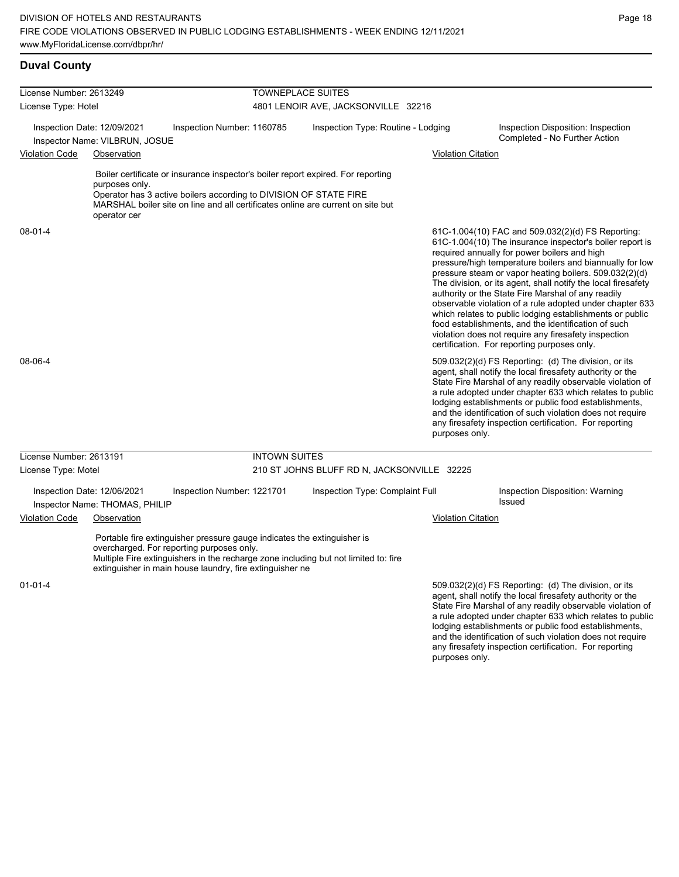**Duval County**

and the identification of such violation does not require any firesafety inspection certification. For reporting

| License Number: 2613249  |                                                               |                                                                                                                                                                                                                                                                         | <b>TOWNEPLACE SUITES</b>                    |                           |                                                                                                                                                                                                                                                                                                                                                                                                                                                                                                                                                                                                                                                                                                                                                          |  |  |
|--------------------------|---------------------------------------------------------------|-------------------------------------------------------------------------------------------------------------------------------------------------------------------------------------------------------------------------------------------------------------------------|---------------------------------------------|---------------------------|----------------------------------------------------------------------------------------------------------------------------------------------------------------------------------------------------------------------------------------------------------------------------------------------------------------------------------------------------------------------------------------------------------------------------------------------------------------------------------------------------------------------------------------------------------------------------------------------------------------------------------------------------------------------------------------------------------------------------------------------------------|--|--|
| License Type: Hotel      |                                                               |                                                                                                                                                                                                                                                                         | 4801 LENOIR AVE, JACKSONVILLE 32216         |                           |                                                                                                                                                                                                                                                                                                                                                                                                                                                                                                                                                                                                                                                                                                                                                          |  |  |
|                          | Inspection Date: 12/09/2021<br>Inspector Name: VILBRUN, JOSUE | Inspection Number: 1160785                                                                                                                                                                                                                                              | Inspection Type: Routine - Lodging          |                           | Inspection Disposition: Inspection<br>Completed - No Further Action                                                                                                                                                                                                                                                                                                                                                                                                                                                                                                                                                                                                                                                                                      |  |  |
| <b>Violation Code</b>    | Observation                                                   |                                                                                                                                                                                                                                                                         |                                             | <b>Violation Citation</b> |                                                                                                                                                                                                                                                                                                                                                                                                                                                                                                                                                                                                                                                                                                                                                          |  |  |
|                          | purposes only.<br>operator cer                                | Boiler certificate or insurance inspector's boiler report expired. For reporting<br>Operator has 3 active boilers according to DIVISION OF STATE FIRE<br>MARSHAL boiler site on line and all certificates online are current on site but                                |                                             |                           |                                                                                                                                                                                                                                                                                                                                                                                                                                                                                                                                                                                                                                                                                                                                                          |  |  |
| $08 - 01 - 4$<br>08-06-4 |                                                               |                                                                                                                                                                                                                                                                         |                                             |                           | 61C-1.004(10) FAC and 509.032(2)(d) FS Reporting:<br>61C-1.004(10) The insurance inspector's boiler report is<br>required annually for power boilers and high<br>pressure/high temperature boilers and biannually for low<br>pressure steam or vapor heating boilers. 509.032(2)(d)<br>The division, or its agent, shall notify the local firesafety<br>authority or the State Fire Marshal of any readily<br>observable violation of a rule adopted under chapter 633<br>which relates to public lodging establishments or public<br>food establishments, and the identification of such<br>violation does not require any firesafety inspection<br>certification. For reporting purposes only.<br>509.032(2)(d) FS Reporting: (d) The division, or its |  |  |
|                          |                                                               |                                                                                                                                                                                                                                                                         |                                             | purposes only.            | agent, shall notify the local firesafety authority or the<br>State Fire Marshal of any readily observable violation of<br>a rule adopted under chapter 633 which relates to public<br>lodging establishments or public food establishments,<br>and the identification of such violation does not require<br>any firesafety inspection certification. For reporting                                                                                                                                                                                                                                                                                                                                                                                       |  |  |
| License Number: 2613191  |                                                               | <b>INTOWN SUITES</b>                                                                                                                                                                                                                                                    |                                             |                           |                                                                                                                                                                                                                                                                                                                                                                                                                                                                                                                                                                                                                                                                                                                                                          |  |  |
| License Type: Motel      |                                                               |                                                                                                                                                                                                                                                                         | 210 ST JOHNS BLUFF RD N, JACKSONVILLE 32225 |                           |                                                                                                                                                                                                                                                                                                                                                                                                                                                                                                                                                                                                                                                                                                                                                          |  |  |
|                          | Inspection Date: 12/06/2021<br>Inspector Name: THOMAS, PHILIP | Inspection Number: 1221701                                                                                                                                                                                                                                              | Inspection Type: Complaint Full             |                           | Inspection Disposition: Warning<br><b>Issued</b>                                                                                                                                                                                                                                                                                                                                                                                                                                                                                                                                                                                                                                                                                                         |  |  |
| <b>Violation Code</b>    | Observation                                                   |                                                                                                                                                                                                                                                                         |                                             | <b>Violation Citation</b> |                                                                                                                                                                                                                                                                                                                                                                                                                                                                                                                                                                                                                                                                                                                                                          |  |  |
|                          |                                                               | Portable fire extinguisher pressure gauge indicates the extinguisher is<br>overcharged. For reporting purposes only.<br>Multiple Fire extinguishers in the recharge zone including but not limited to: fire<br>extinguisher in main house laundry, fire extinguisher ne |                                             |                           |                                                                                                                                                                                                                                                                                                                                                                                                                                                                                                                                                                                                                                                                                                                                                          |  |  |
| $01 - 01 - 4$            |                                                               |                                                                                                                                                                                                                                                                         |                                             |                           | 509.032(2)(d) FS Reporting: (d) The division, or its<br>agent, shall notify the local firesafety authority or the<br>State Fire Marshal of any readily observable violation of<br>a rule adopted under chapter 633 which relates to public<br>lodging establishments or public food establishments,                                                                                                                                                                                                                                                                                                                                                                                                                                                      |  |  |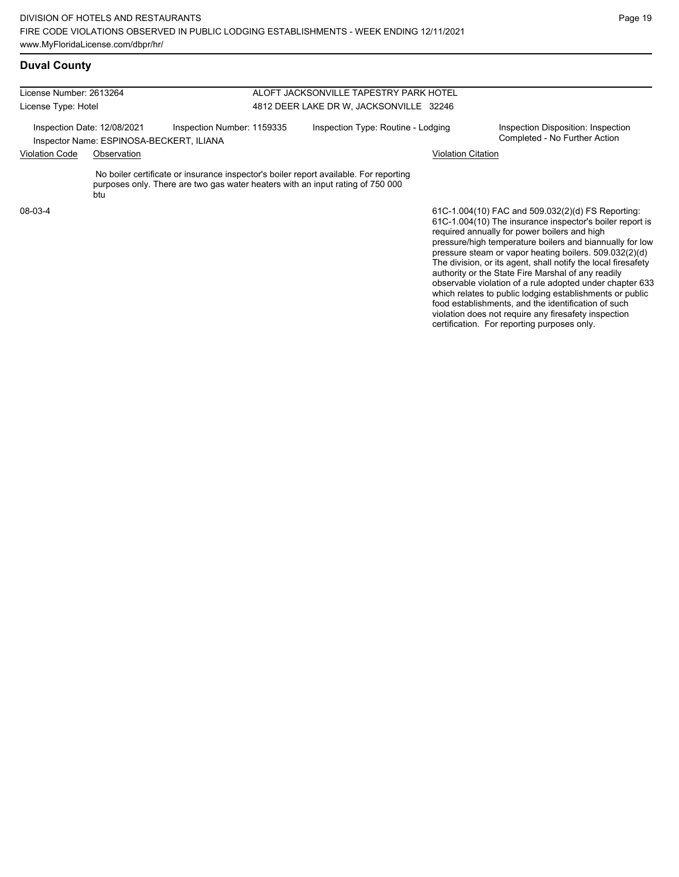### **Duval County**

License Number: 2613264 License Type: Hotel ALOFT JACKSONVILLE TAPESTRY PARK HOTEL 4812 DEER LAKE DR W, JACKSONVILLE 32246 Inspection Date: 12/08/2021 Inspection Number: 1159335 Inspection Type: Routine - Lodging Inspection Disposition: Inspection<br>Inspector Name: ESPINOSA-RECKERT II IANA Inspector Name: ESPINOSA-BECKERT, ILIANA Violation Code Observation Violation Citation No boiler certificate or insurance inspector's boiler report available. For reporting purposes only. There are two gas water heaters with an input rating of 750 000 **btu** 61C-1.004(10) FAC and 509.032(2)(d) FS Reporting: 08-03-4

61C-1.004(10) The insurance inspector's boiler report is required annually for power boilers and high pressure/high temperature boilers and biannually for low pressure steam or vapor heating boilers. 509.032(2)(d) The division, or its agent, shall notify the local firesafety authority or the State Fire Marshal of any readily observable violation of a rule adopted under chapter 633 which relates to public lodging establishments or public food establishments, and the identification of such violation does not require any firesafety inspection certification. For reporting purposes only.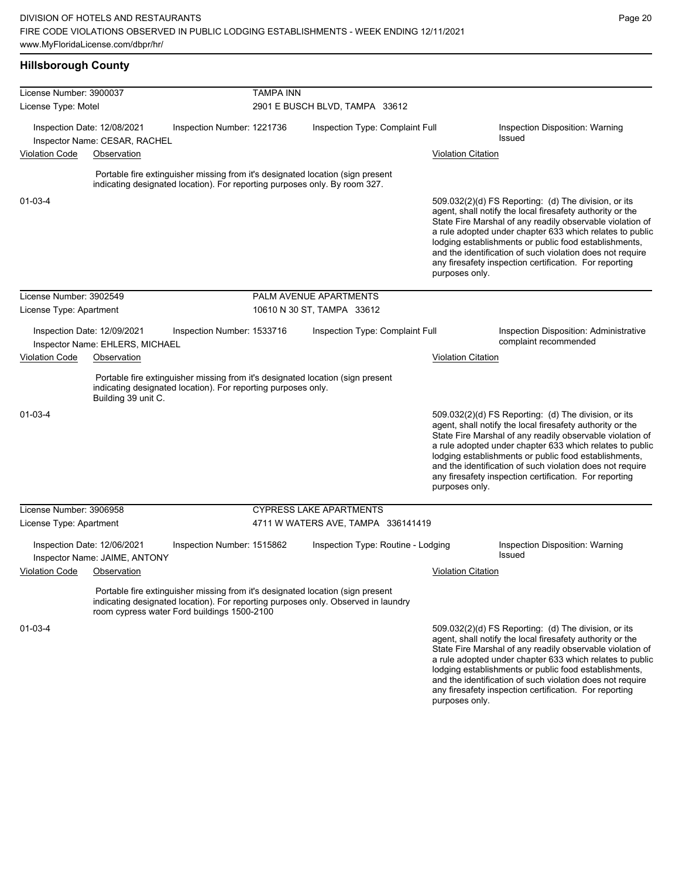lodging establishments or public food establishments, and the identification of such violation does not require any firesafety inspection certification. For reporting

| <b>Hillsborough County</b>                                                                   |                                                              |                                                                                                                                                                                                                    |                                                    |                                    |                           |                                                                 |                                                                                                                                                                                                                                                                                                                                                                                                                            |
|----------------------------------------------------------------------------------------------|--------------------------------------------------------------|--------------------------------------------------------------------------------------------------------------------------------------------------------------------------------------------------------------------|----------------------------------------------------|------------------------------------|---------------------------|-----------------------------------------------------------------|----------------------------------------------------------------------------------------------------------------------------------------------------------------------------------------------------------------------------------------------------------------------------------------------------------------------------------------------------------------------------------------------------------------------------|
| License Number: 3900037<br>License Type: Motel                                               |                                                              |                                                                                                                                                                                                                    | <b>TAMPA INN</b><br>2901 E BUSCH BLVD, TAMPA 33612 |                                    |                           |                                                                 |                                                                                                                                                                                                                                                                                                                                                                                                                            |
|                                                                                              | Inspection Date: 12/08/2021<br>Inspector Name: CESAR, RACHEL | Inspection Number: 1221736                                                                                                                                                                                         |                                                    | Inspection Type: Complaint Full    |                           |                                                                 | Inspection Disposition: Warning<br><b>Issued</b>                                                                                                                                                                                                                                                                                                                                                                           |
| <b>Violation Code</b>                                                                        | Observation                                                  |                                                                                                                                                                                                                    |                                                    |                                    |                           | <b>Violation Citation</b>                                       |                                                                                                                                                                                                                                                                                                                                                                                                                            |
|                                                                                              |                                                              | Portable fire extinguisher missing from it's designated location (sign present<br>indicating designated location). For reporting purposes only. By room 327.                                                       |                                                    |                                    |                           |                                                                 |                                                                                                                                                                                                                                                                                                                                                                                                                            |
| $01 - 03 - 4$                                                                                |                                                              |                                                                                                                                                                                                                    |                                                    |                                    |                           | purposes only.                                                  | 509.032(2)(d) FS Reporting: (d) The division, or its<br>agent, shall notify the local firesafety authority or the<br>State Fire Marshal of any readily observable violation of<br>a rule adopted under chapter 633 which relates to public<br>lodging establishments or public food establishments,<br>and the identification of such violation does not require<br>any firesafety inspection certification. For reporting |
| License Number: 3902549                                                                      |                                                              |                                                                                                                                                                                                                    |                                                    | PALM AVENUE APARTMENTS             |                           |                                                                 |                                                                                                                                                                                                                                                                                                                                                                                                                            |
| License Type: Apartment                                                                      |                                                              |                                                                                                                                                                                                                    | 10610 N 30 ST, TAMPA 33612                         |                                    |                           |                                                                 |                                                                                                                                                                                                                                                                                                                                                                                                                            |
| Inspection Date: 12/09/2021<br>Inspection Number: 1533716<br>Inspector Name: EHLERS, MICHAEL |                                                              |                                                                                                                                                                                                                    | Inspection Type: Complaint Full                    |                                    |                           | Inspection Disposition: Administrative<br>complaint recommended |                                                                                                                                                                                                                                                                                                                                                                                                                            |
| <b>Violation Code</b><br>Observation                                                         |                                                              |                                                                                                                                                                                                                    |                                                    |                                    | <b>Violation Citation</b> |                                                                 |                                                                                                                                                                                                                                                                                                                                                                                                                            |
|                                                                                              | Building 39 unit C.                                          | Portable fire extinguisher missing from it's designated location (sign present<br>indicating designated location). For reporting purposes only.                                                                    |                                                    |                                    |                           |                                                                 |                                                                                                                                                                                                                                                                                                                                                                                                                            |
| 01-03-4                                                                                      |                                                              |                                                                                                                                                                                                                    |                                                    |                                    |                           | purposes only.                                                  | 509.032(2)(d) FS Reporting: (d) The division, or its<br>agent, shall notify the local firesafety authority or the<br>State Fire Marshal of any readily observable violation of<br>a rule adopted under chapter 633 which relates to public<br>lodging establishments or public food establishments,<br>and the identification of such violation does not require<br>any firesafety inspection certification. For reporting |
| License Number: 3906958                                                                      |                                                              |                                                                                                                                                                                                                    |                                                    | <b>CYPRESS LAKE APARTMENTS</b>     |                           |                                                                 |                                                                                                                                                                                                                                                                                                                                                                                                                            |
| License Type: Apartment                                                                      |                                                              |                                                                                                                                                                                                                    |                                                    | 4711 W WATERS AVE, TAMPA 336141419 |                           |                                                                 |                                                                                                                                                                                                                                                                                                                                                                                                                            |
|                                                                                              | Inspection Date: 12/06/2021<br>Inspector Name: JAIME, ANTONY | Inspection Number: 1515862                                                                                                                                                                                         |                                                    | Inspection Type: Routine - Lodging |                           |                                                                 | Inspection Disposition: Warning<br>Issued                                                                                                                                                                                                                                                                                                                                                                                  |
| <b>Violation Code</b>                                                                        | Observation                                                  |                                                                                                                                                                                                                    |                                                    |                                    |                           | <b>Violation Citation</b>                                       |                                                                                                                                                                                                                                                                                                                                                                                                                            |
|                                                                                              |                                                              | Portable fire extinguisher missing from it's designated location (sign present<br>indicating designated location). For reporting purposes only. Observed in laundry<br>room cypress water Ford buildings 1500-2100 |                                                    |                                    |                           |                                                                 |                                                                                                                                                                                                                                                                                                                                                                                                                            |
| 01-03-4                                                                                      |                                                              |                                                                                                                                                                                                                    |                                                    |                                    |                           |                                                                 | 509.032(2)(d) FS Reporting: (d) The division, or its<br>agent, shall notify the local firesafety authority or the<br>State Fire Marshal of any readily observable violation of<br>a rule adopted under chapter 633 which relates to public                                                                                                                                                                                 |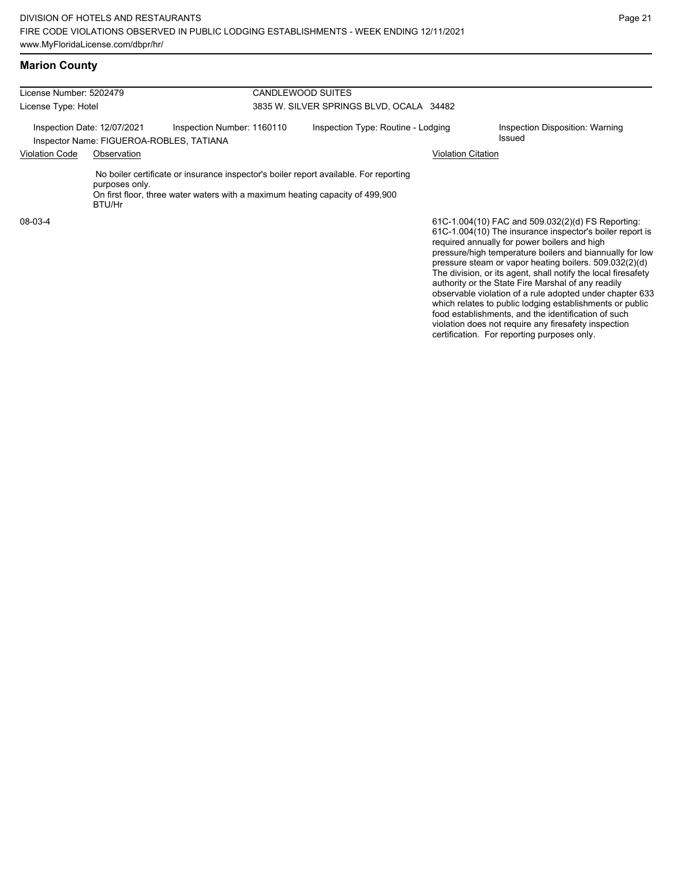| License Number: 5202479 |                                                                         |                                                                                                                                                                        | <b>CANDLEWOOD SUITES</b>                 |                                                                                                                                                                                                                                                                                                                                                                                                            |
|-------------------------|-------------------------------------------------------------------------|------------------------------------------------------------------------------------------------------------------------------------------------------------------------|------------------------------------------|------------------------------------------------------------------------------------------------------------------------------------------------------------------------------------------------------------------------------------------------------------------------------------------------------------------------------------------------------------------------------------------------------------|
| License Type: Hotel     |                                                                         |                                                                                                                                                                        | 3835 W. SILVER SPRINGS BLVD, OCALA 34482 |                                                                                                                                                                                                                                                                                                                                                                                                            |
|                         | Inspection Date: 12/07/2021<br>Inspector Name: FIGUEROA-ROBLES, TATIANA | Inspection Number: 1160110                                                                                                                                             | Inspection Type: Routine - Lodging       | Inspection Disposition: Warning<br><b>Issued</b>                                                                                                                                                                                                                                                                                                                                                           |
| <b>Violation Code</b>   | Observation                                                             |                                                                                                                                                                        |                                          | Violation Citation                                                                                                                                                                                                                                                                                                                                                                                         |
|                         | purposes only.<br>BTU/Hr                                                | No boiler certificate or insurance inspector's boiler report available. For reporting<br>On first floor, three water waters with a maximum heating capacity of 499,900 |                                          |                                                                                                                                                                                                                                                                                                                                                                                                            |
| 08-03-4                 |                                                                         |                                                                                                                                                                        |                                          | 61C-1.004(10) FAC and 509.032(2)(d) FS Reporting:<br>61C-1.004(10) The insurance inspector's boiler report is<br>required annually for power boilers and high<br>pressure/high temperature boilers and biannually for low<br>pressure steam or vapor heating boilers. 509.032(2)(d)<br>The division, or its agent, shall notify the local firesafety<br>authority or the State Fire Marshal of any readily |

observable violation of a rule adopted under chapter 633 which relates to public lodging establishments or public food establishments, and the identification of such violation does not require any firesafety inspection certification. For reporting purposes only.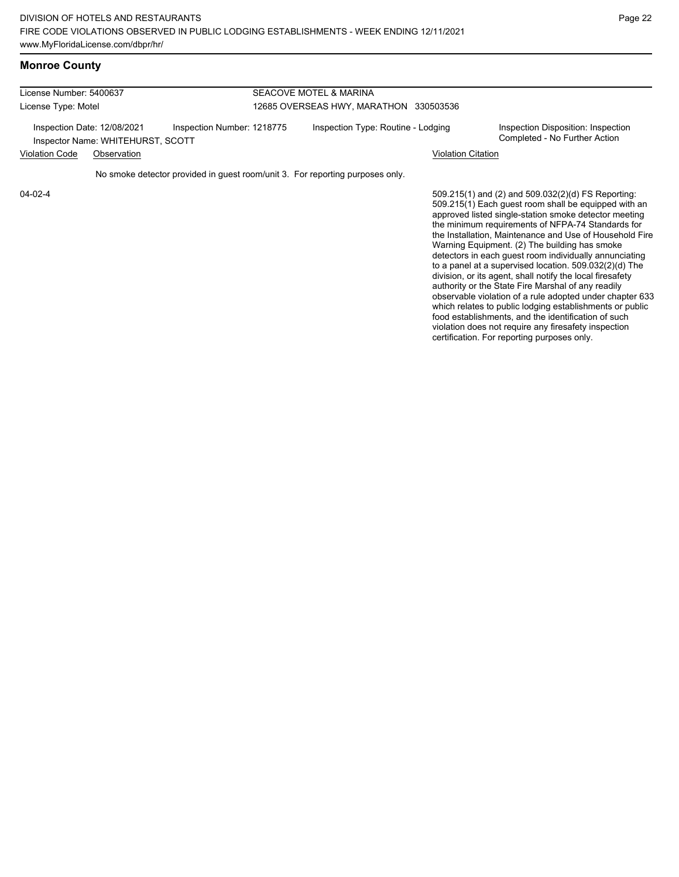| License Number: 5400637 |                                                                  |                                                                               | SEACOVE MOTEL & MARINA                 |                                                                                                                                                                                                                                                                                                                                                                                                                                                                                                                                                     |  |  |  |
|-------------------------|------------------------------------------------------------------|-------------------------------------------------------------------------------|----------------------------------------|-----------------------------------------------------------------------------------------------------------------------------------------------------------------------------------------------------------------------------------------------------------------------------------------------------------------------------------------------------------------------------------------------------------------------------------------------------------------------------------------------------------------------------------------------------|--|--|--|
| License Type: Motel     |                                                                  |                                                                               | 12685 OVERSEAS HWY, MARATHON 330503536 |                                                                                                                                                                                                                                                                                                                                                                                                                                                                                                                                                     |  |  |  |
|                         | Inspection Date: 12/08/2021<br>Inspector Name: WHITEHURST, SCOTT | Inspection Number: 1218775                                                    | Inspection Type: Routine - Lodging     | Inspection Disposition: Inspection<br>Completed - No Further Action                                                                                                                                                                                                                                                                                                                                                                                                                                                                                 |  |  |  |
| <b>Violation Code</b>   | Observation                                                      |                                                                               | <b>Violation Citation</b>              |                                                                                                                                                                                                                                                                                                                                                                                                                                                                                                                                                     |  |  |  |
|                         |                                                                  | No smoke detector provided in guest room/unit 3. For reporting purposes only. |                                        |                                                                                                                                                                                                                                                                                                                                                                                                                                                                                                                                                     |  |  |  |
| 04-02-4                 |                                                                  |                                                                               |                                        | 509.215(1) and (2) and 509.032(2)(d) FS Reporting:<br>$\mathsf{F}\circ\circ\circ\bullet\mathsf{F}\circ\mathsf{F}\circ\mathsf{F}\circ\mathsf{F}\circ\mathsf{F}\circ\mathsf{F}\circ\mathsf{F}\circ\mathsf{F}\circ\mathsf{F}\circ\mathsf{F}\circ\mathsf{F}\circ\mathsf{F}\circ\mathsf{F}\circ\mathsf{F}\circ\mathsf{F}\circ\mathsf{F}\circ\mathsf{F}\circ\mathsf{F}\circ\mathsf{F}\circ\mathsf{F}\circ\mathsf{F}\circ\mathsf{F}\circ\mathsf{F}\circ\mathsf{F}\circ\mathsf{F}\circ\mathsf{F}\circ\mathsf{F}\circ\mathsf{F}\circ\mathsf{F}\circ\mathsf{$ |  |  |  |

509.215(1) Each guest room shall be equipped with an approved listed single-station smoke detector meeting the minimum requirements of NFPA-74 Standards for the Installation, Maintenance and Use of Household Fire Warning Equipment. (2) The building has smoke detectors in each guest room individually annunciating to a panel at a supervised location. 509.032(2)(d) The division, or its agent, shall notify the local firesafety authority or the State Fire Marshal of any readily observable violation of a rule adopted under chapter 633 which relates to public lodging establishments or public food establishments, and the identification of such violation does not require any firesafety inspection certification. For reporting purposes only.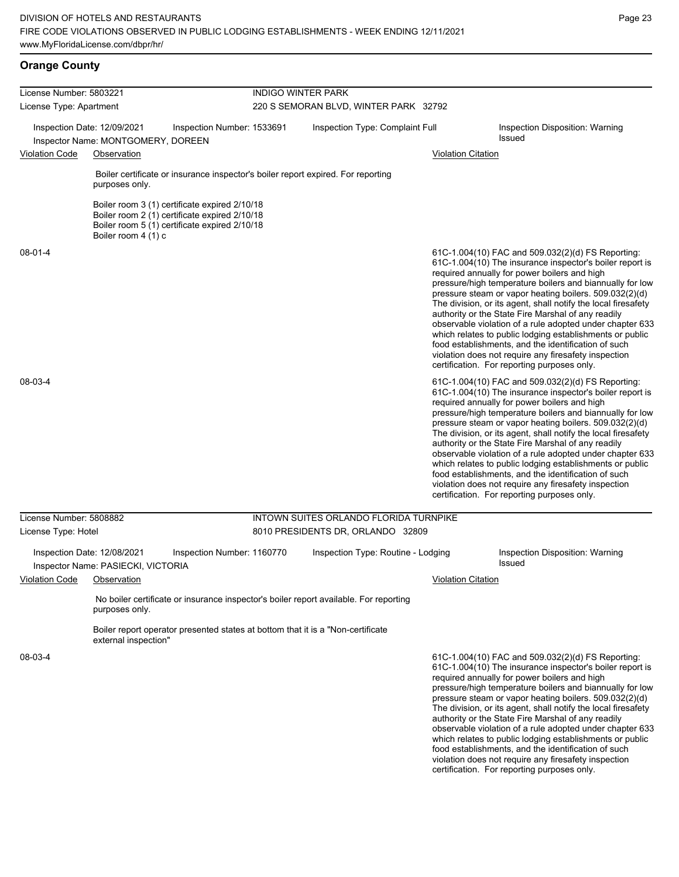**Orange County**

| License Number: 5803221 |                                                                                  |                                                                                                                                                 | <b>INDIGO WINTER PARK</b>              |                           |                                                                                                                                                                                                                                                                                                                                                                                                                                                                                                                                                                                                                                                                                                  |  |  |
|-------------------------|----------------------------------------------------------------------------------|-------------------------------------------------------------------------------------------------------------------------------------------------|----------------------------------------|---------------------------|--------------------------------------------------------------------------------------------------------------------------------------------------------------------------------------------------------------------------------------------------------------------------------------------------------------------------------------------------------------------------------------------------------------------------------------------------------------------------------------------------------------------------------------------------------------------------------------------------------------------------------------------------------------------------------------------------|--|--|
| License Type: Apartment |                                                                                  |                                                                                                                                                 | 220 S SEMORAN BLVD, WINTER PARK 32792  |                           |                                                                                                                                                                                                                                                                                                                                                                                                                                                                                                                                                                                                                                                                                                  |  |  |
| Violation Code          | Inspection Date: 12/09/2021<br>Inspector Name: MONTGOMERY, DOREEN<br>Observation | Inspection Number: 1533691                                                                                                                      | Inspection Type: Complaint Full        |                           | Inspection Disposition: Warning<br><b>Issued</b><br><b>Violation Citation</b>                                                                                                                                                                                                                                                                                                                                                                                                                                                                                                                                                                                                                    |  |  |
|                         | purposes only.                                                                   | Boiler certificate or insurance inspector's boiler report expired. For reporting                                                                |                                        |                           |                                                                                                                                                                                                                                                                                                                                                                                                                                                                                                                                                                                                                                                                                                  |  |  |
|                         | Boiler room 4 (1) c                                                              | Boiler room 3 (1) certificate expired 2/10/18<br>Boiler room 2 (1) certificate expired 2/10/18<br>Boiler room 5 (1) certificate expired 2/10/18 |                                        |                           |                                                                                                                                                                                                                                                                                                                                                                                                                                                                                                                                                                                                                                                                                                  |  |  |
| $08 - 01 - 4$           |                                                                                  |                                                                                                                                                 |                                        |                           | 61C-1.004(10) FAC and 509.032(2)(d) FS Reporting:<br>61C-1.004(10) The insurance inspector's boiler report is<br>required annually for power boilers and high<br>pressure/high temperature boilers and biannually for low<br>pressure steam or vapor heating boilers. 509.032(2)(d)<br>The division, or its agent, shall notify the local firesafety<br>authority or the State Fire Marshal of any readily<br>observable violation of a rule adopted under chapter 633<br>which relates to public lodging establishments or public<br>food establishments, and the identification of such<br>violation does not require any firesafety inspection<br>certification. For reporting purposes only. |  |  |
| 08-03-4                 |                                                                                  |                                                                                                                                                 |                                        |                           | 61C-1.004(10) FAC and 509.032(2)(d) FS Reporting:<br>61C-1.004(10) The insurance inspector's boiler report is<br>required annually for power boilers and high<br>pressure/high temperature boilers and biannually for low<br>pressure steam or vapor heating boilers. 509.032(2)(d)<br>The division, or its agent, shall notify the local firesafety<br>authority or the State Fire Marshal of any readily<br>observable violation of a rule adopted under chapter 633<br>which relates to public lodging establishments or public<br>food establishments, and the identification of such<br>violation does not require any firesafety inspection<br>certification. For reporting purposes only. |  |  |
| License Number: 5808882 |                                                                                  |                                                                                                                                                 | INTOWN SUITES ORLANDO FLORIDA TURNPIKE |                           |                                                                                                                                                                                                                                                                                                                                                                                                                                                                                                                                                                                                                                                                                                  |  |  |
| License Type: Hotel     |                                                                                  |                                                                                                                                                 | 8010 PRESIDENTS DR, ORLANDO 32809      |                           |                                                                                                                                                                                                                                                                                                                                                                                                                                                                                                                                                                                                                                                                                                  |  |  |
|                         | Inspection Date: 12/08/2021<br>Inspector Name: PASIECKI, VICTORIA                | Inspection Number: 1160770                                                                                                                      | Inspection Type: Routine - Lodging     |                           | Inspection Disposition: Warning<br><b>Issued</b>                                                                                                                                                                                                                                                                                                                                                                                                                                                                                                                                                                                                                                                 |  |  |
| Violation Code          | Observation                                                                      |                                                                                                                                                 |                                        | <b>Violation Citation</b> |                                                                                                                                                                                                                                                                                                                                                                                                                                                                                                                                                                                                                                                                                                  |  |  |
|                         | purposes only.                                                                   | No boiler certificate or insurance inspector's boiler report available. For reporting                                                           |                                        |                           |                                                                                                                                                                                                                                                                                                                                                                                                                                                                                                                                                                                                                                                                                                  |  |  |
|                         | external inspection"                                                             | Boiler report operator presented states at bottom that it is a "Non-certificate"                                                                |                                        |                           |                                                                                                                                                                                                                                                                                                                                                                                                                                                                                                                                                                                                                                                                                                  |  |  |
| 08-03-4                 |                                                                                  |                                                                                                                                                 |                                        |                           | 61C-1.004(10) FAC and 509.032(2)(d) FS Reporting:<br>61C-1.004(10) The insurance inspector's boiler report is<br>required annually for power boilers and high<br>pressure/high temperature boilers and biannually for low<br>$\frac{1}{2}$                                                                                                                                                                                                                                                                                                                                                                                                                                                       |  |  |

pressure steam or vapor heating boilers. 509.032(2)(d) The division, or its agent, shall notify the local firesafety authority or the State Fire Marshal of any readily observable violation of a rule adopted under chapter 633 which relates to public lodging establishments or public food establishments, and the identification of such violation does not require any firesafety inspection certification. For reporting purposes only.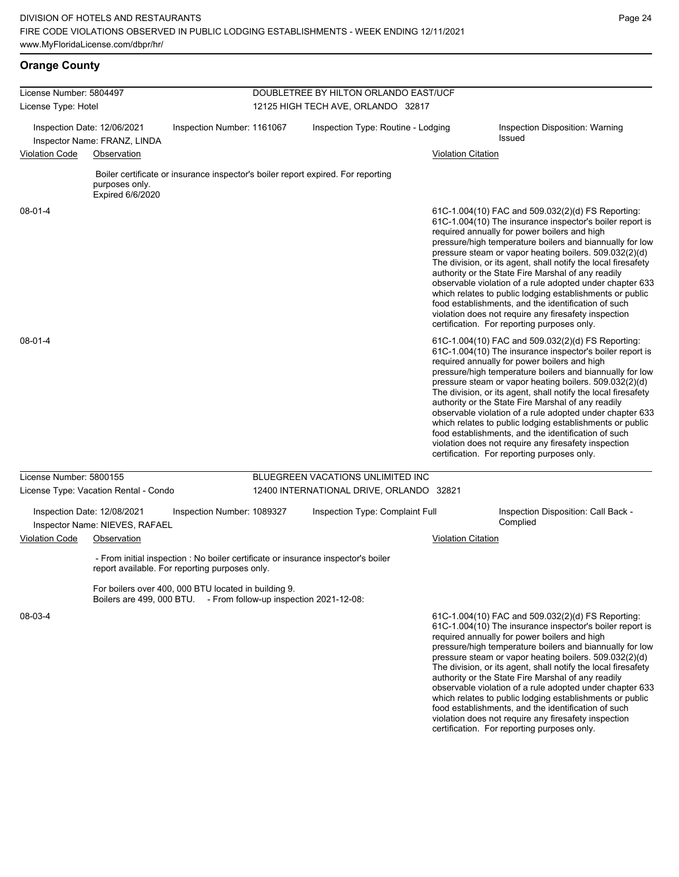**Orange County**

| License Number: 5804497                                     |                                                               |                                                                                                                                     |  | DOUBLETREE BY HILTON ORLANDO EAST/UCF    |                           |                                                                                                                                                                                                                                                                                                                                                                                                                                                                                                                                                                                                                                                                                                  |
|-------------------------------------------------------------|---------------------------------------------------------------|-------------------------------------------------------------------------------------------------------------------------------------|--|------------------------------------------|---------------------------|--------------------------------------------------------------------------------------------------------------------------------------------------------------------------------------------------------------------------------------------------------------------------------------------------------------------------------------------------------------------------------------------------------------------------------------------------------------------------------------------------------------------------------------------------------------------------------------------------------------------------------------------------------------------------------------------------|
| License Type: Hotel                                         |                                                               |                                                                                                                                     |  | 12125 HIGH TECH AVE, ORLANDO 32817       |                           |                                                                                                                                                                                                                                                                                                                                                                                                                                                                                                                                                                                                                                                                                                  |
| Inspection Date: 12/06/2021<br>Inspector Name: FRANZ, LINDA |                                                               | Inspection Number: 1161067<br>Inspection Type: Routine - Lodging                                                                    |  |                                          |                           | Inspection Disposition: Warning<br><b>Issued</b>                                                                                                                                                                                                                                                                                                                                                                                                                                                                                                                                                                                                                                                 |
| Violation Code                                              | Observation                                                   |                                                                                                                                     |  |                                          | Violation Citation        |                                                                                                                                                                                                                                                                                                                                                                                                                                                                                                                                                                                                                                                                                                  |
|                                                             | purposes only.<br>Expired 6/6/2020                            | Boiler certificate or insurance inspector's boiler report expired. For reporting                                                    |  |                                          |                           |                                                                                                                                                                                                                                                                                                                                                                                                                                                                                                                                                                                                                                                                                                  |
| 08-01-4                                                     |                                                               |                                                                                                                                     |  |                                          |                           | 61C-1.004(10) FAC and 509.032(2)(d) FS Reporting:<br>61C-1.004(10) The insurance inspector's boiler report is<br>required annually for power boilers and high<br>pressure/high temperature boilers and biannually for low<br>pressure steam or vapor heating boilers. 509.032(2)(d)<br>The division, or its agent, shall notify the local firesafety<br>authority or the State Fire Marshal of any readily<br>observable violation of a rule adopted under chapter 633<br>which relates to public lodging establishments or public<br>food establishments, and the identification of such<br>violation does not require any firesafety inspection<br>certification. For reporting purposes only. |
| 08-01-4                                                     |                                                               |                                                                                                                                     |  |                                          |                           | 61C-1.004(10) FAC and 509.032(2)(d) FS Reporting:<br>61C-1.004(10) The insurance inspector's boiler report is<br>required annually for power boilers and high<br>pressure/high temperature boilers and biannually for low<br>pressure steam or vapor heating boilers. 509.032(2)(d)<br>The division, or its agent, shall notify the local firesafety<br>authority or the State Fire Marshal of any readily<br>observable violation of a rule adopted under chapter 633<br>which relates to public lodging establishments or public<br>food establishments, and the identification of such<br>violation does not require any firesafety inspection<br>certification. For reporting purposes only. |
| License Number: 5800155                                     |                                                               |                                                                                                                                     |  | BLUEGREEN VACATIONS UNLIMITED INC        |                           |                                                                                                                                                                                                                                                                                                                                                                                                                                                                                                                                                                                                                                                                                                  |
|                                                             | License Type: Vacation Rental - Condo                         |                                                                                                                                     |  | 12400 INTERNATIONAL DRIVE, ORLANDO 32821 |                           |                                                                                                                                                                                                                                                                                                                                                                                                                                                                                                                                                                                                                                                                                                  |
|                                                             | Inspection Date: 12/08/2021<br>Inspector Name: NIEVES, RAFAEL | Inspection Number: 1089327                                                                                                          |  | Inspection Type: Complaint Full          |                           | Inspection Disposition: Call Back -<br>Complied                                                                                                                                                                                                                                                                                                                                                                                                                                                                                                                                                                                                                                                  |
| <b>Violation Code</b>                                       | Observation                                                   |                                                                                                                                     |  |                                          | <b>Violation Citation</b> |                                                                                                                                                                                                                                                                                                                                                                                                                                                                                                                                                                                                                                                                                                  |
|                                                             |                                                               | - From initial inspection : No boiler certificate or insurance inspector's boiler<br>report available. For reporting purposes only. |  |                                          |                           |                                                                                                                                                                                                                                                                                                                                                                                                                                                                                                                                                                                                                                                                                                  |
|                                                             |                                                               | For boilers over 400, 000 BTU located in building 9.<br>Boilers are 499, 000 BTU. - From follow-up inspection 2021-12-08:           |  |                                          |                           |                                                                                                                                                                                                                                                                                                                                                                                                                                                                                                                                                                                                                                                                                                  |
| 08-03-4                                                     |                                                               |                                                                                                                                     |  |                                          |                           | 61C-1.004(10) FAC and 509.032(2)(d) FS Reporting:<br>61C-1.004(10) The insurance inspector's boiler report is<br>required annually for power boilers and high<br>pressure/high temperature boilers and biannually for low<br>pressure steam or vapor heating boilers. 509.032(2)(d)<br>The division, or its agent, shall notify the local firesafety<br>authority or the State Fire Marshal of any readily<br>observable violation of a rule adopted under chapter 633                                                                                                                                                                                                                           |

which relates to public lodging establishments or public food establishments, and the identification of such violation does not require any firesafety inspection certification. For reporting purposes only.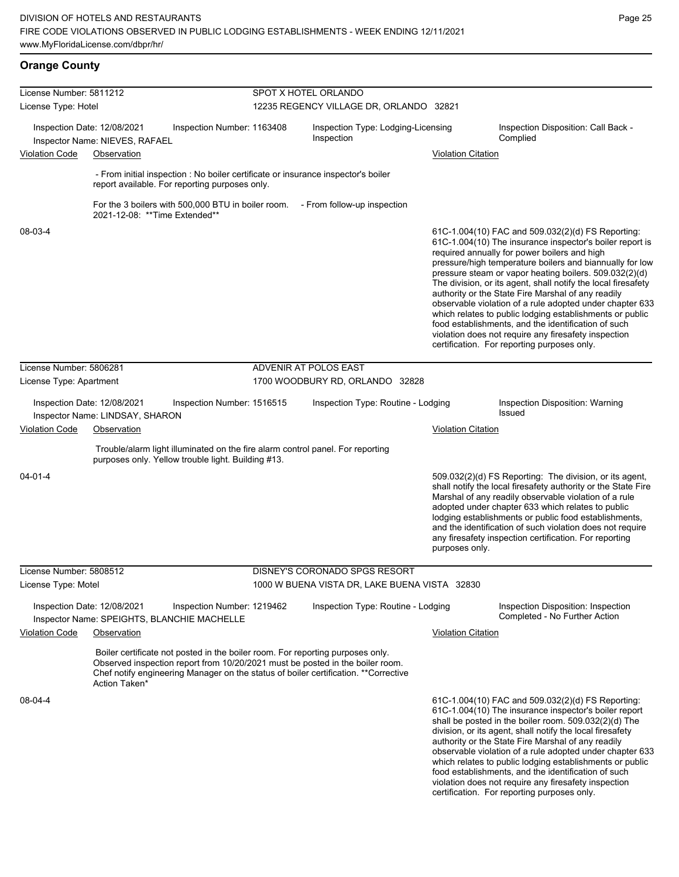**Orange County**

food establishments, and the identification of such violation does not require any firesafety inspection certification. For reporting purposes only.

| License Number: 5811212              |                                                                                                                                                                                                                                                                         |                            | SPOT X HOTEL ORLANDO                             |                           |                                                                                                                                                                                                                                                                                                                                                                                                                                                                                                                                                                                                                                                                                                  |
|--------------------------------------|-------------------------------------------------------------------------------------------------------------------------------------------------------------------------------------------------------------------------------------------------------------------------|----------------------------|--------------------------------------------------|---------------------------|--------------------------------------------------------------------------------------------------------------------------------------------------------------------------------------------------------------------------------------------------------------------------------------------------------------------------------------------------------------------------------------------------------------------------------------------------------------------------------------------------------------------------------------------------------------------------------------------------------------------------------------------------------------------------------------------------|
| License Type: Hotel                  |                                                                                                                                                                                                                                                                         |                            | 12235 REGENCY VILLAGE DR, ORLANDO 32821          |                           |                                                                                                                                                                                                                                                                                                                                                                                                                                                                                                                                                                                                                                                                                                  |
|                                      | Inspection Date: 12/08/2021<br>Inspector Name: NIEVES, RAFAEL                                                                                                                                                                                                           | Inspection Number: 1163408 | Inspection Type: Lodging-Licensing<br>Inspection |                           | Inspection Disposition: Call Back -<br>Complied                                                                                                                                                                                                                                                                                                                                                                                                                                                                                                                                                                                                                                                  |
| <b>Violation Code</b>                | Observation                                                                                                                                                                                                                                                             |                            |                                                  | <b>Violation Citation</b> |                                                                                                                                                                                                                                                                                                                                                                                                                                                                                                                                                                                                                                                                                                  |
|                                      | - From initial inspection : No boiler certificate or insurance inspector's boiler<br>report available. For reporting purposes only.                                                                                                                                     |                            |                                                  |                           |                                                                                                                                                                                                                                                                                                                                                                                                                                                                                                                                                                                                                                                                                                  |
|                                      | For the 3 boilers with 500,000 BTU in boiler room. - From follow-up inspection<br>2021-12-08: **Time Extended**                                                                                                                                                         |                            |                                                  |                           |                                                                                                                                                                                                                                                                                                                                                                                                                                                                                                                                                                                                                                                                                                  |
| 08-03-4                              |                                                                                                                                                                                                                                                                         |                            |                                                  |                           | 61C-1.004(10) FAC and 509.032(2)(d) FS Reporting:<br>61C-1.004(10) The insurance inspector's boiler report is<br>required annually for power boilers and high<br>pressure/high temperature boilers and biannually for low<br>pressure steam or vapor heating boilers. 509.032(2)(d)<br>The division, or its agent, shall notify the local firesafety<br>authority or the State Fire Marshal of any readily<br>observable violation of a rule adopted under chapter 633<br>which relates to public lodging establishments or public<br>food establishments, and the identification of such<br>violation does not require any firesafety inspection<br>certification. For reporting purposes only. |
| License Number: 5806281              |                                                                                                                                                                                                                                                                         |                            | ADVENIR AT POLOS EAST                            |                           |                                                                                                                                                                                                                                                                                                                                                                                                                                                                                                                                                                                                                                                                                                  |
| License Type: Apartment              |                                                                                                                                                                                                                                                                         |                            | 1700 WOODBURY RD, ORLANDO 32828                  |                           |                                                                                                                                                                                                                                                                                                                                                                                                                                                                                                                                                                                                                                                                                                  |
|                                      | Inspection Date: 12/08/2021<br>Inspector Name: LINDSAY, SHARON                                                                                                                                                                                                          | Inspection Number: 1516515 | Inspection Type: Routine - Lodging               |                           | Inspection Disposition: Warning<br><b>Issued</b>                                                                                                                                                                                                                                                                                                                                                                                                                                                                                                                                                                                                                                                 |
| <b>Violation Code</b><br>Observation |                                                                                                                                                                                                                                                                         |                            |                                                  | <b>Violation Citation</b> |                                                                                                                                                                                                                                                                                                                                                                                                                                                                                                                                                                                                                                                                                                  |
|                                      | Trouble/alarm light illuminated on the fire alarm control panel. For reporting<br>purposes only. Yellow trouble light. Building #13.                                                                                                                                    |                            |                                                  |                           |                                                                                                                                                                                                                                                                                                                                                                                                                                                                                                                                                                                                                                                                                                  |
| $04 - 01 - 4$                        |                                                                                                                                                                                                                                                                         |                            |                                                  | purposes only.            | 509.032(2)(d) FS Reporting: The division, or its agent,<br>shall notify the local firesafety authority or the State Fire<br>Marshal of any readily observable violation of a rule<br>adopted under chapter 633 which relates to public<br>lodging establishments or public food establishments,<br>and the identification of such violation does not require<br>any firesafety inspection certification. For reporting                                                                                                                                                                                                                                                                           |
| License Number: 5808512              |                                                                                                                                                                                                                                                                         |                            | DISNEY'S CORONADO SPGS RESORT                    |                           |                                                                                                                                                                                                                                                                                                                                                                                                                                                                                                                                                                                                                                                                                                  |
| License Type: Motel                  |                                                                                                                                                                                                                                                                         |                            | 1000 W BUENA VISTA DR, LAKE BUENA VISTA 32830    |                           |                                                                                                                                                                                                                                                                                                                                                                                                                                                                                                                                                                                                                                                                                                  |
|                                      | Inspection Date: 12/08/2021<br>Inspector Name: SPEIGHTS, BLANCHIE MACHELLE                                                                                                                                                                                              | Inspection Number: 1219462 | Inspection Type: Routine - Lodging               |                           | Inspection Disposition: Inspection<br>Completed - No Further Action                                                                                                                                                                                                                                                                                                                                                                                                                                                                                                                                                                                                                              |
| <b>Violation Code</b>                | Observation                                                                                                                                                                                                                                                             |                            |                                                  | <b>Violation Citation</b> |                                                                                                                                                                                                                                                                                                                                                                                                                                                                                                                                                                                                                                                                                                  |
|                                      | Boiler certificate not posted in the boiler room. For reporting purposes only.<br>Observed inspection report from 10/20/2021 must be posted in the boiler room.<br>Chef notify engineering Manager on the status of boiler certification. **Corrective<br>Action Taken* |                            |                                                  |                           |                                                                                                                                                                                                                                                                                                                                                                                                                                                                                                                                                                                                                                                                                                  |
| 08-04-4                              |                                                                                                                                                                                                                                                                         |                            |                                                  |                           | 61C-1.004(10) FAC and 509.032(2)(d) FS Reporting:<br>61C-1.004(10) The insurance inspector's boiler report<br>shall be posted in the boiler room. 509.032(2)(d) The<br>division, or its agent, shall notify the local firesafety<br>authority or the State Fire Marshal of any readily<br>observable violation of a rule adopted under chapter 633<br>which relates to public lodging establishments or public                                                                                                                                                                                                                                                                                   |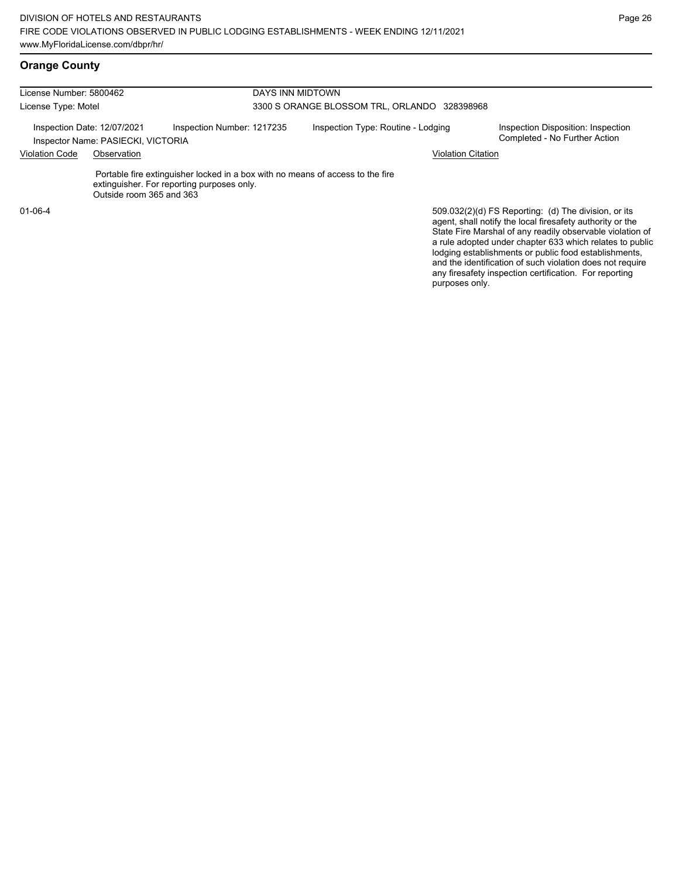| License Number: 5800462                                           |                          | DAYS INN MIDTOWN                                                                                                             |                                              |                                                                                                                                                                                |  |  |
|-------------------------------------------------------------------|--------------------------|------------------------------------------------------------------------------------------------------------------------------|----------------------------------------------|--------------------------------------------------------------------------------------------------------------------------------------------------------------------------------|--|--|
| License Type: Motel                                               |                          |                                                                                                                              | 3300 S ORANGE BLOSSOM TRL, ORLANDO 328398968 |                                                                                                                                                                                |  |  |
| Inspection Date: 12/07/2021<br>Inspector Name: PASIECKI, VICTORIA |                          | Inspection Number: 1217235                                                                                                   | Inspection Type: Routine - Lodging           | Inspection Disposition: Inspection<br>Completed - No Further Action                                                                                                            |  |  |
| <b>Violation Code</b>                                             | Observation              |                                                                                                                              | <b>Violation Citation</b>                    |                                                                                                                                                                                |  |  |
|                                                                   | Outside room 365 and 363 | Portable fire extinguisher locked in a box with no means of access to the fire<br>extinguisher. For reporting purposes only. |                                              |                                                                                                                                                                                |  |  |
| $01 - 06 - 4$                                                     |                          |                                                                                                                              |                                              | 509.032(2)(d) FS Reporting: (d) The division, or its<br>agent, shall notify the local firesafety authority or the<br>State Fire Marshal of any readily observable violation of |  |  |

a rule adopted under chapter 633 which relates to public lodging establishments or public food establishments, and the identification of such violation does not require any firesafety inspection certification. For reporting purposes only.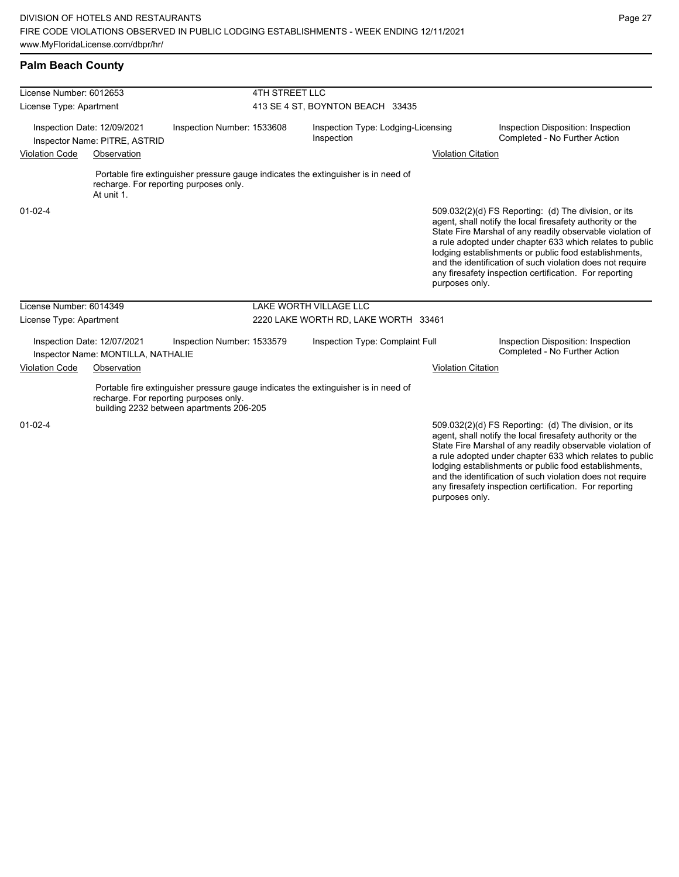and the identification of such violation does not require any firesafety inspection certification. For reporting

| <b>Palm Beach County</b>                                                                                                                                                 |                            |                                                  |                           |                                                                                                                                                                                                                                                                                                                                                                                                                            |
|--------------------------------------------------------------------------------------------------------------------------------------------------------------------------|----------------------------|--------------------------------------------------|---------------------------|----------------------------------------------------------------------------------------------------------------------------------------------------------------------------------------------------------------------------------------------------------------------------------------------------------------------------------------------------------------------------------------------------------------------------|
| License Number: 6012653                                                                                                                                                  | <b>4TH STREET LLC</b>      |                                                  |                           |                                                                                                                                                                                                                                                                                                                                                                                                                            |
| License Type: Apartment                                                                                                                                                  |                            | 413 SE 4 ST, BOYNTON BEACH 33435                 |                           |                                                                                                                                                                                                                                                                                                                                                                                                                            |
| Inspection Date: 12/09/2021<br>Inspector Name: PITRE, ASTRID                                                                                                             | Inspection Number: 1533608 | Inspection Type: Lodging-Licensing<br>Inspection |                           | Inspection Disposition: Inspection<br>Completed - No Further Action                                                                                                                                                                                                                                                                                                                                                        |
| <b>Violation Code</b><br>Observation                                                                                                                                     |                            |                                                  | <b>Violation Citation</b> |                                                                                                                                                                                                                                                                                                                                                                                                                            |
| Portable fire extinguisher pressure gauge indicates the extinguisher is in need of<br>recharge. For reporting purposes only.<br>At unit 1.                               |                            |                                                  |                           |                                                                                                                                                                                                                                                                                                                                                                                                                            |
| $01 - 02 - 4$                                                                                                                                                            |                            |                                                  | purposes only.            | 509.032(2)(d) FS Reporting: (d) The division, or its<br>agent, shall notify the local firesafety authority or the<br>State Fire Marshal of any readily observable violation of<br>a rule adopted under chapter 633 which relates to public<br>lodging establishments or public food establishments,<br>and the identification of such violation does not require<br>any firesafety inspection certification. For reporting |
| License Number: 6014349                                                                                                                                                  |                            | LAKE WORTH VILLAGE LLC                           |                           |                                                                                                                                                                                                                                                                                                                                                                                                                            |
| License Type: Apartment                                                                                                                                                  |                            | 2220 LAKE WORTH RD, LAKE WORTH 33461             |                           |                                                                                                                                                                                                                                                                                                                                                                                                                            |
| Inspection Date: 12/07/2021<br>Inspector Name: MONTILLA, NATHALIE                                                                                                        | Inspection Number: 1533579 | Inspection Type: Complaint Full                  |                           | Inspection Disposition: Inspection<br>Completed - No Further Action                                                                                                                                                                                                                                                                                                                                                        |
| <b>Violation Code</b><br>Observation                                                                                                                                     |                            |                                                  | <b>Violation Citation</b> |                                                                                                                                                                                                                                                                                                                                                                                                                            |
| Portable fire extinguisher pressure gauge indicates the extinguisher is in need of<br>recharge. For reporting purposes only.<br>building 2232 between apartments 206-205 |                            |                                                  |                           |                                                                                                                                                                                                                                                                                                                                                                                                                            |
| $01-02-4$                                                                                                                                                                |                            |                                                  |                           | 509.032(2)(d) FS Reporting: (d) The division, or its<br>agent, shall notify the local firesafety authority or the<br>State Fire Marshal of any readily observable violation of<br>a rule adopted under chapter 633 which relates to public<br>lodging establishments or public food establishments,                                                                                                                        |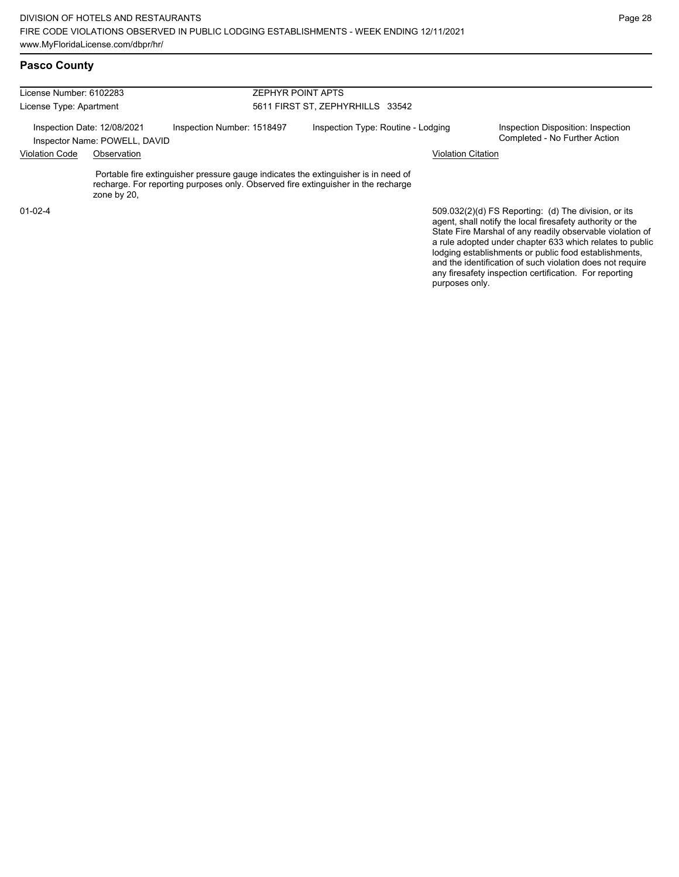| License Number: 6102283<br>License Type: Apartment |                                                              |                            | <b>ZEPHYR POINT APTS</b><br>5611 FIRST ST, ZEPHYRHILLS 33542 |                                                                                                                                                                         |                           |                                                                     |
|----------------------------------------------------|--------------------------------------------------------------|----------------------------|--------------------------------------------------------------|-------------------------------------------------------------------------------------------------------------------------------------------------------------------------|---------------------------|---------------------------------------------------------------------|
|                                                    |                                                              |                            |                                                              |                                                                                                                                                                         |                           |                                                                     |
|                                                    | Inspection Date: 12/08/2021<br>Inspector Name: POWELL, DAVID | Inspection Number: 1518497 |                                                              | Inspection Type: Routine - Lodging                                                                                                                                      |                           | Inspection Disposition: Inspection<br>Completed - No Further Action |
| <b>Violation Code</b>                              | Observation                                                  |                            |                                                              |                                                                                                                                                                         | <b>Violation Citation</b> |                                                                     |
|                                                    | zone by 20,                                                  |                            |                                                              | Portable fire extinguisher pressure gauge indicates the extinguisher is in need of<br>recharge. For reporting purposes only. Observed fire extinguisher in the recharge |                           |                                                                     |
| $01 - 02 - 4$                                      |                                                              |                            |                                                              |                                                                                                                                                                         |                           | 509.032(2)(d) FS Reporting: (d) The division, or its                |

509.032(2)(d) FS Reporting: (d) The division, or its agent, shall notify the local firesafety authority or the State Fire Marshal of any readily observable violation of a rule adopted under chapter 633 which relates to public lodging establishments or public food establishments, and the identification of such violation does not require any firesafety inspection certification. For reporting purposes only.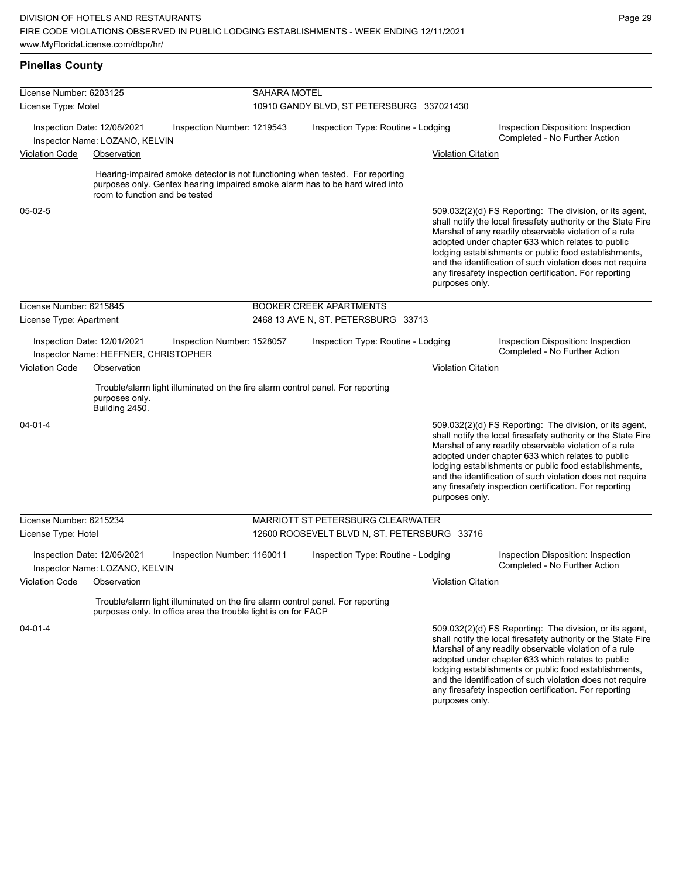### **Pinellas County**

| License Number: 6203125<br>License Type: Motel |                                                                     | SAHARA MOTEL<br>10910 GANDY BLVD, ST PETERSBURG 337021430 |                           |                                                                                                                                                               |                           |                                                                                                                                                                                                                                                                                                                                                                                                                        |
|------------------------------------------------|---------------------------------------------------------------------|-----------------------------------------------------------|---------------------------|---------------------------------------------------------------------------------------------------------------------------------------------------------------|---------------------------|------------------------------------------------------------------------------------------------------------------------------------------------------------------------------------------------------------------------------------------------------------------------------------------------------------------------------------------------------------------------------------------------------------------------|
|                                                | Inspection Date: 12/08/2021<br>Inspector Name: LOZANO, KELVIN       | Inspection Number: 1219543                                |                           | Inspection Type: Routine - Lodging                                                                                                                            |                           | Inspection Disposition: Inspection<br>Completed - No Further Action                                                                                                                                                                                                                                                                                                                                                    |
| <b>Violation Code</b>                          | Observation                                                         |                                                           |                           |                                                                                                                                                               | <b>Violation Citation</b> |                                                                                                                                                                                                                                                                                                                                                                                                                        |
|                                                | room to function and be tested                                      |                                                           |                           | Hearing-impaired smoke detector is not functioning when tested. For reporting<br>purposes only. Gentex hearing impaired smoke alarm has to be hard wired into |                           |                                                                                                                                                                                                                                                                                                                                                                                                                        |
| $05-02-5$                                      |                                                                     |                                                           |                           |                                                                                                                                                               | purposes only.            | 509.032(2)(d) FS Reporting: The division, or its agent,<br>shall notify the local firesafety authority or the State Fire<br>Marshal of any readily observable violation of a rule<br>adopted under chapter 633 which relates to public<br>lodging establishments or public food establishments,<br>and the identification of such violation does not require<br>any firesafety inspection certification. For reporting |
| License Number: 6215845                        |                                                                     |                                                           |                           | <b>BOOKER CREEK APARTMENTS</b>                                                                                                                                |                           |                                                                                                                                                                                                                                                                                                                                                                                                                        |
| License Type: Apartment                        |                                                                     |                                                           |                           | 2468 13 AVE N, ST. PETERSBURG 33713                                                                                                                           |                           |                                                                                                                                                                                                                                                                                                                                                                                                                        |
|                                                | Inspection Date: 12/01/2021<br>Inspector Name: HEFFNER, CHRISTOPHER | Inspection Number: 1528057                                |                           | Inspection Type: Routine - Lodging                                                                                                                            |                           | Inspection Disposition: Inspection<br>Completed - No Further Action                                                                                                                                                                                                                                                                                                                                                    |
| <b>Violation Code</b>                          | Observation                                                         |                                                           | <b>Violation Citation</b> |                                                                                                                                                               |                           |                                                                                                                                                                                                                                                                                                                                                                                                                        |
|                                                | purposes only.<br>Building 2450.                                    |                                                           |                           | Trouble/alarm light illuminated on the fire alarm control panel. For reporting                                                                                |                           |                                                                                                                                                                                                                                                                                                                                                                                                                        |
| $04 - 01 - 4$                                  |                                                                     |                                                           |                           |                                                                                                                                                               | purposes only.            | 509.032(2)(d) FS Reporting: The division, or its agent,<br>shall notify the local firesafety authority or the State Fire<br>Marshal of any readily observable violation of a rule<br>adopted under chapter 633 which relates to public<br>lodging establishments or public food establishments,<br>and the identification of such violation does not require<br>any firesafety inspection certification. For reporting |
| License Number: 6215234                        |                                                                     |                                                           |                           | MARRIOTT ST PETERSBURG CLEARWATER                                                                                                                             |                           |                                                                                                                                                                                                                                                                                                                                                                                                                        |
| License Type: Hotel                            |                                                                     |                                                           |                           | 12600 ROOSEVELT BLVD N, ST. PETERSBURG 33716                                                                                                                  |                           |                                                                                                                                                                                                                                                                                                                                                                                                                        |
|                                                | Inspection Date: 12/06/2021<br>Inspector Name: LOZANO, KELVIN       | Inspection Number: 1160011                                |                           | Inspection Type: Routine - Lodging                                                                                                                            |                           | Inspection Disposition: Inspection<br>Completed - No Further Action                                                                                                                                                                                                                                                                                                                                                    |
| <b>Violation Code</b>                          | <u>Observation</u>                                                  |                                                           |                           |                                                                                                                                                               | <b>Violation Citation</b> |                                                                                                                                                                                                                                                                                                                                                                                                                        |
|                                                | purposes only. In office area the trouble light is on for FACP      |                                                           |                           | Trouble/alarm light illuminated on the fire alarm control panel. For reporting                                                                                |                           |                                                                                                                                                                                                                                                                                                                                                                                                                        |
| 04-01-4                                        |                                                                     |                                                           |                           |                                                                                                                                                               |                           | 509.032(2)(d) FS Reporting: The division, or its agent,<br>shall notify the local firesafety authority or the State Fire<br>Marshal of any readily observable violation of a rule<br>adopted under chapter 633 which relates to public<br>lodging establishments or public food establishments,<br>and the identification of such violation does not require                                                           |

any firesafety inspection certification. For reporting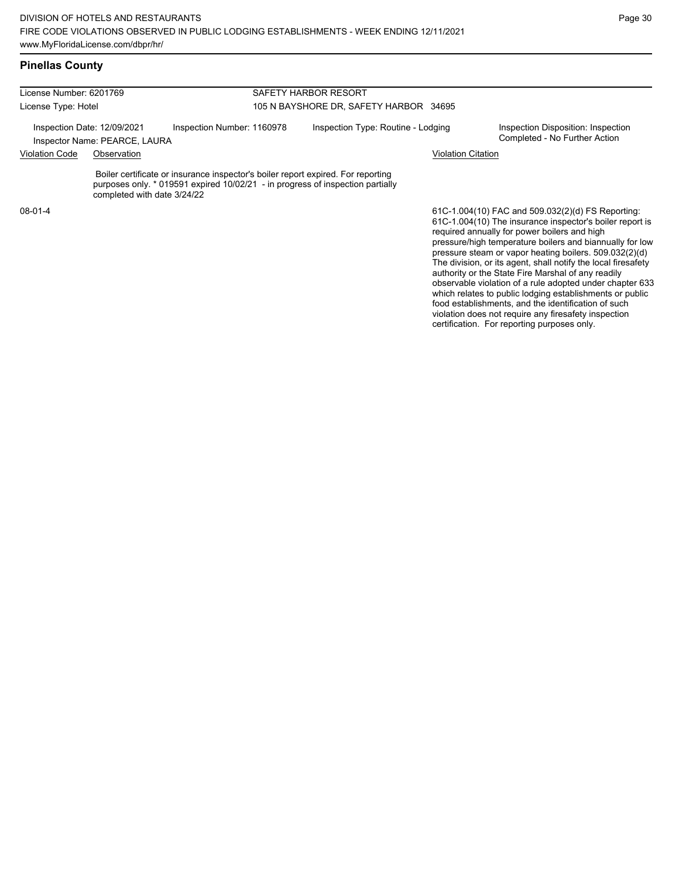| License Number: 6201769 |                                                              |                                                                                                                                                                      | SAFETY HARBOR RESORT                   |                                                                                                               |  |  |
|-------------------------|--------------------------------------------------------------|----------------------------------------------------------------------------------------------------------------------------------------------------------------------|----------------------------------------|---------------------------------------------------------------------------------------------------------------|--|--|
| License Type: Hotel     |                                                              |                                                                                                                                                                      | 105 N BAYSHORE DR, SAFETY HARBOR 34695 |                                                                                                               |  |  |
|                         | Inspection Date: 12/09/2021<br>Inspector Name: PEARCE, LAURA | Inspection Number: 1160978                                                                                                                                           | Inspection Type: Routine - Lodging     | Inspection Disposition: Inspection<br>Completed - No Further Action                                           |  |  |
| Violation Code          | Observation                                                  |                                                                                                                                                                      |                                        | <b>Violation Citation</b>                                                                                     |  |  |
|                         | completed with date 3/24/22                                  | Boiler certificate or insurance inspector's boiler report expired. For reporting<br>purposes only. $*$ 019591 expired 10/02/21 - in progress of inspection partially |                                        |                                                                                                               |  |  |
| 08-01-4                 |                                                              |                                                                                                                                                                      |                                        | 61C-1.004(10) FAC and 509.032(2)(d) FS Reporting:<br>61C-1.004(10) The insurance inspector's boiler report is |  |  |

61C-1.004(10) The insurance inspector's boiler report is required annually for power boilers and high pressure/high temperature boilers and biannually for low pressure steam or vapor heating boilers. 509.032(2)(d) The division, or its agent, shall notify the local firesafety authority or the State Fire Marshal of any readily observable violation of a rule adopted under chapter 633 which relates to public lodging establishments or public food establishments, and the identification of such violation does not require any firesafety inspection certification. For reporting purposes only.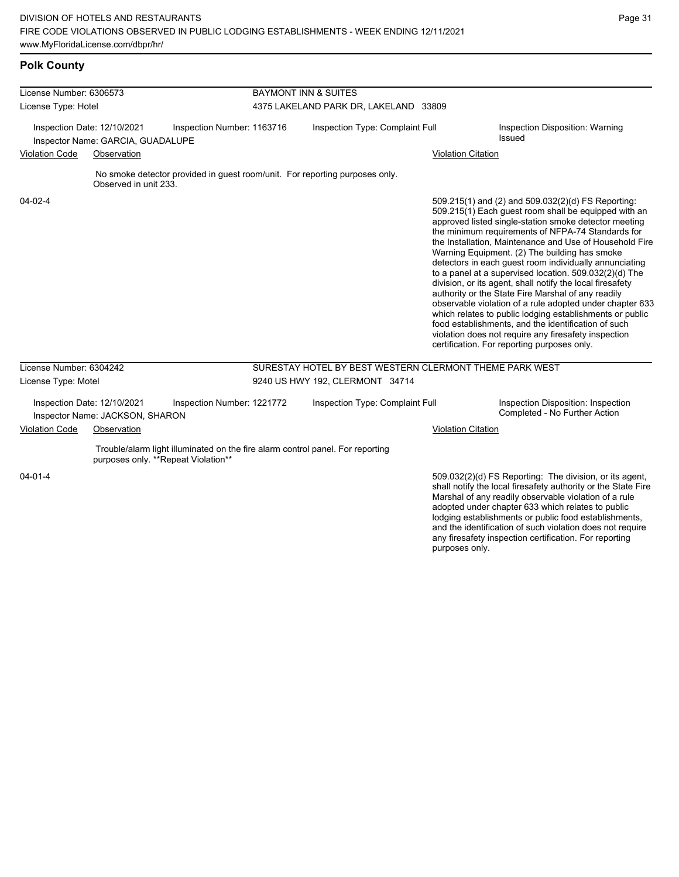any firesafety inspection certification. For reporting

purposes only.

# **Polk County**

| License Number: 6306573                                                                        |                                                                | <b>BAYMONT INN &amp; SUITES</b>                                                                                       |                                       |                                                                             |                                                  |                                                                                                                                                                                                                                                                                                                                                                                                                                                                                                                                                                                                                                                                                                                                                                                                                                                                   |
|------------------------------------------------------------------------------------------------|----------------------------------------------------------------|-----------------------------------------------------------------------------------------------------------------------|---------------------------------------|-----------------------------------------------------------------------------|--------------------------------------------------|-------------------------------------------------------------------------------------------------------------------------------------------------------------------------------------------------------------------------------------------------------------------------------------------------------------------------------------------------------------------------------------------------------------------------------------------------------------------------------------------------------------------------------------------------------------------------------------------------------------------------------------------------------------------------------------------------------------------------------------------------------------------------------------------------------------------------------------------------------------------|
| License Type: Hotel                                                                            |                                                                |                                                                                                                       | 4375 LAKELAND PARK DR, LAKELAND 33809 |                                                                             |                                                  |                                                                                                                                                                                                                                                                                                                                                                                                                                                                                                                                                                                                                                                                                                                                                                                                                                                                   |
| Inspection Date: 12/10/2021<br>Inspection Number: 1163716<br>Inspector Name: GARCIA, GUADALUPE |                                                                |                                                                                                                       | Inspection Type: Complaint Full       |                                                                             | Inspection Disposition: Warning<br><b>Issued</b> |                                                                                                                                                                                                                                                                                                                                                                                                                                                                                                                                                                                                                                                                                                                                                                                                                                                                   |
| <b>Violation Code</b>                                                                          | Observation                                                    |                                                                                                                       |                                       |                                                                             | <b>Violation Citation</b>                        |                                                                                                                                                                                                                                                                                                                                                                                                                                                                                                                                                                                                                                                                                                                                                                                                                                                                   |
|                                                                                                | Observed in unit 233.                                          |                                                                                                                       |                                       | No smoke detector provided in guest room/unit. For reporting purposes only. |                                                  |                                                                                                                                                                                                                                                                                                                                                                                                                                                                                                                                                                                                                                                                                                                                                                                                                                                                   |
| 04-02-4                                                                                        |                                                                |                                                                                                                       |                                       |                                                                             |                                                  | 509.215(1) and (2) and 509.032(2)(d) FS Reporting:<br>509.215(1) Each guest room shall be equipped with an<br>approved listed single-station smoke detector meeting<br>the minimum requirements of NFPA-74 Standards for<br>the Installation, Maintenance and Use of Household Fire<br>Warning Equipment. (2) The building has smoke<br>detectors in each guest room individually annunciating<br>to a panel at a supervised location. 509.032(2)(d) The<br>division, or its agent, shall notify the local firesafety<br>authority or the State Fire Marshal of any readily<br>observable violation of a rule adopted under chapter 633<br>which relates to public lodging establishments or public<br>food establishments, and the identification of such<br>violation does not require any firesafety inspection<br>certification. For reporting purposes only. |
| License Number: 6304242                                                                        |                                                                |                                                                                                                       |                                       | SURESTAY HOTEL BY BEST WESTERN CLERMONT THEME PARK WEST                     |                                                  |                                                                                                                                                                                                                                                                                                                                                                                                                                                                                                                                                                                                                                                                                                                                                                                                                                                                   |
| License Type: Motel                                                                            |                                                                |                                                                                                                       |                                       | 9240 US HWY 192, CLERMONT 34714                                             |                                                  |                                                                                                                                                                                                                                                                                                                                                                                                                                                                                                                                                                                                                                                                                                                                                                                                                                                                   |
|                                                                                                | Inspection Date: 12/10/2021<br>Inspector Name: JACKSON, SHARON | Inspection Number: 1221772                                                                                            |                                       | Inspection Type: Complaint Full                                             |                                                  | Inspection Disposition: Inspection<br>Completed - No Further Action                                                                                                                                                                                                                                                                                                                                                                                                                                                                                                                                                                                                                                                                                                                                                                                               |
| <b>Violation Code</b>                                                                          | Observation                                                    |                                                                                                                       |                                       |                                                                             | <b>Violation Citation</b>                        |                                                                                                                                                                                                                                                                                                                                                                                                                                                                                                                                                                                                                                                                                                                                                                                                                                                                   |
|                                                                                                |                                                                | Trouble/alarm light illuminated on the fire alarm control panel. For reporting<br>purposes only. **Repeat Violation** |                                       |                                                                             |                                                  |                                                                                                                                                                                                                                                                                                                                                                                                                                                                                                                                                                                                                                                                                                                                                                                                                                                                   |
| $04 - 01 - 4$                                                                                  |                                                                |                                                                                                                       |                                       |                                                                             |                                                  | 509.032(2)(d) FS Reporting: The division, or its agent,<br>shall notify the local firesafety authority or the State Fire<br>Marshal of any readily observable violation of a rule<br>adopted under chapter 633 which relates to public<br>lodging establishments or public food establishments,<br>and the identification of such violation does not require                                                                                                                                                                                                                                                                                                                                                                                                                                                                                                      |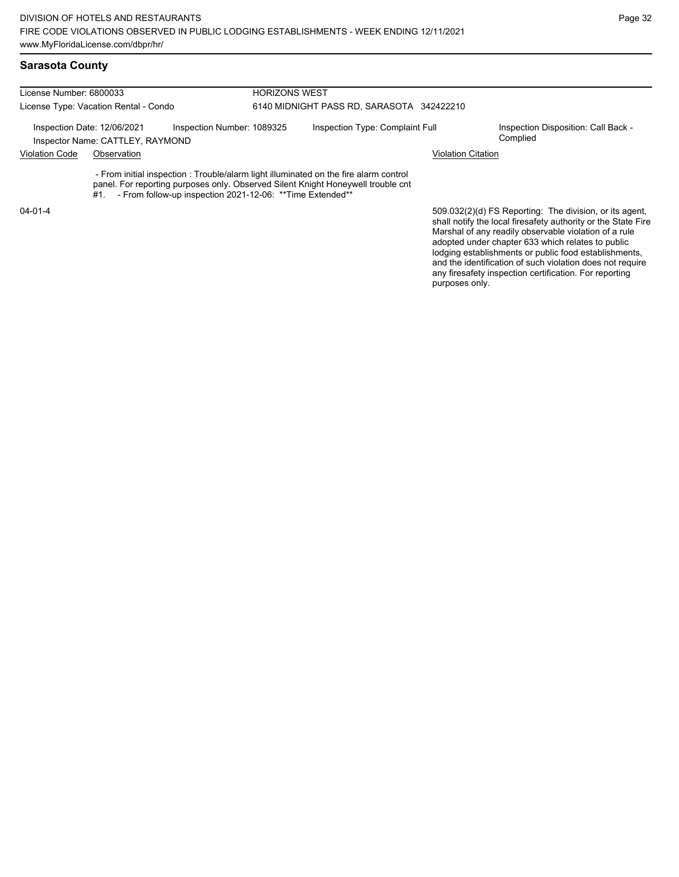## **Sarasota County**

| License Number: 6800033<br>License Type: Vacation Rental - Condo |             | <b>HORIZONS WEST</b><br>6140 MIDNIGHT PASS RD, SARASOTA 342422210 |  |                                                                                                                                                                           |                           |  |
|------------------------------------------------------------------|-------------|-------------------------------------------------------------------|--|---------------------------------------------------------------------------------------------------------------------------------------------------------------------------|---------------------------|--|
|                                                                  |             |                                                                   |  |                                                                                                                                                                           |                           |  |
| <b>Violation Code</b>                                            | Observation |                                                                   |  |                                                                                                                                                                           | <b>Violation Citation</b> |  |
|                                                                  | #1.         | - From follow-up inspection 2021-12-06: ** Time Extended**        |  | - From initial inspection : Trouble/alarm light illuminated on the fire alarm control<br>panel. For reporting purposes only. Observed Silent Knight Honeywell trouble cnt |                           |  |
|                                                                  |             |                                                                   |  |                                                                                                                                                                           |                           |  |

04-01-4

509.032(2)(d) FS Reporting: The division, or its agent, shall notify the local firesafety authority or the State Fire Marshal of any readily observable violation of a rule adopted under chapter 633 which relates to public lodging establishments or public food establishments, and the identification of such violation does not require any firesafety inspection certification. For reporting purposes only.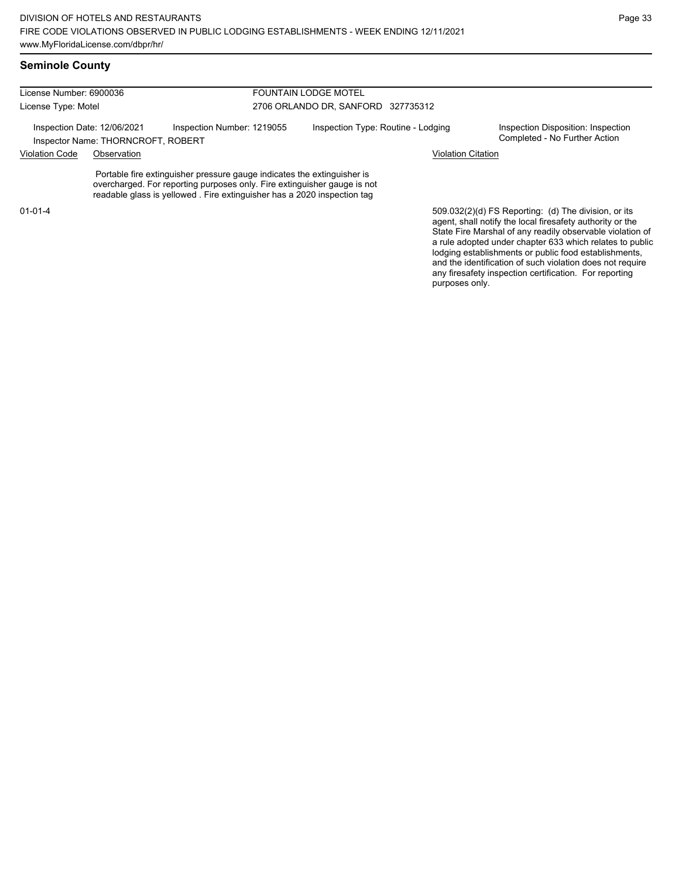| License Number: 6900036<br>License Type: Motel<br>Inspection Date: 12/06/2021<br>Inspector Name: THORNCROFT, ROBERT |             |                                                                                                                                                                                                                                | <b>FOUNTAIN LODGE MOTEL</b>        |                                                                                                                   |  |  |
|---------------------------------------------------------------------------------------------------------------------|-------------|--------------------------------------------------------------------------------------------------------------------------------------------------------------------------------------------------------------------------------|------------------------------------|-------------------------------------------------------------------------------------------------------------------|--|--|
|                                                                                                                     |             |                                                                                                                                                                                                                                | 2706 ORLANDO DR, SANFORD 327735312 |                                                                                                                   |  |  |
|                                                                                                                     |             | Inspection Number: 1219055                                                                                                                                                                                                     | Inspection Type: Routine - Lodging | Inspection Disposition: Inspection<br>Completed - No Further Action                                               |  |  |
| <b>Violation Code</b>                                                                                               | Observation |                                                                                                                                                                                                                                |                                    | <b>Violation Citation</b>                                                                                         |  |  |
|                                                                                                                     |             | Portable fire extinguisher pressure gauge indicates the extinguisher is<br>overcharged. For reporting purposes only. Fire extinguisher gauge is not<br>readable glass is yellowed. Fire extinguisher has a 2020 inspection tag |                                    |                                                                                                                   |  |  |
| $01 - 01 - 4$                                                                                                       |             |                                                                                                                                                                                                                                |                                    | 509.032(2)(d) FS Reporting: (d) The division, or its<br>agent, shall notify the local firesafety authority or the |  |  |

State Fire Marshal of any readily observable violation of a rule adopted under chapter 633 which relates to public lodging establishments or public food establishments, and the identification of such violation does not require any firesafety inspection certification. For reporting purposes only.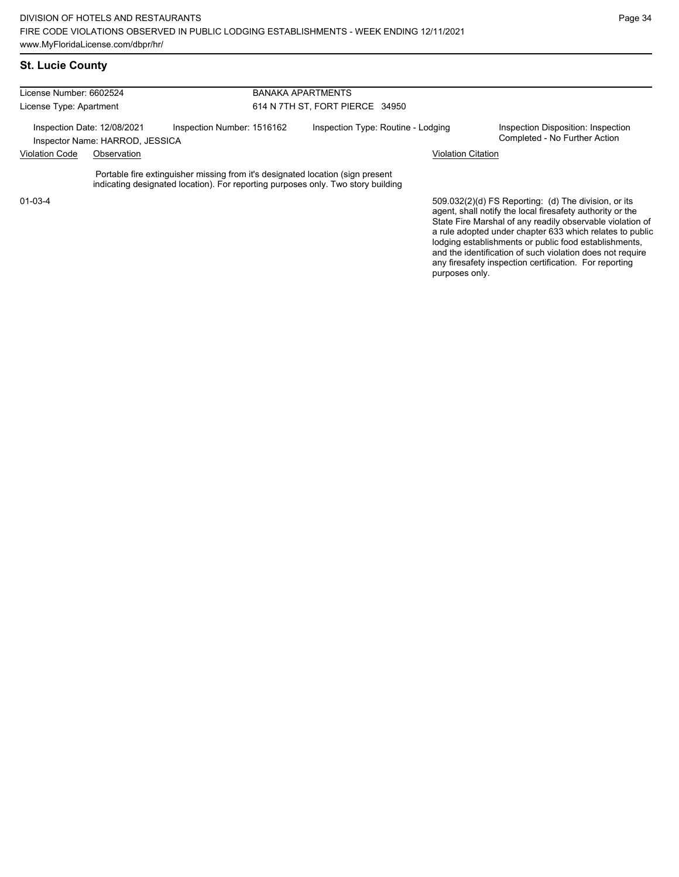| License Number: 6602524 |                                                                |                                                                                                                                                                    | <b>BANAKA APARTMENTS</b>           |                           |                                                                                                                   |
|-------------------------|----------------------------------------------------------------|--------------------------------------------------------------------------------------------------------------------------------------------------------------------|------------------------------------|---------------------------|-------------------------------------------------------------------------------------------------------------------|
| License Type: Apartment |                                                                |                                                                                                                                                                    | 614 N 7TH ST, FORT PIERCE 34950    |                           |                                                                                                                   |
|                         | Inspection Date: 12/08/2021<br>Inspector Name: HARROD, JESSICA | Inspection Number: 1516162                                                                                                                                         | Inspection Type: Routine - Lodging |                           | Inspection Disposition: Inspection<br>Completed - No Further Action                                               |
| <b>Violation Code</b>   | Observation                                                    |                                                                                                                                                                    |                                    | <b>Violation Citation</b> |                                                                                                                   |
|                         |                                                                | Portable fire extinguisher missing from it's designated location (sign present<br>indicating designated location). For reporting purposes only. Two story building |                                    |                           |                                                                                                                   |
| 01-03-4                 |                                                                |                                                                                                                                                                    |                                    |                           | 509.032(2)(d) FS Reporting: (d) The division, or its<br>agent, shall notify the local firesafety authority or the |

agent, shall notify the local firesafety authority or the State Fire Marshal of any readily observable violation of a rule adopted under chapter 633 which relates to public lodging establishments or public food establishments, and the identification of such violation does not require any firesafety inspection certification. For reporting purposes only.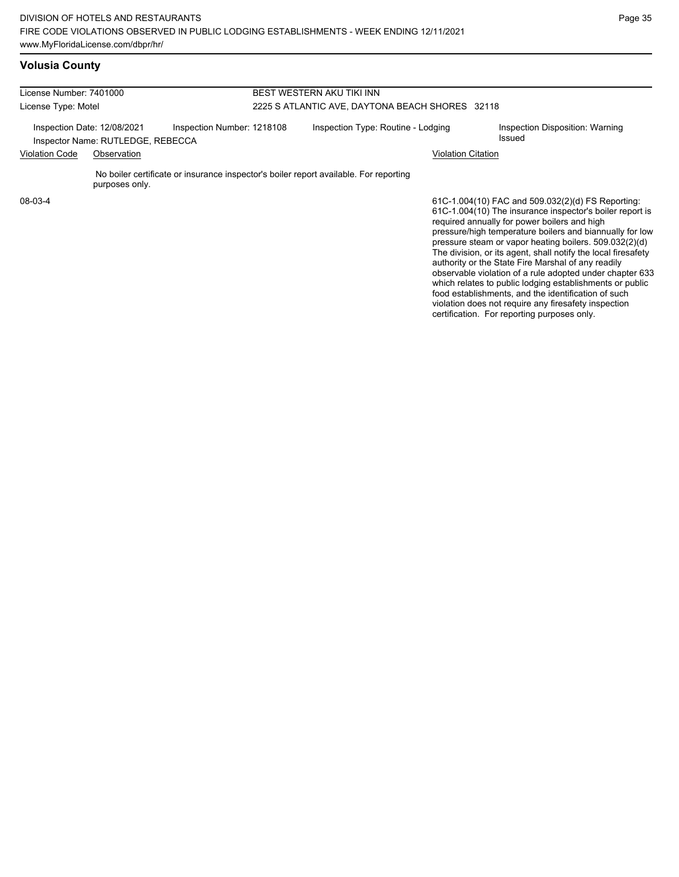| License Number: 7401000                                          |                |                                                                                       | <b>BEST WESTERN AKU TIKI INN</b>                |                                                                                                                                                                                                                           |
|------------------------------------------------------------------|----------------|---------------------------------------------------------------------------------------|-------------------------------------------------|---------------------------------------------------------------------------------------------------------------------------------------------------------------------------------------------------------------------------|
| License Type: Motel                                              |                |                                                                                       | 2225 S ATLANTIC AVE, DAYTONA BEACH SHORES 32118 |                                                                                                                                                                                                                           |
| Inspection Date: 12/08/2021<br>Inspector Name: RUTLEDGE, REBECCA |                | Inspection Number: 1218108                                                            | Inspection Type: Routine - Lodging              | Inspection Disposition: Warning<br>Issued                                                                                                                                                                                 |
| <b>Violation Code</b>                                            | Observation    |                                                                                       | Violation Citation                              |                                                                                                                                                                                                                           |
|                                                                  | purposes only. | No boiler certificate or insurance inspector's boiler report available. For reporting |                                                 |                                                                                                                                                                                                                           |
| 08-03-4                                                          |                |                                                                                       |                                                 | 61C-1.004(10) FAC and 509.032(2)(d) FS Reporting:<br>61C-1.004(10) The insurance inspector's boiler report is<br>required annually for power boilers and high<br>pressure/high temperature boilers and biannually for low |

pressure/high temperature boilers and biannually for low pressure steam or vapor heating boilers. 509.032(2)(d) The division, or its agent, shall notify the local firesafety authority or the State Fire Marshal of any readily observable violation of a rule adopted under chapter 633 which relates to public lodging establishments or public food establishments, and the identification of such violation does not require any firesafety inspection certification. For reporting purposes only.